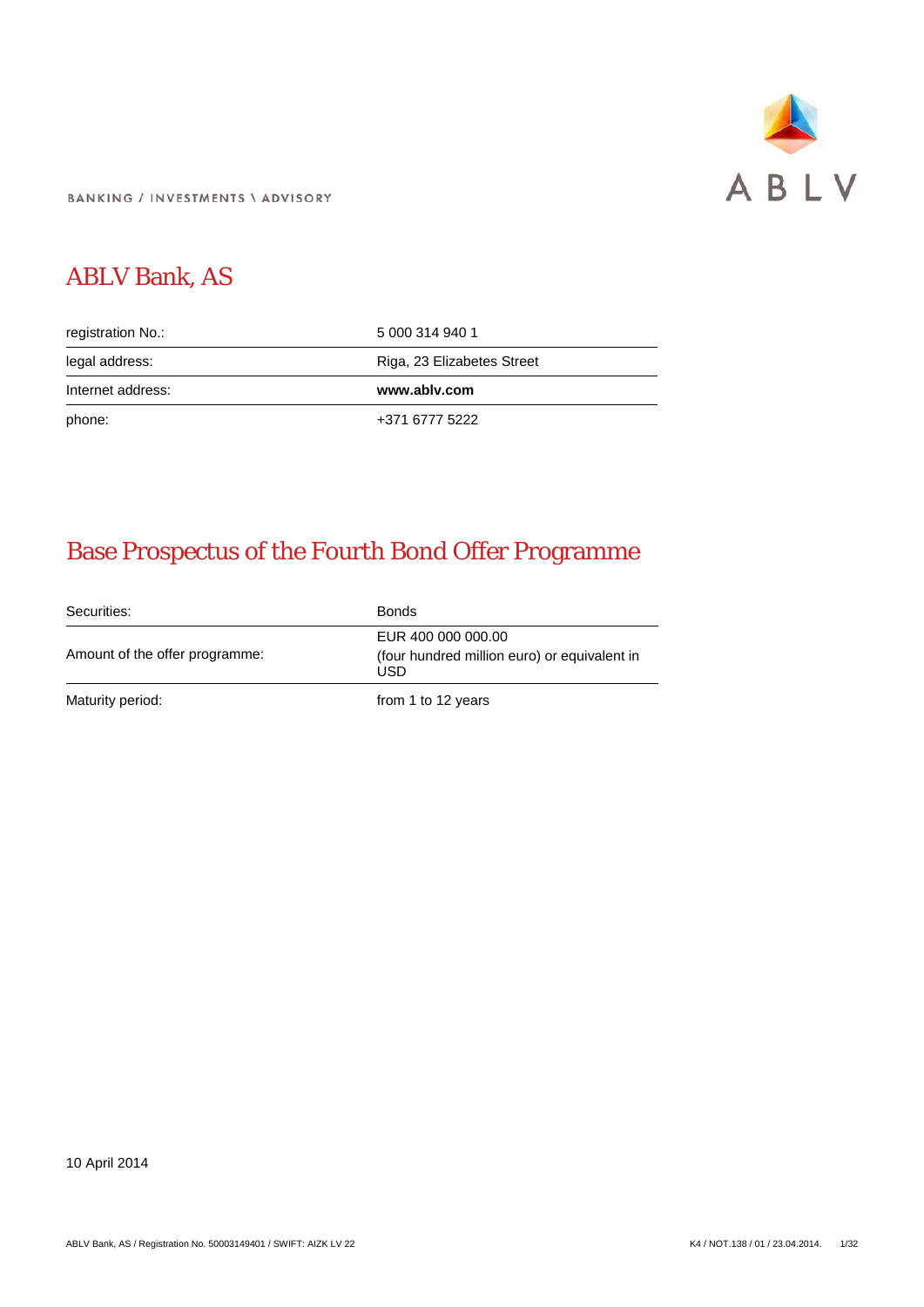

**BANKING / INVESTMENTS \ ADVISORY** 

# ABLV Bank, AS

| registration No.: | 5 000 314 940 1            |
|-------------------|----------------------------|
| legal address:    | Riga, 23 Elizabetes Street |
|                   |                            |
| Internet address: | www.ablv.com               |

# Base Prospectus of the Fourth Bond Offer Programme

Securities: Bonds Amount of the offer programme: EUR 400 000 000.00 (four hundred million euro) or equivalent in USD Maturity period: Maturity period: The Maturity period: The Maturity period: The Maturity period: The Maturity period

10 April 2014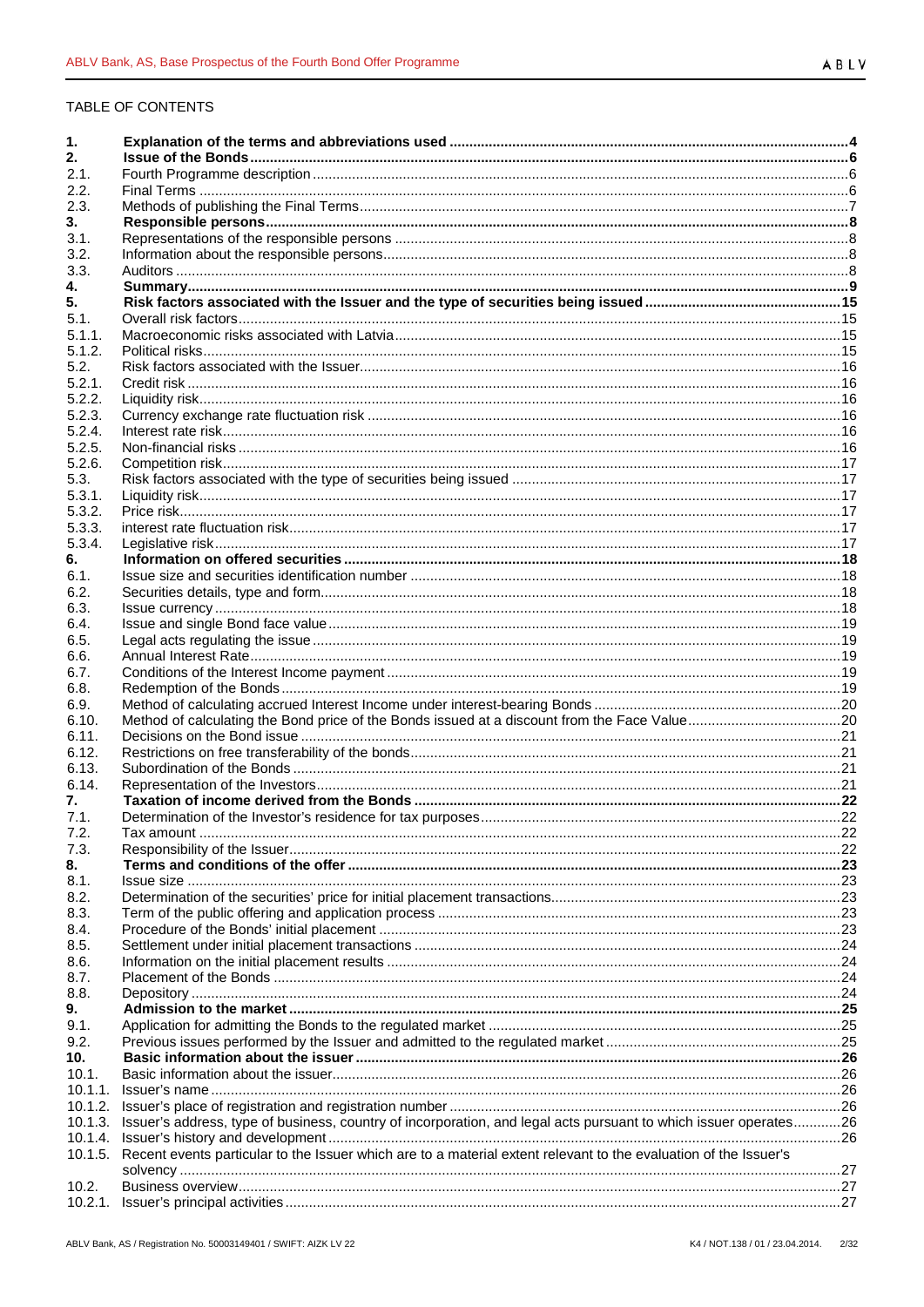# TABLE OF CONTENTS

| 1.         |                                                                                                                  |  |
|------------|------------------------------------------------------------------------------------------------------------------|--|
| 2.         |                                                                                                                  |  |
| 2.1.       |                                                                                                                  |  |
| 2.2.       |                                                                                                                  |  |
| 2.3.       |                                                                                                                  |  |
| 3.         |                                                                                                                  |  |
| 3.1.       |                                                                                                                  |  |
| 3.2.       |                                                                                                                  |  |
| 3.3.       |                                                                                                                  |  |
| 4.         |                                                                                                                  |  |
| 5.         |                                                                                                                  |  |
| 5.1.       |                                                                                                                  |  |
| 5.1.1.     |                                                                                                                  |  |
| 5.1.2.     |                                                                                                                  |  |
| 5.2.       |                                                                                                                  |  |
| 5.2.1.     |                                                                                                                  |  |
| 5.2.2.     |                                                                                                                  |  |
| 5.2.3.     |                                                                                                                  |  |
| 5.2.4.     |                                                                                                                  |  |
| 5.2.5.     |                                                                                                                  |  |
| 5.2.6.     |                                                                                                                  |  |
| 5.3.       |                                                                                                                  |  |
| 5.3.1.     |                                                                                                                  |  |
| 5.3.2.     |                                                                                                                  |  |
| 5.3.3.     |                                                                                                                  |  |
| 5.3.4.     |                                                                                                                  |  |
| 6.<br>6.1. |                                                                                                                  |  |
| 6.2.       |                                                                                                                  |  |
| 6.3.       |                                                                                                                  |  |
| 6.4.       |                                                                                                                  |  |
| 6.5.       |                                                                                                                  |  |
| 6.6.       |                                                                                                                  |  |
| 6.7.       |                                                                                                                  |  |
| 6.8.       |                                                                                                                  |  |
| 6.9.       |                                                                                                                  |  |
| 6.10.      |                                                                                                                  |  |
| 6.11.      |                                                                                                                  |  |
| 6.12.      |                                                                                                                  |  |
| 6.13.      |                                                                                                                  |  |
| 6.14.      |                                                                                                                  |  |
| 7.         |                                                                                                                  |  |
| 7.1.       |                                                                                                                  |  |
| 7.2.       | Tax amount.                                                                                                      |  |
| 7.3.       |                                                                                                                  |  |
| 8.         |                                                                                                                  |  |
| 8.1.       |                                                                                                                  |  |
| 8.2.       |                                                                                                                  |  |
| 8.3.       |                                                                                                                  |  |
| 8.4.       |                                                                                                                  |  |
| 8.5.       |                                                                                                                  |  |
| 8.6.       |                                                                                                                  |  |
| 8.7.       |                                                                                                                  |  |
| 8.8.       |                                                                                                                  |  |
| 9.         |                                                                                                                  |  |
| 9.1.       |                                                                                                                  |  |
| 9.2.       |                                                                                                                  |  |
| 10.        |                                                                                                                  |  |
| 10.1.      |                                                                                                                  |  |
| 10.1.1.    |                                                                                                                  |  |
| 10.1.2.    |                                                                                                                  |  |
| 10.1.3.    | Issuer's address, type of business, country of incorporation, and legal acts pursuant to which issuer operates26 |  |
| 10.1.4.    |                                                                                                                  |  |
| 10.1.5.    | Recent events particular to the Issuer which are to a material extent relevant to the evaluation of the Issuer's |  |
|            |                                                                                                                  |  |
| 10.2.      |                                                                                                                  |  |
| 10.2.1.    |                                                                                                                  |  |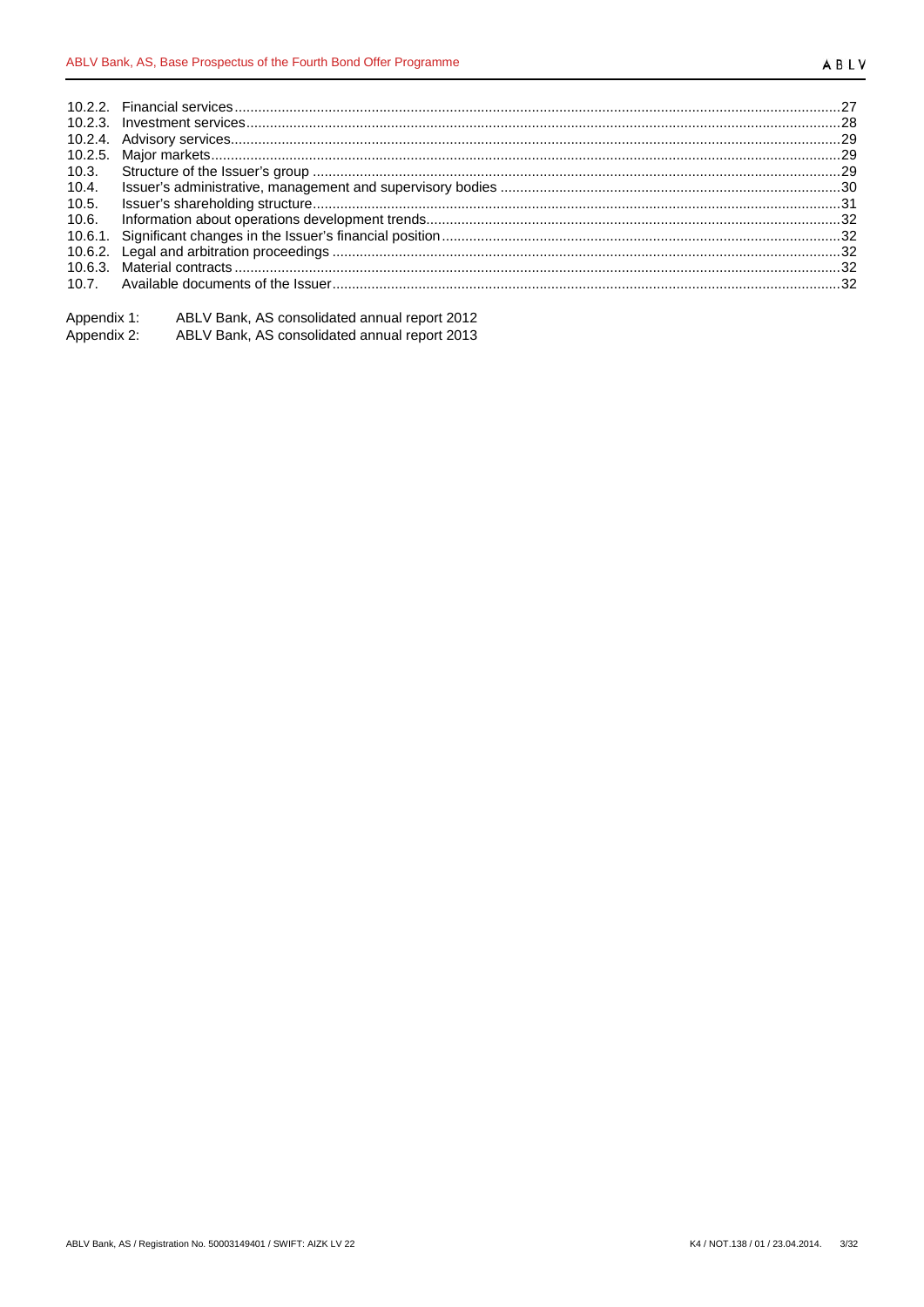| Appendix 1: | ABLV Bank, AS consolidated annual report 2012 |
|-------------|-----------------------------------------------|
| Appendix 2: | ABLV Bank, AS consolidated annual report 2013 |
|             |                                               |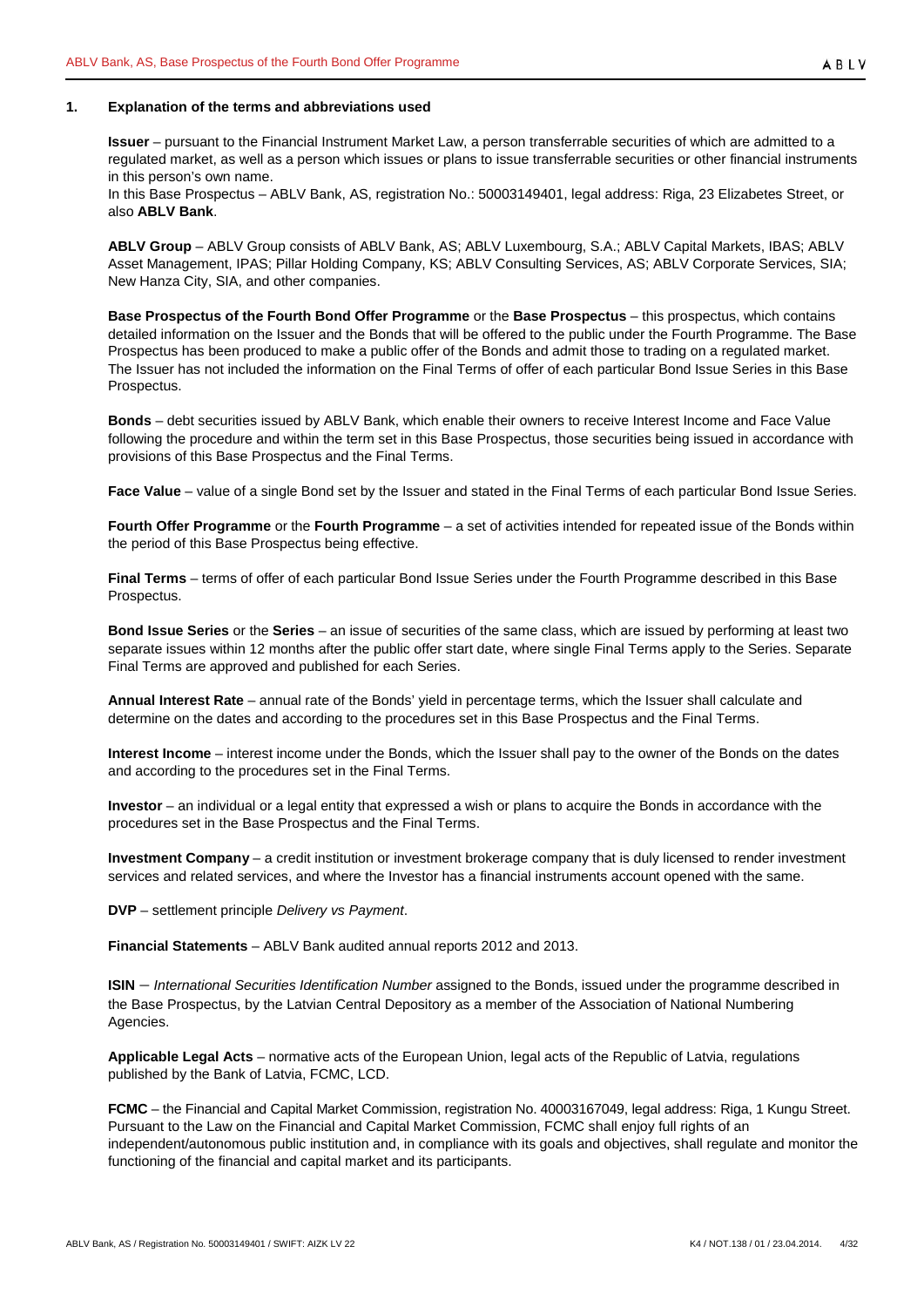#### <span id="page-3-0"></span>**1. Explanation of the terms and abbreviations used**

**Issuer** – pursuant to the Financial Instrument Market Law, a person transferrable securities of which are admitted to a regulated market, as well as a person which issues or plans to issue transferrable securities or other financial instruments in this person's own name.

In this Base Prospectus – ABLV Bank, AS, registration No.: 50003149401, legal address: Riga, 23 Elizabetes Street, or also **ABLV Bank**.

**ABLV Group** – ABLV Group consists of ABLV Bank, AS; ABLV Luxembourg, S.A.; ABLV Capital Markets, IBAS; ABLV Asset Management, IPAS; Pillar Holding Company, KS; ABLV Consulting Services, AS; ABLV Corporate Services, SIA; New Hanza City, SIA, and other companies.

**Base Prospectus of the Fourth Bond Offer Programme** or the **Base Prospectus** – this prospectus, which contains detailed information on the Issuer and the Bonds that will be offered to the public under the Fourth Programme. The Base Prospectus has been produced to make a public offer of the Bonds and admit those to trading on a regulated market. The Issuer has not included the information on the Final Terms of offer of each particular Bond Issue Series in this Base Prospectus.

**Bonds** – debt securities issued by ABLV Bank, which enable their owners to receive Interest Income and Face Value following the procedure and within the term set in this Base Prospectus, those securities being issued in accordance with provisions of this Base Prospectus and the Final Terms.

**Face Value** – value of a single Bond set by the Issuer and stated in the Final Terms of each particular Bond Issue Series.

**Fourth Offer Programme** or the **Fourth Programme** – a set of activities intended for repeated issue of the Bonds within the period of this Base Prospectus being effective.

**Final Terms** – terms of offer of each particular Bond Issue Series under the Fourth Programme described in this Base Prospectus.

**Bond Issue Series** or the **Series** – an issue of securities of the same class, which are issued by performing at least two separate issues within 12 months after the public offer start date, where single Final Terms apply to the Series. Separate Final Terms are approved and published for each Series.

**Annual Interest Rate** – annual rate of the Bonds' yield in percentage terms, which the Issuer shall calculate and determine on the dates and according to the procedures set in this Base Prospectus and the Final Terms.

**Interest Income** – interest income under the Bonds, which the Issuer shall pay to the owner of the Bonds on the dates and according to the procedures set in the Final Terms.

**Investor** – an individual or a legal entity that expressed a wish or plans to acquire the Bonds in accordance with the procedures set in the Base Prospectus and the Final Terms.

**Investment Company** – a credit institution or investment brokerage company that is duly licensed to render investment services and related services, and where the Investor has a financial instruments account opened with the same.

**DVP** – settlement principle *Delivery vs Payment*.

**Financial Statements** – ABLV Bank audited annual reports 2012 and 2013.

**ISIN** – *International Securities Identification Number* assigned to the Bonds, issued under the programme described in the Base Prospectus, by the Latvian Central Depository as a member of the Association of National Numbering Agencies.

**Applicable Legal Acts** – normative acts of the European Union, legal acts of the Republic of Latvia, regulations published by the Bank of Latvia, FCMC, LCD.

**FCMC** – the Financial and Capital Market Commission, registration No. 40003167049, legal address: Riga, 1 Kungu Street. Pursuant to the Law on the Financial and Capital Market Commission, FCMC shall enjoy full rights of an independent/autonomous public institution and, in compliance with its goals and objectives, shall regulate and monitor the functioning of the financial and capital market and its participants.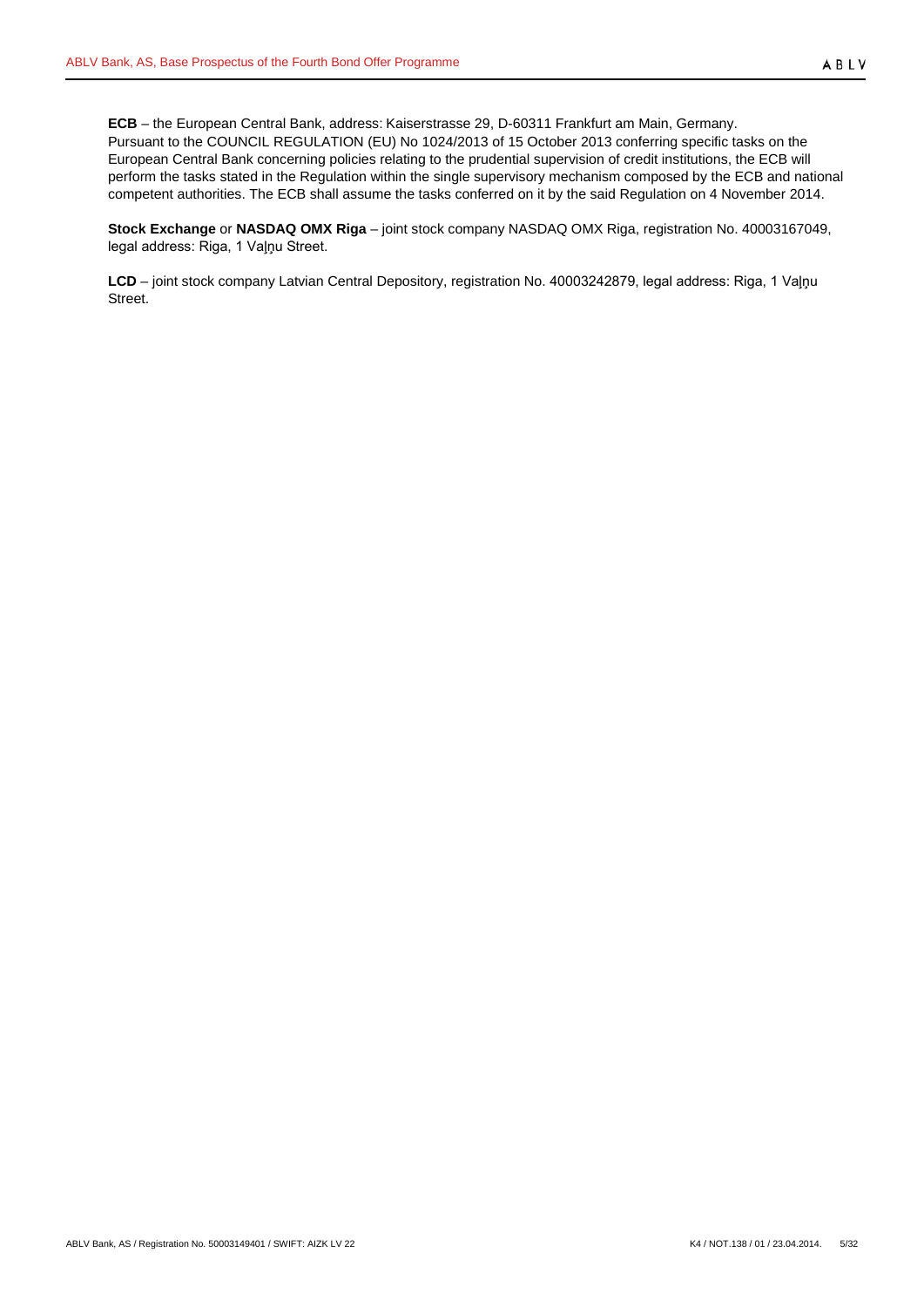**ECB** – the European Central Bank, address: Kaiserstrasse 29, D-60311 Frankfurt am Main, Germany. Pursuant to the COUNCIL REGULATION (EU) No 1024/2013 of 15 October 2013 conferring specific tasks on the European Central Bank concerning policies relating to the prudential supervision of credit institutions, the ECB will perform the tasks stated in the Regulation within the single supervisory mechanism composed by the ECB and national competent authorities. The ECB shall assume the tasks conferred on it by the said Regulation on 4 November 2014.

**Stock Exchange** or **NASDAQ OMX Riga** – joint stock company NASDAQ OMX Riga, registration No. 40003167049, legal address: Riga, 1 Vaļņu Street.

**LCD** – joint stock company Latvian Central Depository, registration No. 40003242879, legal address: Riga, 1 Vaļņu Street.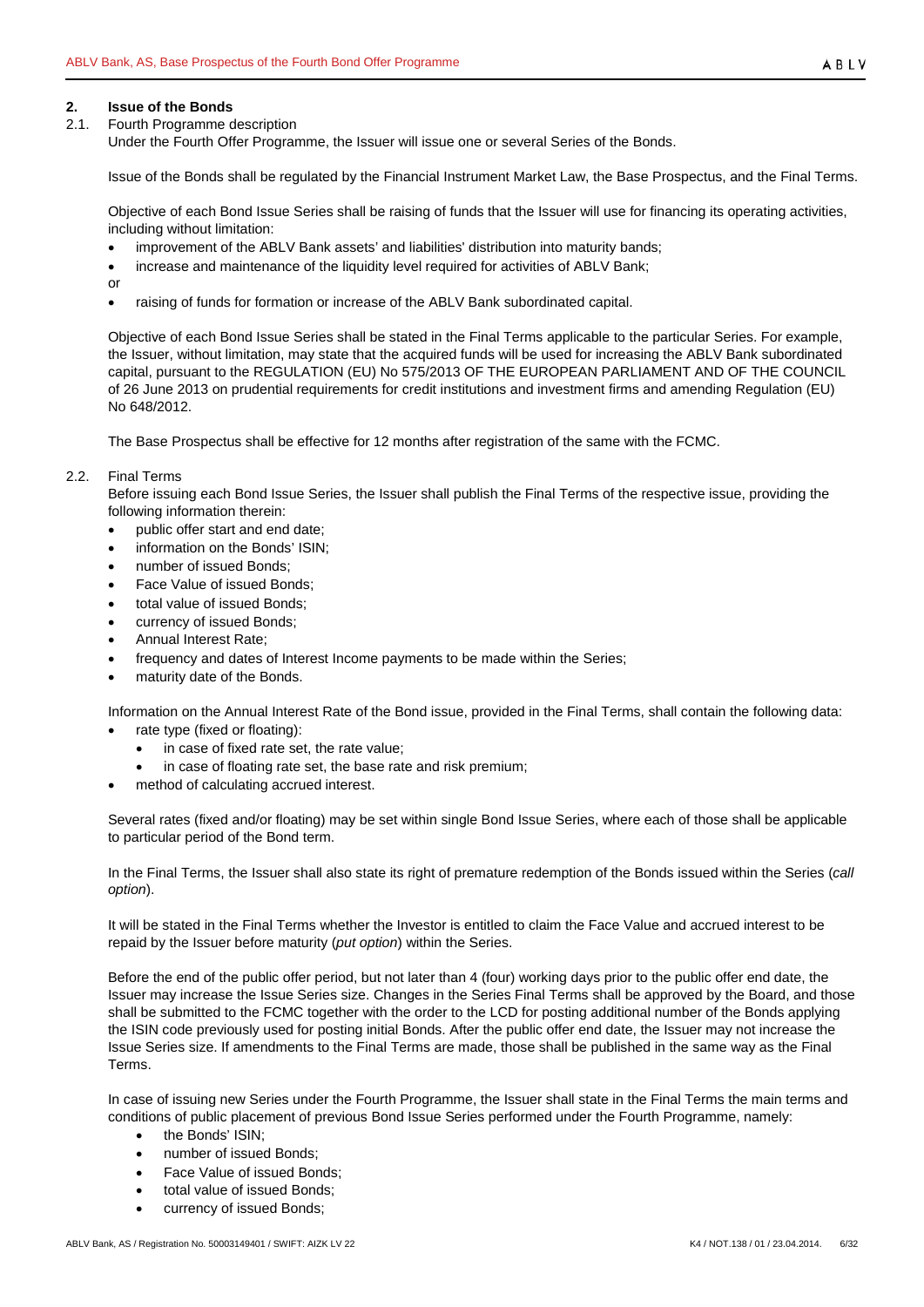# <span id="page-5-0"></span>**2. Issue of the Bonds**

<span id="page-5-1"></span>2.1. Fourth Programme description

Under the Fourth Offer Programme, the Issuer will issue one or several Series of the Bonds.

Issue of the Bonds shall be regulated by the Financial Instrument Market Law, the Base Prospectus, and the Final Terms.

Objective of each Bond Issue Series shall be raising of funds that the Issuer will use for financing its operating activities, including without limitation:

- improvement of the ABLV Bank assets' and liabilities' distribution into maturity bands;
- increase and maintenance of the liquidity level required for activities of ABLV Bank;
- or
- raising of funds for formation or increase of the ABLV Bank subordinated capital.

Objective of each Bond Issue Series shall be stated in the Final Terms applicable to the particular Series. For example, the Issuer, without limitation, may state that the acquired funds will be used for increasing the ABLV Bank subordinated capital, pursuant to the REGULATION (EU) No 575/2013 OF THE EUROPEAN PARLIAMENT AND OF THE COUNCIL of 26 June 2013 on prudential requirements for credit institutions and investment firms and amending Regulation (EU) No 648/2012.

The Base Prospectus shall be effective for 12 months after registration of the same with the FCMC.

## <span id="page-5-2"></span>2.2. Final Terms

Before issuing each Bond Issue Series, the Issuer shall publish the Final Terms of the respective issue, providing the following information therein:

- public offer start and end date;
- information on the Bonds' ISIN;
- number of issued Bonds;
- Face Value of issued Bonds;
- total value of issued Bonds;
- currency of issued Bonds;
- Annual Interest Rate;
- frequency and dates of Interest Income payments to be made within the Series;
- maturity date of the Bonds.

Information on the Annual Interest Rate of the Bond issue, provided in the Final Terms, shall contain the following data:

- rate type (fixed or floating):
	- in case of fixed rate set, the rate value;
	- in case of floating rate set, the base rate and risk premium;
- method of calculating accrued interest.

Several rates (fixed and/or floating) may be set within single Bond Issue Series, where each of those shall be applicable to particular period of the Bond term.

In the Final Terms, the Issuer shall also state its right of premature redemption of the Bonds issued within the Series (*call option*).

It will be stated in the Final Terms whether the Investor is entitled to claim the Face Value and accrued interest to be repaid by the Issuer before maturity (*put option*) within the Series.

Before the end of the public offer period, but not later than 4 (four) working days prior to the public offer end date, the Issuer may increase the Issue Series size. Changes in the Series Final Terms shall be approved by the Board, and those shall be submitted to the FCMC together with the order to the LCD for posting additional number of the Bonds applying the ISIN code previously used for posting initial Bonds. After the public offer end date, the Issuer may not increase the Issue Series size. If amendments to the Final Terms are made, those shall be published in the same way as the Final Terms.

In case of issuing new Series under the Fourth Programme, the Issuer shall state in the Final Terms the main terms and conditions of public placement of previous Bond Issue Series performed under the Fourth Programme, namely:

- the Bonds' ISIN;
- number of issued Bonds;
- Face Value of issued Bonds;
- total value of issued Bonds;
- currency of issued Bonds;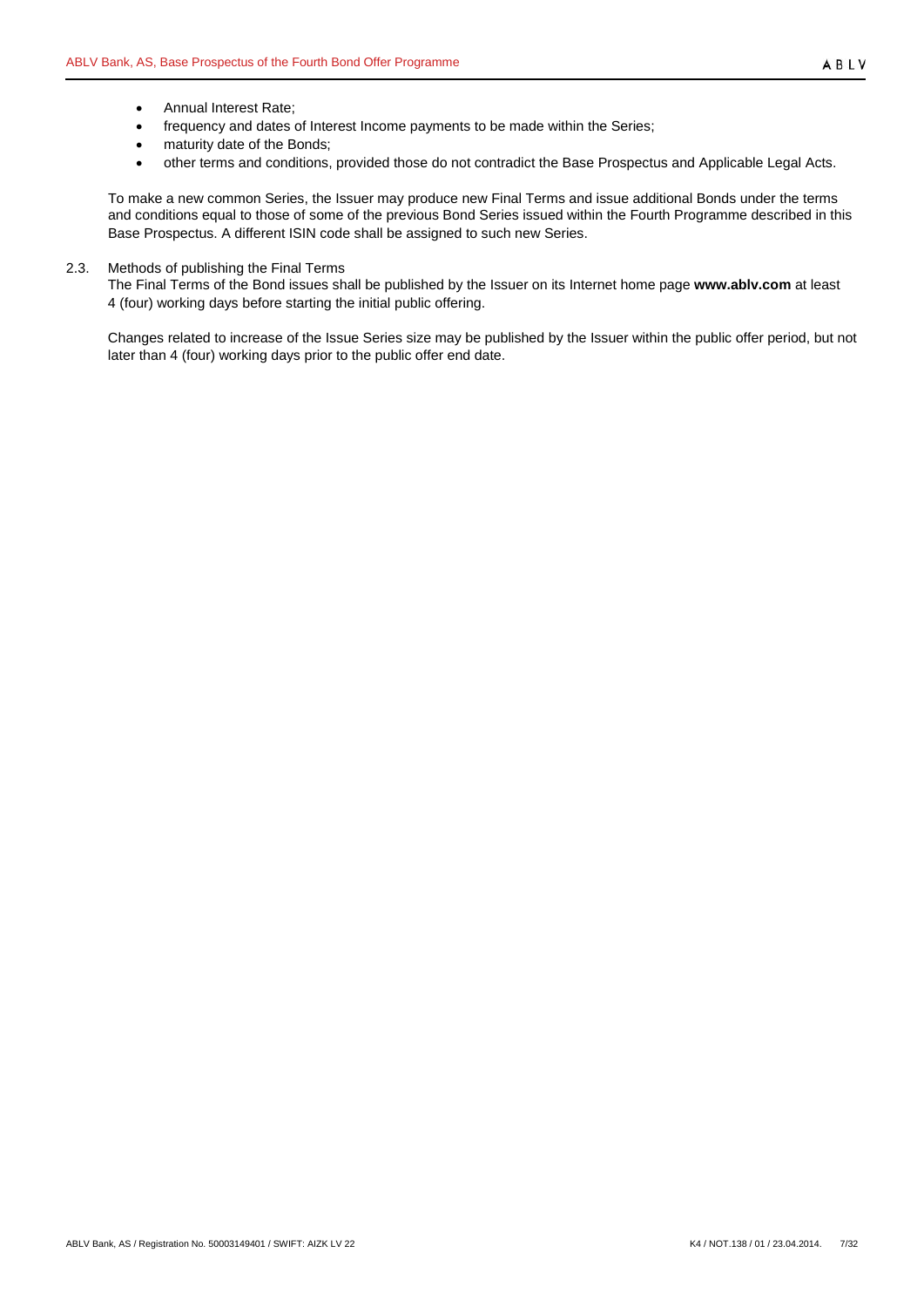- Annual Interest Rate;
- frequency and dates of Interest Income payments to be made within the Series;
- maturity date of the Bonds;
- other terms and conditions, provided those do not contradict the Base Prospectus and Applicable Legal Acts.

To make a new common Series, the Issuer may produce new Final Terms and issue additional Bonds under the terms and conditions equal to those of some of the previous Bond Series issued within the Fourth Programme described in this Base Prospectus. A different ISIN code shall be assigned to such new Series.

## <span id="page-6-0"></span>2.3. Methods of publishing the Final Terms

The Final Terms of the Bond issues shall be published by the Issuer on its Internet home page **www.ablv.com** at least 4 (four) working days before starting the initial public offering.

Changes related to increase of the Issue Series size may be published by the Issuer within the public offer period, but not later than 4 (four) working days prior to the public offer end date.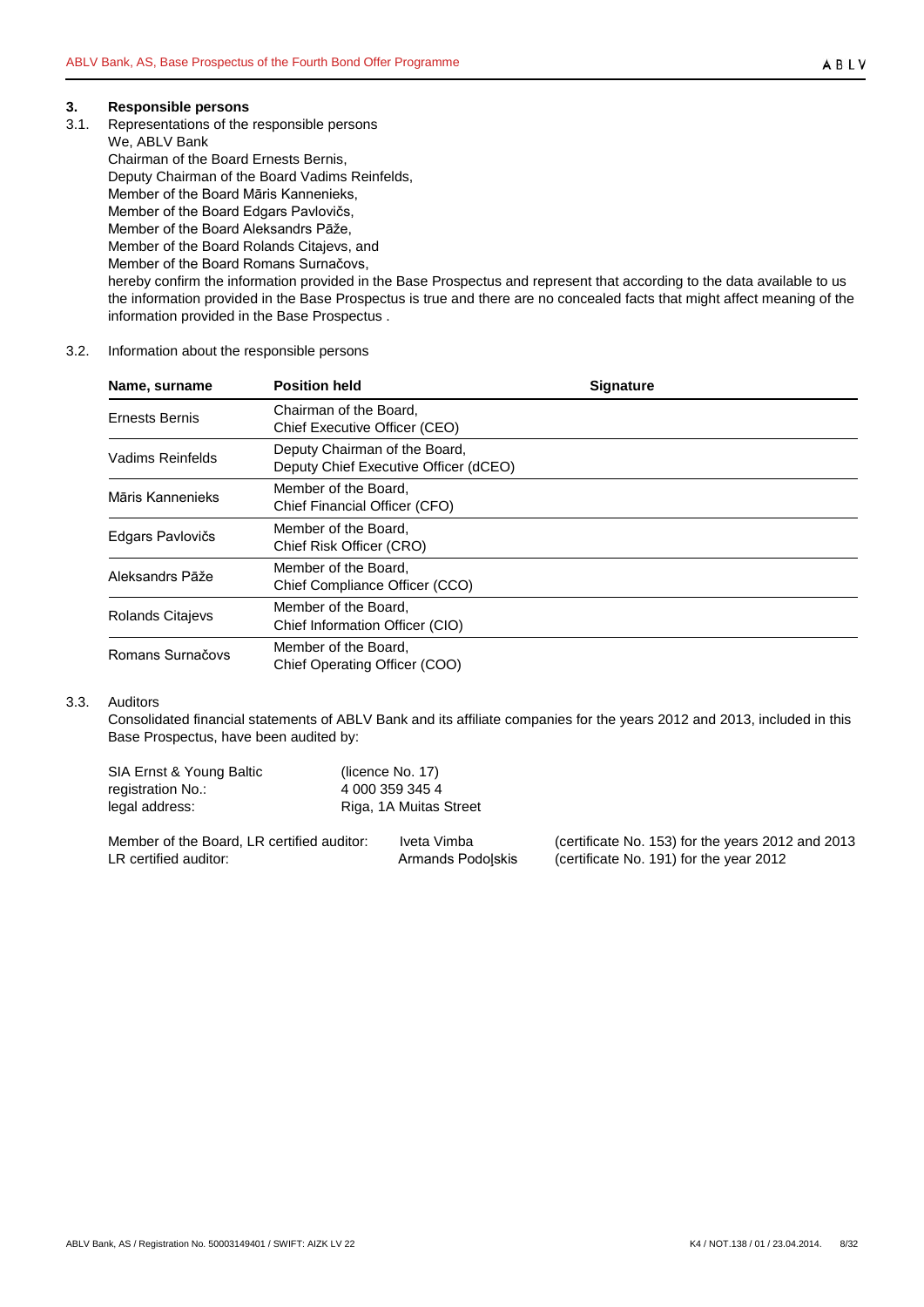#### <span id="page-7-0"></span>**3. Responsible persons**

<span id="page-7-1"></span>3.1. Representations of the responsible persons

We, ABLV Bank Chairman of the Board Ernests Bernis, Deputy Chairman of the Board Vadims Reinfelds, Member of the Board Māris Kannenieks, Member of the Board Edgars Pavlovičs, Member of the Board Aleksandrs Pāže, Member of the Board Rolands Citajevs, and Member of the Board Romans Surnačovs, hereby confirm the information provided in the Base Prospectus and represent that according to the data available to us the information provided in the Base Prospectus is true and there are no concealed facts that might affect meaning of the information provided in the Base Prospectus .

#### <span id="page-7-2"></span>3.2. Information about the responsible persons

| Name, surname           | <b>Position held</b>                                                   | <b>Signature</b> |
|-------------------------|------------------------------------------------------------------------|------------------|
| <b>Ernests Bernis</b>   | Chairman of the Board,<br>Chief Executive Officer (CEO)                |                  |
| Vadims Reinfelds        | Deputy Chairman of the Board,<br>Deputy Chief Executive Officer (dCEO) |                  |
| Māris Kannenieks        | Member of the Board,<br>Chief Financial Officer (CFO)                  |                  |
| Edgars Pavlovičs        | Member of the Board,<br>Chief Risk Officer (CRO)                       |                  |
| Aleksandrs Pāže         | Member of the Board.<br>Chief Compliance Officer (CCO)                 |                  |
| <b>Rolands Citajevs</b> | Member of the Board,<br>Chief Information Officer (CIO)                |                  |
| Romans Surnačovs        | Member of the Board,<br>Chief Operating Officer (COO)                  |                  |

#### <span id="page-7-3"></span>3.3. Auditors

Consolidated financial statements of ABLV Bank and its affiliate companies for the years 2012 and 2013, included in this Base Prospectus, have been audited by:

| SIA Ernst & Young Baltic<br>registration No.:<br>legal address: | (licence No. 17)<br>4 000 359 345 4 | Riga, 1A Muitas Street |                                                   |
|-----------------------------------------------------------------|-------------------------------------|------------------------|---------------------------------------------------|
| Member of the Board, LR certified auditor:                      |                                     | Iveta Vimba            | (certificate No. 153) for the years 2012 and 2013 |
| LR certified auditor:                                           |                                     | Armands Podolskis      | (certificate No. 191) for the year 2012           |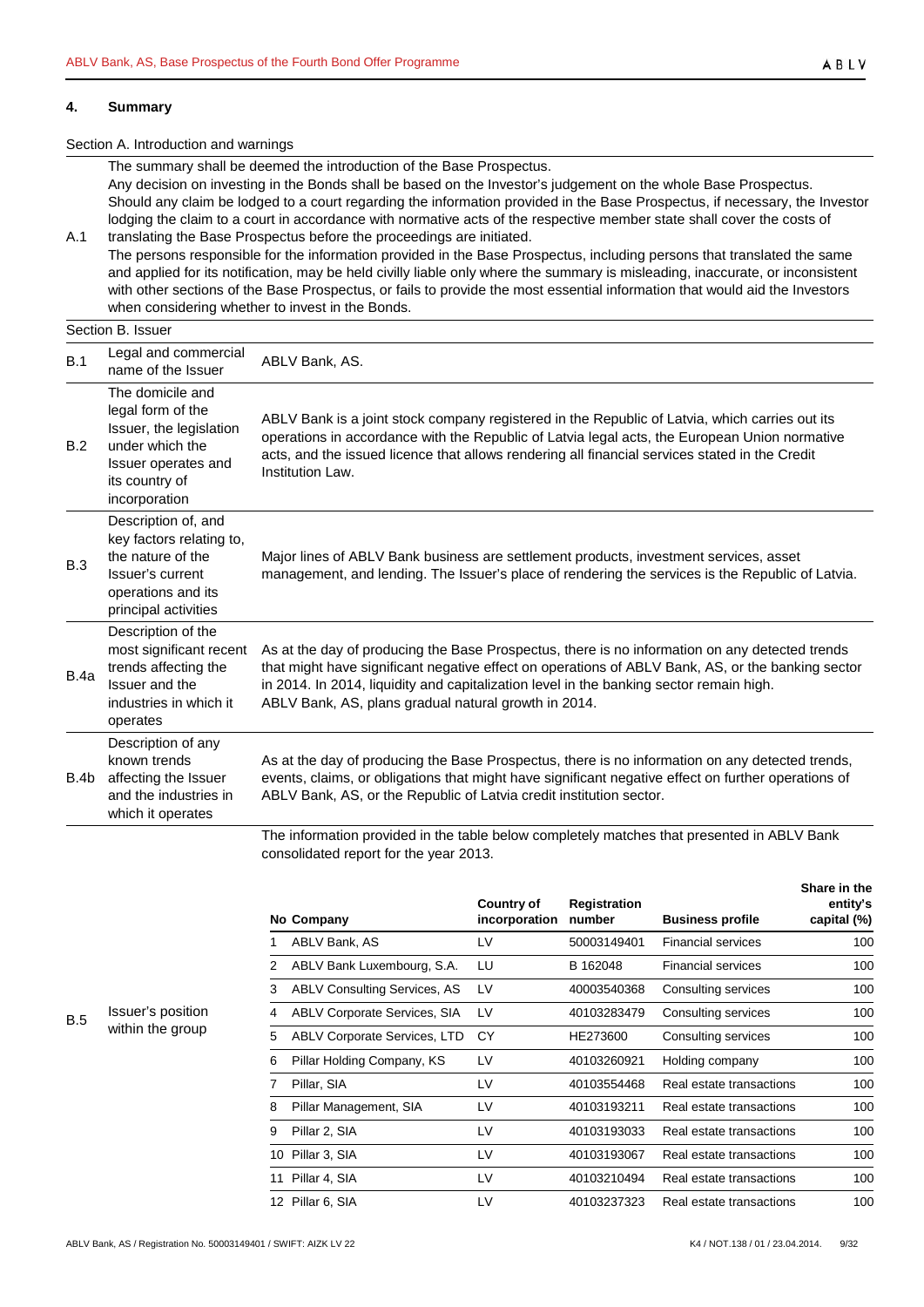#### <span id="page-8-0"></span>**4. Summary**

#### Section A. Introduction and warnings

The summary shall be deemed the introduction of the Base Prospectus. Any decision on investing in the Bonds shall be based on the Investor's judgement on the whole Base Prospectus. Should any claim be lodged to a court regarding the information provided in the Base Prospectus, if necessary, the Investor lodging the claim to a court in accordance with normative acts of the respective member state shall cover the costs of

A.1 translating the Base Prospectus before the proceedings are initiated. The persons responsible for the information provided in the Base Prospectus, including persons that translated the same and applied for its notification, may be held civilly liable only where the summary is misleading, inaccurate, or inconsistent with other sections of the Base Prospectus, or fails to provide the most essential information that would aid the Investors when considering whether to invest in the Bonds.

# Section B. Issuer

| B.1  | Legal and commercial<br>name of the Issuer                                                                                                    | ABLV Bank, AS.                                                                                                                                                                                                                                                                                                                                         |
|------|-----------------------------------------------------------------------------------------------------------------------------------------------|--------------------------------------------------------------------------------------------------------------------------------------------------------------------------------------------------------------------------------------------------------------------------------------------------------------------------------------------------------|
| B.2  | The domicile and<br>legal form of the<br>Issuer, the legislation<br>under which the<br>Issuer operates and<br>its country of<br>incorporation | ABLV Bank is a joint stock company registered in the Republic of Latvia, which carries out its<br>operations in accordance with the Republic of Latvia legal acts, the European Union normative<br>acts, and the issued licence that allows rendering all financial services stated in the Credit<br>Institution Law.                                  |
| B.3  | Description of, and<br>key factors relating to,<br>the nature of the<br>Issuer's current<br>operations and its<br>principal activities        | Major lines of ABLV Bank business are settlement products, investment services, asset<br>management, and lending. The Issuer's place of rendering the services is the Republic of Latvia.                                                                                                                                                              |
| B.4a | Description of the<br>most significant recent<br>trends affecting the<br>Issuer and the<br>industries in which it<br>operates                 | As at the day of producing the Base Prospectus, there is no information on any detected trends<br>that might have significant negative effect on operations of ABLV Bank, AS, or the banking sector<br>in 2014. In 2014, liquidity and capitalization level in the banking sector remain high.<br>ABLV Bank, AS, plans gradual natural growth in 2014. |
| B.4b | Description of any<br>known trends<br>affecting the Issuer<br>and the industries in<br>which it operates                                      | As at the day of producing the Base Prospectus, there is no information on any detected trends,<br>events, claims, or obligations that might have significant negative effect on further operations of<br>ABLV Bank, AS, or the Republic of Latvia credit institution sector.                                                                          |
|      |                                                                                                                                               | The information provided in the table below completely matches that presented in ARLV Rapk                                                                                                                                                                                                                                                             |

The information provided in the table below completely matches that presented in ABLV Bank consolidated report for the year 2013.

|    | No Company                          | <b>Country of</b><br>incorporation | <b>Registration</b><br>number | <b>Business profile</b>   | entity's<br>capital (%) |
|----|-------------------------------------|------------------------------------|-------------------------------|---------------------------|-------------------------|
|    | ABLV Bank, AS                       | LV                                 | 50003149401                   | <b>Financial services</b> | 100                     |
| 2  | ABLV Bank Luxembourg, S.A.          | LU                                 | B 162048                      | <b>Financial services</b> | 100                     |
| 3  | <b>ABLV Consulting Services, AS</b> | LV                                 | 40003540368                   | Consulting services       | 100                     |
| 4  | <b>ABLV Corporate Services, SIA</b> | LV                                 | 40103283479                   | Consulting services       | 100                     |
| 5  | <b>ABLV Corporate Services, LTD</b> | СY                                 | HE273600                      | Consulting services       | 100                     |
| 6  | Pillar Holding Company, KS          | LV                                 | 40103260921                   | Holding company           | 100                     |
|    | Pillar, SIA                         | LV                                 | 40103554468                   | Real estate transactions  | 100                     |
| 8  | Pillar Management, SIA              | LV                                 | 40103193211                   | Real estate transactions  | 100                     |
| 9  | Pillar 2, SIA                       | LV                                 | 40103193033                   | Real estate transactions  | 100                     |
| 10 | Pillar 3, SIA                       | LV                                 | 40103193067                   | Real estate transactions  | 100                     |
| 11 | Pillar 4, SIA                       | LV                                 | 40103210494                   | Real estate transactions  | 100                     |
|    | 12 Pillar 6, SIA                    | LV                                 | 40103237323                   | Real estate transactions  | 100                     |

B.5 Issuer's position within the group

**Share in the**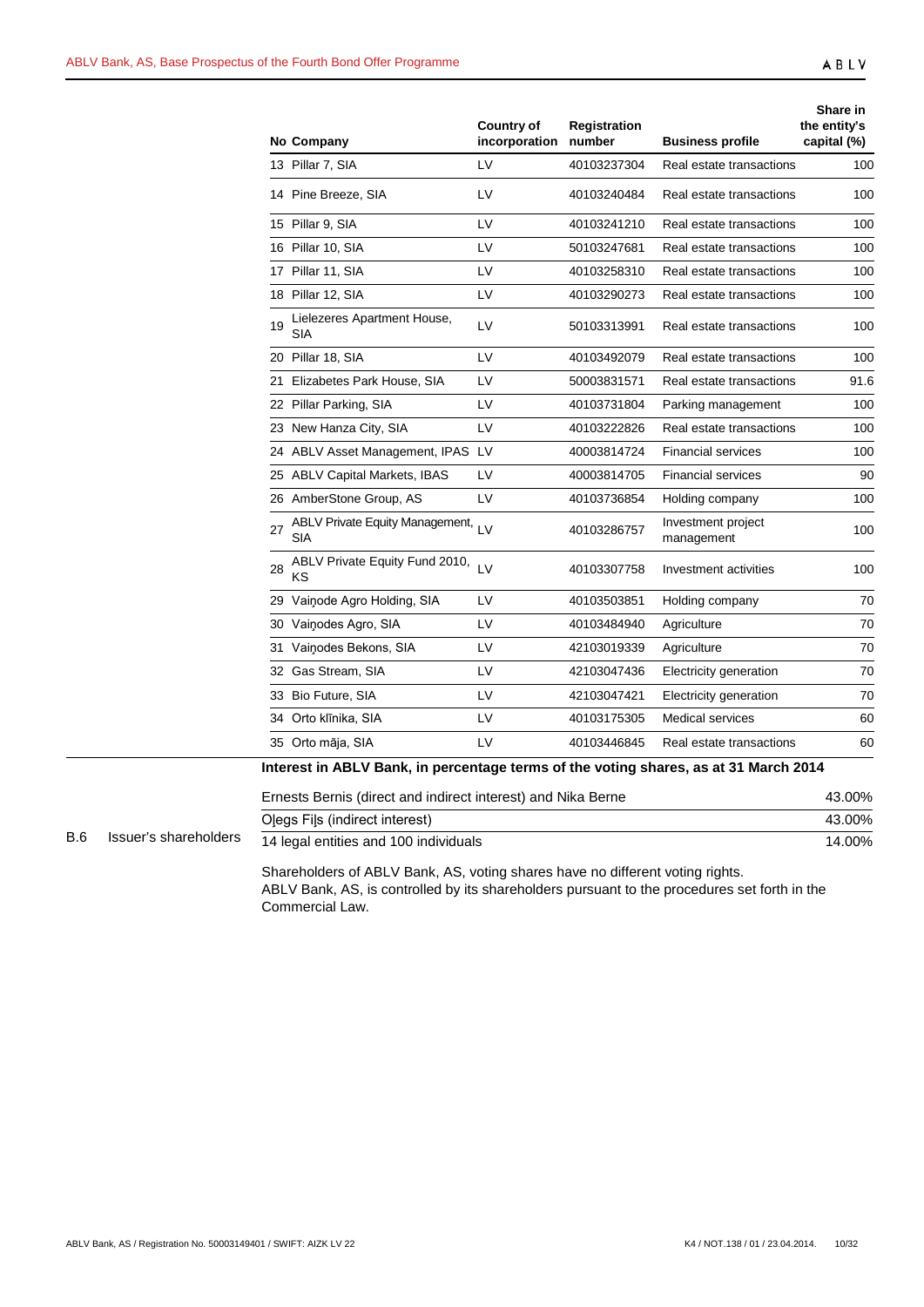|    | No Company                                    | <b>Country of</b><br>incorporation | Registration<br>number | <b>Business profile</b>          | Share in<br>the entity's<br>capital (%) |
|----|-----------------------------------------------|------------------------------------|------------------------|----------------------------------|-----------------------------------------|
|    | 13 Pillar 7, SIA                              | LV                                 | 40103237304            | Real estate transactions         | 100                                     |
|    | 14 Pine Breeze, SIA                           | LV                                 | 40103240484            | Real estate transactions         | 100                                     |
|    | 15 Pillar 9, SIA                              | LV                                 | 40103241210            | Real estate transactions         | 100                                     |
|    | 16 Pillar 10, SIA                             | LV                                 | 50103247681            | Real estate transactions         | 100                                     |
|    | 17 Pillar 11, SIA                             | LV                                 | 40103258310            | Real estate transactions         | 100                                     |
|    | 18 Pillar 12, SIA                             | LV                                 | 40103290273            | Real estate transactions         | 100                                     |
| 19 | Lielezeres Apartment House,<br>SIA            | LV                                 | 50103313991            | Real estate transactions         | 100                                     |
|    | 20 Pillar 18, SIA                             | LV                                 | 40103492079            | Real estate transactions         | 100                                     |
|    | 21 Elizabetes Park House, SIA                 | LV                                 | 50003831571            | Real estate transactions         | 91.6                                    |
|    | 22 Pillar Parking, SIA                        | LV                                 | 40103731804            | Parking management               | 100                                     |
|    | 23 New Hanza City, SIA                        | LV                                 | 40103222826            | Real estate transactions         | 100                                     |
|    | 24 ABLV Asset Management, IPAS LV             |                                    | 40003814724            | <b>Financial services</b>        | 100                                     |
|    | 25 ABLV Capital Markets, IBAS                 | LV                                 | 40003814705            | <b>Financial services</b>        | 90                                      |
|    | 26 AmberStone Group, AS                       | LV                                 | 40103736854            | Holding company                  | 100                                     |
| 27 | <b>ABLV Private Equity Management,</b><br>SIA | $\overline{1}$                     | 40103286757            | Investment project<br>management | 100                                     |
| 28 | ABLV Private Equity Fund 2010,<br>ΚS          | LV                                 | 40103307758            | Investment activities            | 100                                     |
|    | 29 Vainode Agro Holding, SIA                  | LV                                 | 40103503851            | Holding company                  | 70                                      |
|    | 30 Vainodes Agro, SIA                         | LV                                 | 40103484940            | Agriculture                      | 70                                      |
|    | 31 Vainodes Bekons, SIA                       | LV                                 | 42103019339            | Agriculture                      | 70                                      |
|    | 32 Gas Stream, SIA                            | LV                                 | 42103047436            | Electricity generation           | 70                                      |
|    | 33 Bio Future, SIA                            | LV                                 | 42103047421            | Electricity generation           | 70                                      |
|    | 34 Orto klīnika, SIA                          | LV                                 | 40103175305            | <b>Medical services</b>          | 60                                      |
|    | 35 Orto māja, SIA                             | LV                                 | 40103446845            | Real estate transactions         | 60                                      |
|    |                                               |                                    | مالدين جمالة لا        | 1.94. Magalar 904.4              |                                         |

| Interest in ABLV Bank, in percentage terms of the voting shares, as at 31 March 2014 |  |  |  |
|--------------------------------------------------------------------------------------|--|--|--|
|--------------------------------------------------------------------------------------|--|--|--|

|            |                       | Ernests Bernis (direct and indirect interest) and Nika Berne | 43.00% |
|------------|-----------------------|--------------------------------------------------------------|--------|
|            |                       | Olegs Fils (indirect interest)                               | 43.00% |
| <b>B.6</b> | Issuer's shareholders | 14 legal entities and 100 individuals                        | 14.00% |

Shareholders of ABLV Bank, AS, voting shares have no different voting rights. ABLV Bank, AS, is controlled by its shareholders pursuant to the procedures set forth in the Commercial Law.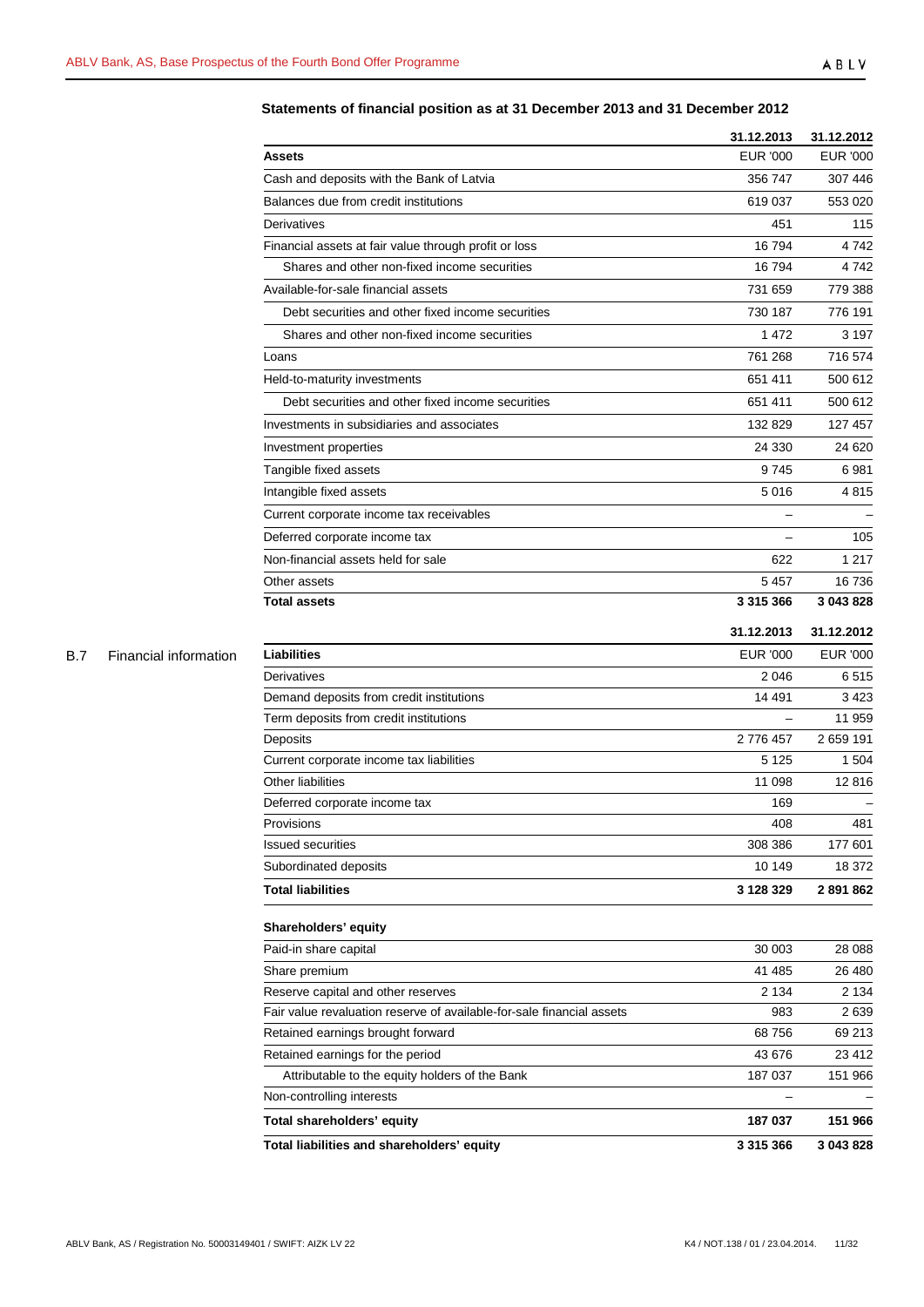# **Statements of financial position as at 31 December 2013 and 31 December 2012**

| EUR '000<br>356 747<br>619 037<br>451<br>16794<br>Shares and other non-fixed income securities<br>16794<br>731 659<br>Debt securities and other fixed income securities<br>730 187<br>Shares and other non-fixed income securities<br>1472<br>761 268<br>651 411<br>Debt securities and other fixed income securities<br>651 411<br>132 829<br>24 330<br>9745<br>5016<br>622<br>5 4 5 7<br>3 315 366<br>31.12.2013<br>31.12.2012<br><b>Liabilities</b><br>EUR '000<br><b>EUR '000</b><br>Derivatives<br>2 0 4 6<br>Demand deposits from credit institutions<br>14 491<br>Term deposits from credit institutions<br>2776457<br>Deposits<br>Current corporate income tax liabilities<br>5 1 2 5<br>11 098<br>169<br>408<br>308 386<br>10 149<br>3 128 329<br>30 003<br>41 485<br>2 1 3 4<br>983<br>68756<br>43 676<br>Attributable to the equity holders of the Bank<br>187 037<br>187 037 |                                                                       | 31.12.2013    | 31.12.2012      |
|------------------------------------------------------------------------------------------------------------------------------------------------------------------------------------------------------------------------------------------------------------------------------------------------------------------------------------------------------------------------------------------------------------------------------------------------------------------------------------------------------------------------------------------------------------------------------------------------------------------------------------------------------------------------------------------------------------------------------------------------------------------------------------------------------------------------------------------------------------------------------------------|-----------------------------------------------------------------------|---------------|-----------------|
|                                                                                                                                                                                                                                                                                                                                                                                                                                                                                                                                                                                                                                                                                                                                                                                                                                                                                          | Assets                                                                |               | <b>EUR '000</b> |
|                                                                                                                                                                                                                                                                                                                                                                                                                                                                                                                                                                                                                                                                                                                                                                                                                                                                                          | Cash and deposits with the Bank of Latvia                             |               | 307 446         |
|                                                                                                                                                                                                                                                                                                                                                                                                                                                                                                                                                                                                                                                                                                                                                                                                                                                                                          | Balances due from credit institutions                                 |               | 553 020         |
|                                                                                                                                                                                                                                                                                                                                                                                                                                                                                                                                                                                                                                                                                                                                                                                                                                                                                          | Derivatives                                                           |               | 115             |
|                                                                                                                                                                                                                                                                                                                                                                                                                                                                                                                                                                                                                                                                                                                                                                                                                                                                                          | Financial assets at fair value through profit or loss                 |               | 4 742           |
|                                                                                                                                                                                                                                                                                                                                                                                                                                                                                                                                                                                                                                                                                                                                                                                                                                                                                          |                                                                       |               | 4742            |
|                                                                                                                                                                                                                                                                                                                                                                                                                                                                                                                                                                                                                                                                                                                                                                                                                                                                                          | Available-for-sale financial assets                                   |               | 779 388         |
|                                                                                                                                                                                                                                                                                                                                                                                                                                                                                                                                                                                                                                                                                                                                                                                                                                                                                          |                                                                       |               | 776 191         |
|                                                                                                                                                                                                                                                                                                                                                                                                                                                                                                                                                                                                                                                                                                                                                                                                                                                                                          |                                                                       |               | 3 1 9 7         |
|                                                                                                                                                                                                                                                                                                                                                                                                                                                                                                                                                                                                                                                                                                                                                                                                                                                                                          | Loans                                                                 |               | 716 574         |
|                                                                                                                                                                                                                                                                                                                                                                                                                                                                                                                                                                                                                                                                                                                                                                                                                                                                                          | Held-to-maturity investments                                          |               | 500 612         |
|                                                                                                                                                                                                                                                                                                                                                                                                                                                                                                                                                                                                                                                                                                                                                                                                                                                                                          |                                                                       |               | 500 612         |
|                                                                                                                                                                                                                                                                                                                                                                                                                                                                                                                                                                                                                                                                                                                                                                                                                                                                                          | Investments in subsidiaries and associates                            |               | 127 457         |
|                                                                                                                                                                                                                                                                                                                                                                                                                                                                                                                                                                                                                                                                                                                                                                                                                                                                                          | Investment properties                                                 |               | 24 6 20         |
|                                                                                                                                                                                                                                                                                                                                                                                                                                                                                                                                                                                                                                                                                                                                                                                                                                                                                          | Tangible fixed assets                                                 |               | 6981            |
|                                                                                                                                                                                                                                                                                                                                                                                                                                                                                                                                                                                                                                                                                                                                                                                                                                                                                          | Intangible fixed assets                                               |               | 4815            |
|                                                                                                                                                                                                                                                                                                                                                                                                                                                                                                                                                                                                                                                                                                                                                                                                                                                                                          | Current corporate income tax receivables                              |               |                 |
|                                                                                                                                                                                                                                                                                                                                                                                                                                                                                                                                                                                                                                                                                                                                                                                                                                                                                          | Deferred corporate income tax                                         |               | 105             |
|                                                                                                                                                                                                                                                                                                                                                                                                                                                                                                                                                                                                                                                                                                                                                                                                                                                                                          | Non-financial assets held for sale                                    |               | 1 2 1 7         |
|                                                                                                                                                                                                                                                                                                                                                                                                                                                                                                                                                                                                                                                                                                                                                                                                                                                                                          | Other assets                                                          |               | 16 736          |
|                                                                                                                                                                                                                                                                                                                                                                                                                                                                                                                                                                                                                                                                                                                                                                                                                                                                                          | <b>Total assets</b>                                                   |               | 3 043 828       |
|                                                                                                                                                                                                                                                                                                                                                                                                                                                                                                                                                                                                                                                                                                                                                                                                                                                                                          |                                                                       |               |                 |
|                                                                                                                                                                                                                                                                                                                                                                                                                                                                                                                                                                                                                                                                                                                                                                                                                                                                                          |                                                                       |               |                 |
|                                                                                                                                                                                                                                                                                                                                                                                                                                                                                                                                                                                                                                                                                                                                                                                                                                                                                          |                                                                       |               | 6515            |
|                                                                                                                                                                                                                                                                                                                                                                                                                                                                                                                                                                                                                                                                                                                                                                                                                                                                                          |                                                                       |               | 3423            |
|                                                                                                                                                                                                                                                                                                                                                                                                                                                                                                                                                                                                                                                                                                                                                                                                                                                                                          |                                                                       |               | 11 959          |
|                                                                                                                                                                                                                                                                                                                                                                                                                                                                                                                                                                                                                                                                                                                                                                                                                                                                                          |                                                                       |               | 2 659 191       |
|                                                                                                                                                                                                                                                                                                                                                                                                                                                                                                                                                                                                                                                                                                                                                                                                                                                                                          |                                                                       |               | 1 504           |
|                                                                                                                                                                                                                                                                                                                                                                                                                                                                                                                                                                                                                                                                                                                                                                                                                                                                                          | Other liabilities                                                     |               | 12816           |
|                                                                                                                                                                                                                                                                                                                                                                                                                                                                                                                                                                                                                                                                                                                                                                                                                                                                                          | Deferred corporate income tax                                         |               |                 |
|                                                                                                                                                                                                                                                                                                                                                                                                                                                                                                                                                                                                                                                                                                                                                                                                                                                                                          | Provisions                                                            |               | 481             |
|                                                                                                                                                                                                                                                                                                                                                                                                                                                                                                                                                                                                                                                                                                                                                                                                                                                                                          | <b>Issued securities</b>                                              |               | 177 601         |
|                                                                                                                                                                                                                                                                                                                                                                                                                                                                                                                                                                                                                                                                                                                                                                                                                                                                                          | Subordinated deposits                                                 |               | 18 372          |
|                                                                                                                                                                                                                                                                                                                                                                                                                                                                                                                                                                                                                                                                                                                                                                                                                                                                                          | <b>Total liabilities</b>                                              |               | 2891862         |
|                                                                                                                                                                                                                                                                                                                                                                                                                                                                                                                                                                                                                                                                                                                                                                                                                                                                                          | Shareholders' equity                                                  |               |                 |
|                                                                                                                                                                                                                                                                                                                                                                                                                                                                                                                                                                                                                                                                                                                                                                                                                                                                                          | Paid-in share capital                                                 |               | 28 088          |
|                                                                                                                                                                                                                                                                                                                                                                                                                                                                                                                                                                                                                                                                                                                                                                                                                                                                                          | Share premium                                                         |               | 26 480          |
|                                                                                                                                                                                                                                                                                                                                                                                                                                                                                                                                                                                                                                                                                                                                                                                                                                                                                          | Reserve capital and other reserves                                    |               | 2 134           |
|                                                                                                                                                                                                                                                                                                                                                                                                                                                                                                                                                                                                                                                                                                                                                                                                                                                                                          | Fair value revaluation reserve of available-for-sale financial assets |               | 2639            |
|                                                                                                                                                                                                                                                                                                                                                                                                                                                                                                                                                                                                                                                                                                                                                                                                                                                                                          | Retained earnings brought forward                                     |               | 69 213          |
|                                                                                                                                                                                                                                                                                                                                                                                                                                                                                                                                                                                                                                                                                                                                                                                                                                                                                          | Retained earnings for the period                                      |               | 23 412          |
|                                                                                                                                                                                                                                                                                                                                                                                                                                                                                                                                                                                                                                                                                                                                                                                                                                                                                          |                                                                       |               | 151 966         |
|                                                                                                                                                                                                                                                                                                                                                                                                                                                                                                                                                                                                                                                                                                                                                                                                                                                                                          | Non-controlling interests                                             |               |                 |
|                                                                                                                                                                                                                                                                                                                                                                                                                                                                                                                                                                                                                                                                                                                                                                                                                                                                                          | Total shareholders' equity                                            |               | 151 966         |
|                                                                                                                                                                                                                                                                                                                                                                                                                                                                                                                                                                                                                                                                                                                                                                                                                                                                                          | Total liabilities and shareholders' equity                            | 3 3 1 5 3 6 6 | 3 043 828       |

B.7 Financial information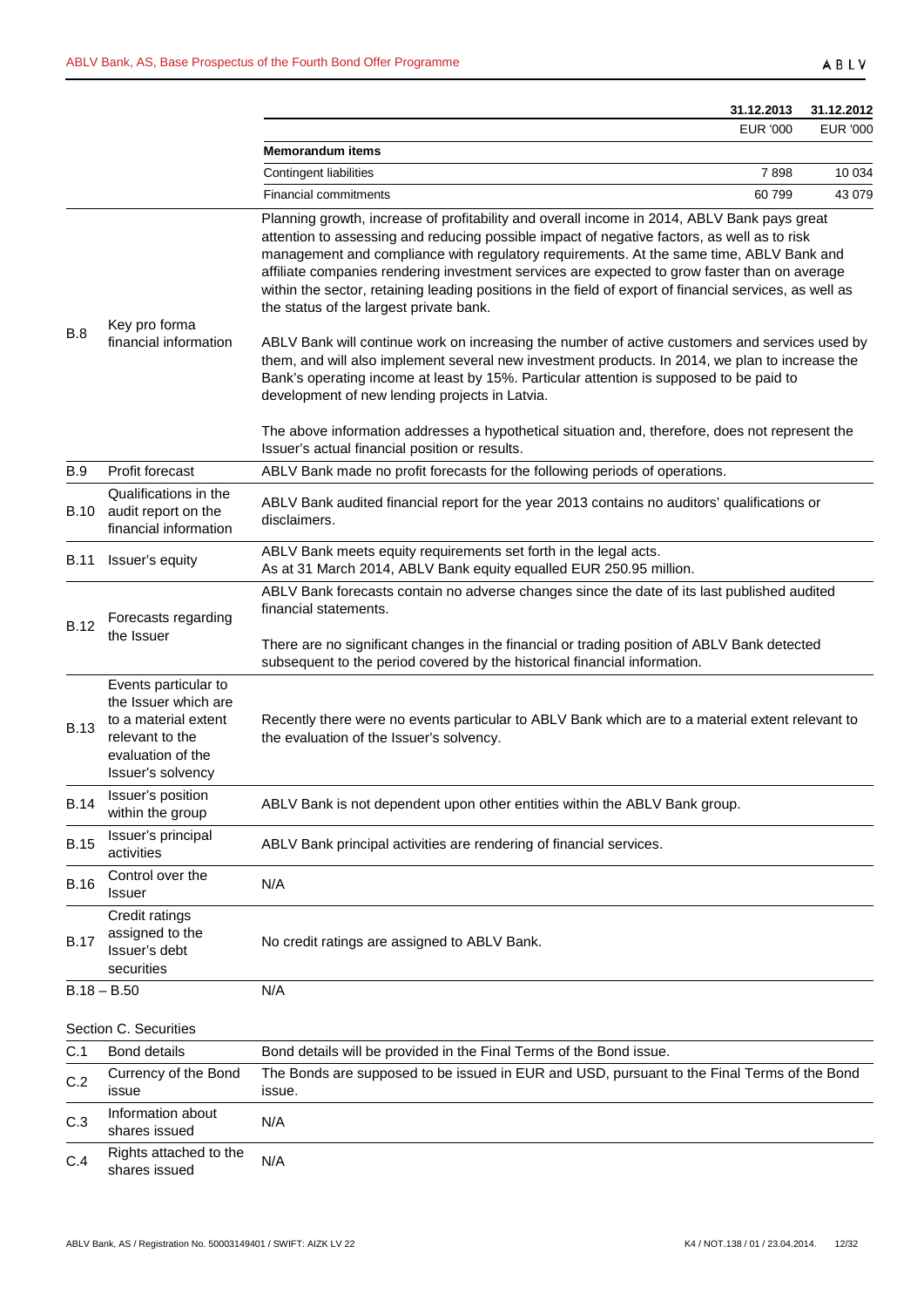|             |                                                                                                                                   | 31.12.2013                                                                                                                                                                                                                                                                                                                                                                                                                                                                                                                                   | 31.12.2012      |
|-------------|-----------------------------------------------------------------------------------------------------------------------------------|----------------------------------------------------------------------------------------------------------------------------------------------------------------------------------------------------------------------------------------------------------------------------------------------------------------------------------------------------------------------------------------------------------------------------------------------------------------------------------------------------------------------------------------------|-----------------|
|             |                                                                                                                                   | <b>EUR '000</b>                                                                                                                                                                                                                                                                                                                                                                                                                                                                                                                              | <b>EUR '000</b> |
|             |                                                                                                                                   | <b>Memorandum items</b><br>7898                                                                                                                                                                                                                                                                                                                                                                                                                                                                                                              | 10 0 34         |
|             |                                                                                                                                   | Contingent liabilities<br><b>Financial commitments</b><br>60799                                                                                                                                                                                                                                                                                                                                                                                                                                                                              | 43 0 79         |
| B.8         | Key pro forma<br>financial information                                                                                            | Planning growth, increase of profitability and overall income in 2014, ABLV Bank pays great<br>attention to assessing and reducing possible impact of negative factors, as well as to risk<br>management and compliance with regulatory requirements. At the same time, ABLV Bank and<br>affiliate companies rendering investment services are expected to grow faster than on average<br>within the sector, retaining leading positions in the field of export of financial services, as well as<br>the status of the largest private bank. |                 |
|             |                                                                                                                                   | ABLV Bank will continue work on increasing the number of active customers and services used by<br>them, and will also implement several new investment products. In 2014, we plan to increase the<br>Bank's operating income at least by 15%. Particular attention is supposed to be paid to<br>development of new lending projects in Latvia.<br>The above information addresses a hypothetical situation and, therefore, does not represent the<br>Issuer's actual financial position or results.                                          |                 |
| <b>B.9</b>  | Profit forecast                                                                                                                   | ABLV Bank made no profit forecasts for the following periods of operations.                                                                                                                                                                                                                                                                                                                                                                                                                                                                  |                 |
| B.10        | Qualifications in the<br>audit report on the<br>financial information                                                             | ABLV Bank audited financial report for the year 2013 contains no auditors' qualifications or<br>disclaimers.                                                                                                                                                                                                                                                                                                                                                                                                                                 |                 |
| <b>B.11</b> | Issuer's equity                                                                                                                   | ABLV Bank meets equity requirements set forth in the legal acts.<br>As at 31 March 2014, ABLV Bank equity equalled EUR 250.95 million.                                                                                                                                                                                                                                                                                                                                                                                                       |                 |
| <b>B.12</b> | Forecasts regarding<br>the Issuer                                                                                                 | ABLV Bank forecasts contain no adverse changes since the date of its last published audited<br>financial statements.<br>There are no significant changes in the financial or trading position of ABLV Bank detected<br>subsequent to the period covered by the historical financial information.                                                                                                                                                                                                                                             |                 |
| <b>B.13</b> | Events particular to<br>the Issuer which are<br>to a material extent<br>relevant to the<br>evaluation of the<br>Issuer's solvency | Recently there were no events particular to ABLV Bank which are to a material extent relevant to<br>the evaluation of the Issuer's solvency.                                                                                                                                                                                                                                                                                                                                                                                                 |                 |
| <b>B.14</b> | Issuer's position<br>within the group                                                                                             | ABLV Bank is not dependent upon other entities within the ABLV Bank group.                                                                                                                                                                                                                                                                                                                                                                                                                                                                   |                 |
| <b>B.15</b> | Issuer's principal<br>activities                                                                                                  | ABLV Bank principal activities are rendering of financial services.                                                                                                                                                                                                                                                                                                                                                                                                                                                                          |                 |
| <b>B.16</b> | Control over the<br><b>Issuer</b>                                                                                                 | N/A                                                                                                                                                                                                                                                                                                                                                                                                                                                                                                                                          |                 |
| <b>B.17</b> | Credit ratings<br>assigned to the<br>Issuer's debt<br>securities                                                                  | No credit ratings are assigned to ABLV Bank.                                                                                                                                                                                                                                                                                                                                                                                                                                                                                                 |                 |
|             | $B.18 - B.50$                                                                                                                     | N/A                                                                                                                                                                                                                                                                                                                                                                                                                                                                                                                                          |                 |
|             | Section C. Securities                                                                                                             |                                                                                                                                                                                                                                                                                                                                                                                                                                                                                                                                              |                 |
| C.1         | <b>Bond details</b>                                                                                                               | Bond details will be provided in the Final Terms of the Bond issue.                                                                                                                                                                                                                                                                                                                                                                                                                                                                          |                 |
| C.2         | Currency of the Bond<br>issue                                                                                                     | The Bonds are supposed to be issued in EUR and USD, pursuant to the Final Terms of the Bond<br>issue.                                                                                                                                                                                                                                                                                                                                                                                                                                        |                 |
| C.3         | Information about<br>shares issued                                                                                                | N/A                                                                                                                                                                                                                                                                                                                                                                                                                                                                                                                                          |                 |
| C.4         | Rights attached to the<br>shares issued                                                                                           | N/A                                                                                                                                                                                                                                                                                                                                                                                                                                                                                                                                          |                 |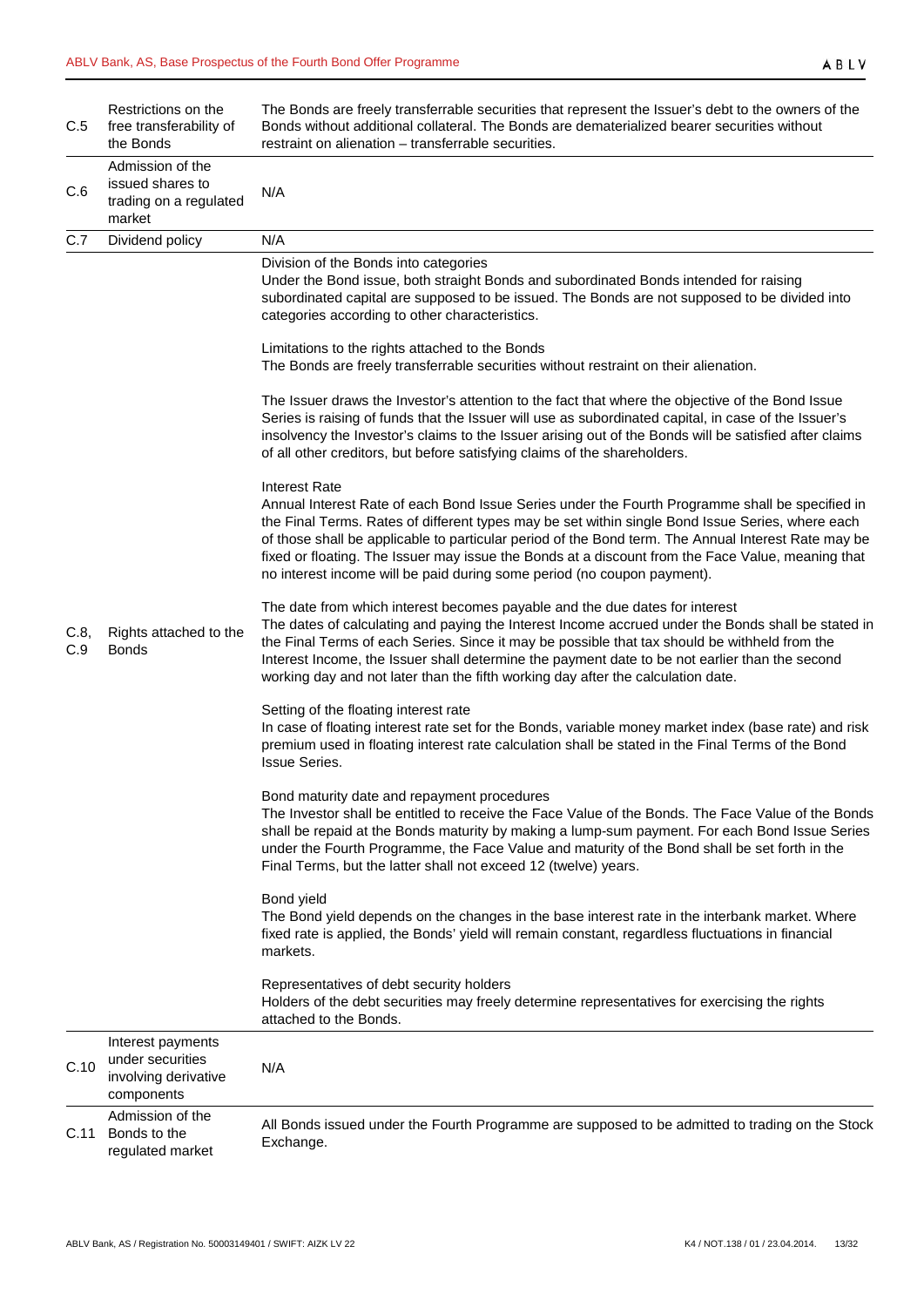| C.5         | Restrictions on the<br>free transferability of<br>the Bonds                 | The Bonds are freely transferrable securities that represent the Issuer's debt to the owners of the<br>Bonds without additional collateral. The Bonds are dematerialized bearer securities without<br>restraint on alienation - transferrable securities.                                                                                                                                                                                                                                                          |
|-------------|-----------------------------------------------------------------------------|--------------------------------------------------------------------------------------------------------------------------------------------------------------------------------------------------------------------------------------------------------------------------------------------------------------------------------------------------------------------------------------------------------------------------------------------------------------------------------------------------------------------|
| C.6         | Admission of the<br>issued shares to<br>trading on a regulated<br>market    | N/A                                                                                                                                                                                                                                                                                                                                                                                                                                                                                                                |
| C.7         | Dividend policy                                                             | N/A                                                                                                                                                                                                                                                                                                                                                                                                                                                                                                                |
|             |                                                                             | Division of the Bonds into categories<br>Under the Bond issue, both straight Bonds and subordinated Bonds intended for raising<br>subordinated capital are supposed to be issued. The Bonds are not supposed to be divided into<br>categories according to other characteristics.                                                                                                                                                                                                                                  |
|             |                                                                             | Limitations to the rights attached to the Bonds<br>The Bonds are freely transferrable securities without restraint on their alienation.                                                                                                                                                                                                                                                                                                                                                                            |
|             |                                                                             | The Issuer draws the Investor's attention to the fact that where the objective of the Bond Issue<br>Series is raising of funds that the Issuer will use as subordinated capital, in case of the Issuer's<br>insolvency the Investor's claims to the Issuer arising out of the Bonds will be satisfied after claims<br>of all other creditors, but before satisfying claims of the shareholders.                                                                                                                    |
|             |                                                                             | <b>Interest Rate</b><br>Annual Interest Rate of each Bond Issue Series under the Fourth Programme shall be specified in<br>the Final Terms. Rates of different types may be set within single Bond Issue Series, where each<br>of those shall be applicable to particular period of the Bond term. The Annual Interest Rate may be<br>fixed or floating. The Issuer may issue the Bonds at a discount from the Face Value, meaning that<br>no interest income will be paid during some period (no coupon payment). |
| C.8,<br>C.9 | Rights attached to the<br><b>Bonds</b>                                      | The date from which interest becomes payable and the due dates for interest<br>The dates of calculating and paying the Interest Income accrued under the Bonds shall be stated in<br>the Final Terms of each Series. Since it may be possible that tax should be withheld from the<br>Interest Income, the Issuer shall determine the payment date to be not earlier than the second<br>working day and not later than the fifth working day after the calculation date.                                           |
|             |                                                                             | Setting of the floating interest rate<br>In case of floating interest rate set for the Bonds, variable money market index (base rate) and risk<br>premium used in floating interest rate calculation shall be stated in the Final Terms of the Bond<br><b>Issue Series.</b>                                                                                                                                                                                                                                        |
|             |                                                                             | Bond maturity date and repayment procedures<br>The Investor shall be entitled to receive the Face Value of the Bonds. The Face Value of the Bonds<br>shall be repaid at the Bonds maturity by making a lump-sum payment. For each Bond Issue Series<br>under the Fourth Programme, the Face Value and maturity of the Bond shall be set forth in the<br>Final Terms, but the latter shall not exceed 12 (twelve) years.                                                                                            |
|             |                                                                             | Bond yield<br>The Bond yield depends on the changes in the base interest rate in the interbank market. Where<br>fixed rate is applied, the Bonds' yield will remain constant, regardless fluctuations in financial<br>markets.                                                                                                                                                                                                                                                                                     |
|             |                                                                             | Representatives of debt security holders<br>Holders of the debt securities may freely determine representatives for exercising the rights<br>attached to the Bonds.                                                                                                                                                                                                                                                                                                                                                |
| C.10        | Interest payments<br>under securities<br>involving derivative<br>components | N/A                                                                                                                                                                                                                                                                                                                                                                                                                                                                                                                |
| C.11        | Admission of the<br>Bonds to the<br>regulated market                        | All Bonds issued under the Fourth Programme are supposed to be admitted to trading on the Stock<br>Exchange.                                                                                                                                                                                                                                                                                                                                                                                                       |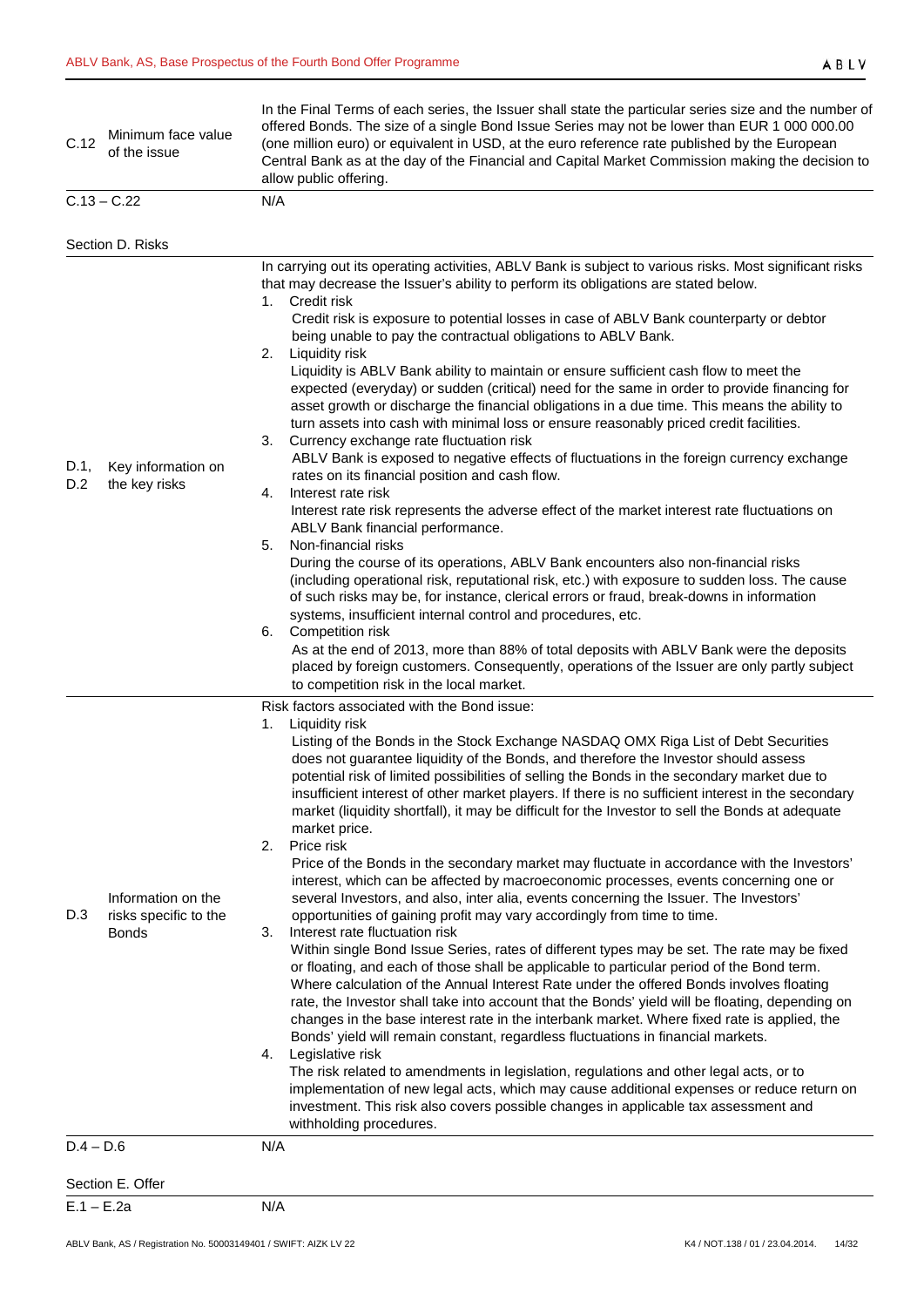| C.12        | Minimum face value<br>of the issue                          | In the Final Terms of each series, the Issuer shall state the particular series size and the number of<br>offered Bonds. The size of a single Bond Issue Series may not be lower than EUR 1 000 000.00<br>(one million euro) or equivalent in USD, at the euro reference rate published by the European<br>Central Bank as at the day of the Financial and Capital Market Commission making the decision to<br>allow public offering.                                                                                                                                                                                                                                                                                                                                                                                                                                                                                                                                                                                                                                                                                                                                                                                                                                                                                                                                                                                                                                                                                                                                                                                                                                                                                                                                                                                                                                                                             |
|-------------|-------------------------------------------------------------|-------------------------------------------------------------------------------------------------------------------------------------------------------------------------------------------------------------------------------------------------------------------------------------------------------------------------------------------------------------------------------------------------------------------------------------------------------------------------------------------------------------------------------------------------------------------------------------------------------------------------------------------------------------------------------------------------------------------------------------------------------------------------------------------------------------------------------------------------------------------------------------------------------------------------------------------------------------------------------------------------------------------------------------------------------------------------------------------------------------------------------------------------------------------------------------------------------------------------------------------------------------------------------------------------------------------------------------------------------------------------------------------------------------------------------------------------------------------------------------------------------------------------------------------------------------------------------------------------------------------------------------------------------------------------------------------------------------------------------------------------------------------------------------------------------------------------------------------------------------------------------------------------------------------|
|             | $C.13 - C.22$                                               | N/A                                                                                                                                                                                                                                                                                                                                                                                                                                                                                                                                                                                                                                                                                                                                                                                                                                                                                                                                                                                                                                                                                                                                                                                                                                                                                                                                                                                                                                                                                                                                                                                                                                                                                                                                                                                                                                                                                                               |
|             | Section D. Risks                                            |                                                                                                                                                                                                                                                                                                                                                                                                                                                                                                                                                                                                                                                                                                                                                                                                                                                                                                                                                                                                                                                                                                                                                                                                                                                                                                                                                                                                                                                                                                                                                                                                                                                                                                                                                                                                                                                                                                                   |
| D.1,<br>D.2 | Key information on<br>the key risks                         | In carrying out its operating activities, ABLV Bank is subject to various risks. Most significant risks<br>that may decrease the Issuer's ability to perform its obligations are stated below.<br>1. Credit risk<br>Credit risk is exposure to potential losses in case of ABLV Bank counterparty or debtor<br>being unable to pay the contractual obligations to ABLV Bank.<br>2.<br>Liquidity risk<br>Liquidity is ABLV Bank ability to maintain or ensure sufficient cash flow to meet the<br>expected (everyday) or sudden (critical) need for the same in order to provide financing for<br>asset growth or discharge the financial obligations in a due time. This means the ability to<br>turn assets into cash with minimal loss or ensure reasonably priced credit facilities.<br>3. Currency exchange rate fluctuation risk<br>ABLV Bank is exposed to negative effects of fluctuations in the foreign currency exchange<br>rates on its financial position and cash flow.<br>Interest rate risk<br>4.<br>Interest rate risk represents the adverse effect of the market interest rate fluctuations on<br>ABLV Bank financial performance.<br>Non-financial risks<br>5.<br>During the course of its operations, ABLV Bank encounters also non-financial risks<br>(including operational risk, reputational risk, etc.) with exposure to sudden loss. The cause<br>of such risks may be, for instance, clerical errors or fraud, break-downs in information<br>systems, insufficient internal control and procedures, etc.<br>6. Competition risk<br>As at the end of 2013, more than 88% of total deposits with ABLV Bank were the deposits<br>placed by foreign customers. Consequently, operations of the Issuer are only partly subject<br>to competition risk in the local market.                                                                                                                  |
| D.3         | Information on the<br>risks specific to the<br><b>Bonds</b> | Risk factors associated with the Bond issue:<br>Liquidity risk<br>1.<br>Listing of the Bonds in the Stock Exchange NASDAQ OMX Riga List of Debt Securities<br>does not guarantee liquidity of the Bonds, and therefore the Investor should assess<br>potential risk of limited possibilities of selling the Bonds in the secondary market due to<br>insufficient interest of other market players. If there is no sufficient interest in the secondary<br>market (liquidity shortfall), it may be difficult for the Investor to sell the Bonds at adequate<br>market price.<br>2.<br>Price risk<br>Price of the Bonds in the secondary market may fluctuate in accordance with the Investors'<br>interest, which can be affected by macroeconomic processes, events concerning one or<br>several Investors, and also, inter alia, events concerning the Issuer. The Investors'<br>opportunities of gaining profit may vary accordingly from time to time.<br>Interest rate fluctuation risk<br>3.<br>Within single Bond Issue Series, rates of different types may be set. The rate may be fixed<br>or floating, and each of those shall be applicable to particular period of the Bond term.<br>Where calculation of the Annual Interest Rate under the offered Bonds involves floating<br>rate, the Investor shall take into account that the Bonds' yield will be floating, depending on<br>changes in the base interest rate in the interbank market. Where fixed rate is applied, the<br>Bonds' yield will remain constant, regardless fluctuations in financial markets.<br>Legislative risk<br>4.<br>The risk related to amendments in legislation, regulations and other legal acts, or to<br>implementation of new legal acts, which may cause additional expenses or reduce return on<br>investment. This risk also covers possible changes in applicable tax assessment and<br>withholding procedures. |
| $D.4 - D.6$ |                                                             | N/A                                                                                                                                                                                                                                                                                                                                                                                                                                                                                                                                                                                                                                                                                                                                                                                                                                                                                                                                                                                                                                                                                                                                                                                                                                                                                                                                                                                                                                                                                                                                                                                                                                                                                                                                                                                                                                                                                                               |
|             | Section E. Offer                                            |                                                                                                                                                                                                                                                                                                                                                                                                                                                                                                                                                                                                                                                                                                                                                                                                                                                                                                                                                                                                                                                                                                                                                                                                                                                                                                                                                                                                                                                                                                                                                                                                                                                                                                                                                                                                                                                                                                                   |
|             | $E.1 - E.2a$                                                | N/A                                                                                                                                                                                                                                                                                                                                                                                                                                                                                                                                                                                                                                                                                                                                                                                                                                                                                                                                                                                                                                                                                                                                                                                                                                                                                                                                                                                                                                                                                                                                                                                                                                                                                                                                                                                                                                                                                                               |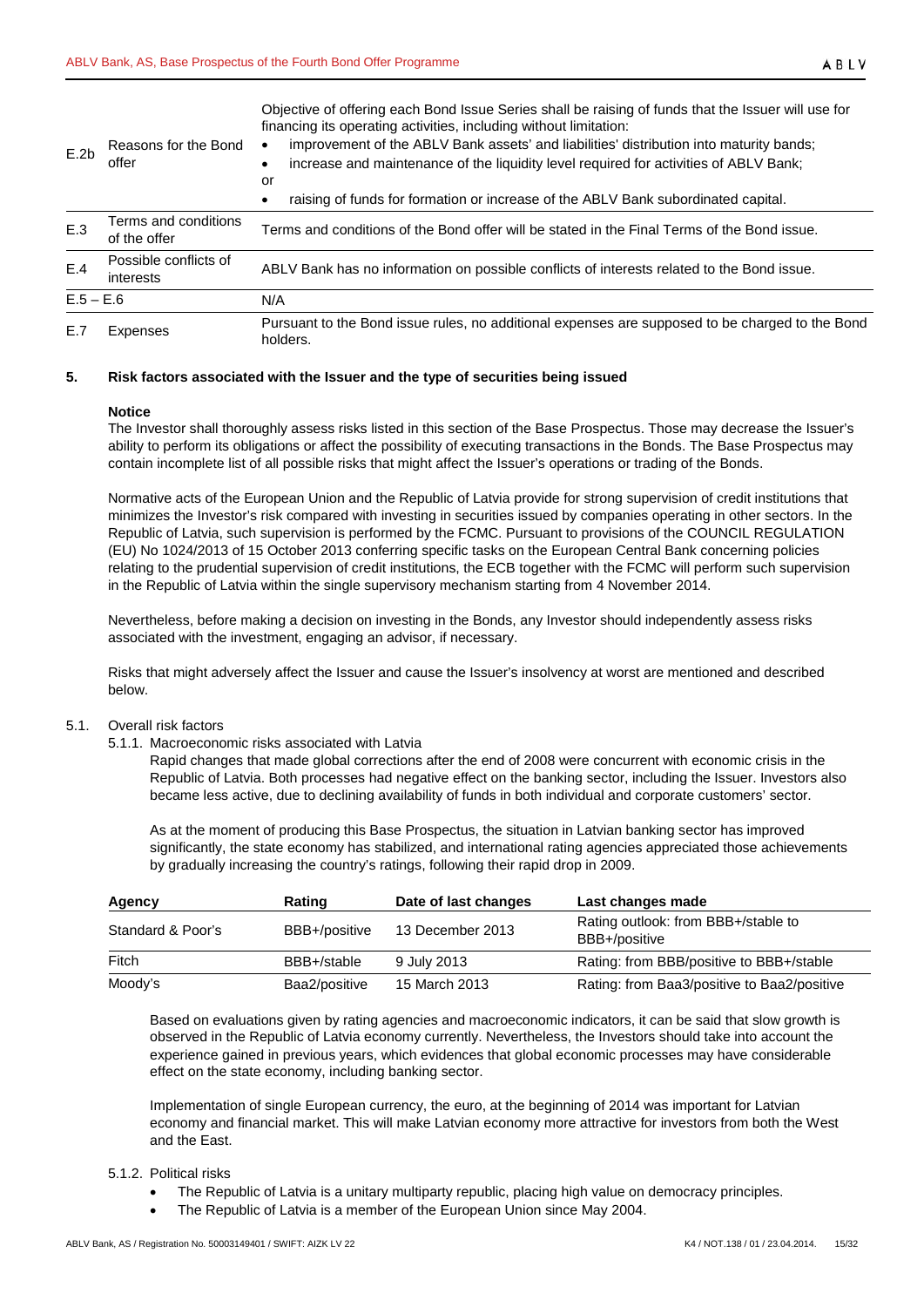Objective of offering each Bond Issue Series shall be raising of funds that the Issuer will use for financing its operating activities, including without limitation:

| E.2b        | Reasons for the Bond<br>offer        | improvement of the ABLV Bank assets' and liabilities' distribution into maturity bands;<br>increase and maintenance of the liquidity level required for activities of ABLV Bank;<br>or |
|-------------|--------------------------------------|----------------------------------------------------------------------------------------------------------------------------------------------------------------------------------------|
|             |                                      | raising of funds for formation or increase of the ABLV Bank subordinated capital.                                                                                                      |
| E.3         | Terms and conditions<br>of the offer | Terms and conditions of the Bond offer will be stated in the Final Terms of the Bond issue.                                                                                            |
| E.4         | Possible conflicts of<br>interests   | ABLV Bank has no information on possible conflicts of interests related to the Bond issue.                                                                                             |
| $E.5 - E.6$ |                                      | N/A                                                                                                                                                                                    |
| E.7         | Expenses                             | Pursuant to the Bond issue rules, no additional expenses are supposed to be charged to the Bond<br>holders.                                                                            |

#### <span id="page-14-0"></span>**5. Risk factors associated with the Issuer and the type of securities being issued**

#### **Notice**

The Investor shall thoroughly assess risks listed in this section of the Base Prospectus. Those may decrease the Issuer's ability to perform its obligations or affect the possibility of executing transactions in the Bonds. The Base Prospectus may contain incomplete list of all possible risks that might affect the Issuer's operations or trading of the Bonds.

Normative acts of the European Union and the Republic of Latvia provide for strong supervision of credit institutions that minimizes the Investor's risk compared with investing in securities issued by companies operating in other sectors. In the Republic of Latvia, such supervision is performed by the FCMC. Pursuant to provisions of the COUNCIL REGULATION (EU) No 1024/2013 of 15 October 2013 conferring specific tasks on the European Central Bank concerning policies relating to the prudential supervision of credit institutions, the ECB together with the FCMC will perform such supervision in the Republic of Latvia within the single supervisory mechanism starting from 4 November 2014.

Nevertheless, before making a decision on investing in the Bonds, any Investor should independently assess risks associated with the investment, engaging an advisor, if necessary.

Risks that might adversely affect the Issuer and cause the Issuer's insolvency at worst are mentioned and described below.

#### <span id="page-14-2"></span><span id="page-14-1"></span>5.1. Overall risk factors

5.1.1. Macroeconomic risks associated with Latvia

Rapid changes that made global corrections after the end of 2008 were concurrent with economic crisis in the Republic of Latvia. Both processes had negative effect on the banking sector, including the Issuer. Investors also became less active, due to declining availability of funds in both individual and corporate customers' sector.

As at the moment of producing this Base Prospectus, the situation in Latvian banking sector has improved significantly, the state economy has stabilized, and international rating agencies appreciated those achievements by gradually increasing the country's ratings, following their rapid drop in 2009.

| Agency            | Rating        | Date of last changes | Last changes made                                    |
|-------------------|---------------|----------------------|------------------------------------------------------|
| Standard & Poor's | BBB+/positive | 13 December 2013     | Rating outlook: from BBB+/stable to<br>BBB+/positive |
| Fitch             | BBB+/stable   | 9 July 2013          | Rating: from BBB/positive to BBB+/stable             |
| Moody's           | Baa2/positive | 15 March 2013        | Rating: from Baa3/positive to Baa2/positive          |

Based on evaluations given by rating agencies and macroeconomic indicators, it can be said that slow growth is observed in the Republic of Latvia economy currently. Nevertheless, the Investors should take into account the experience gained in previous years, which evidences that global economic processes may have considerable effect on the state economy, including banking sector.

Implementation of single European currency, the euro, at the beginning of 2014 was important for Latvian economy and financial market. This will make Latvian economy more attractive for investors from both the West and the East.

# <span id="page-14-3"></span>5.1.2. Political risks

- The Republic of Latvia is a unitary multiparty republic, placing high value on democracy principles.
- The Republic of Latvia is a member of the European Union since May 2004.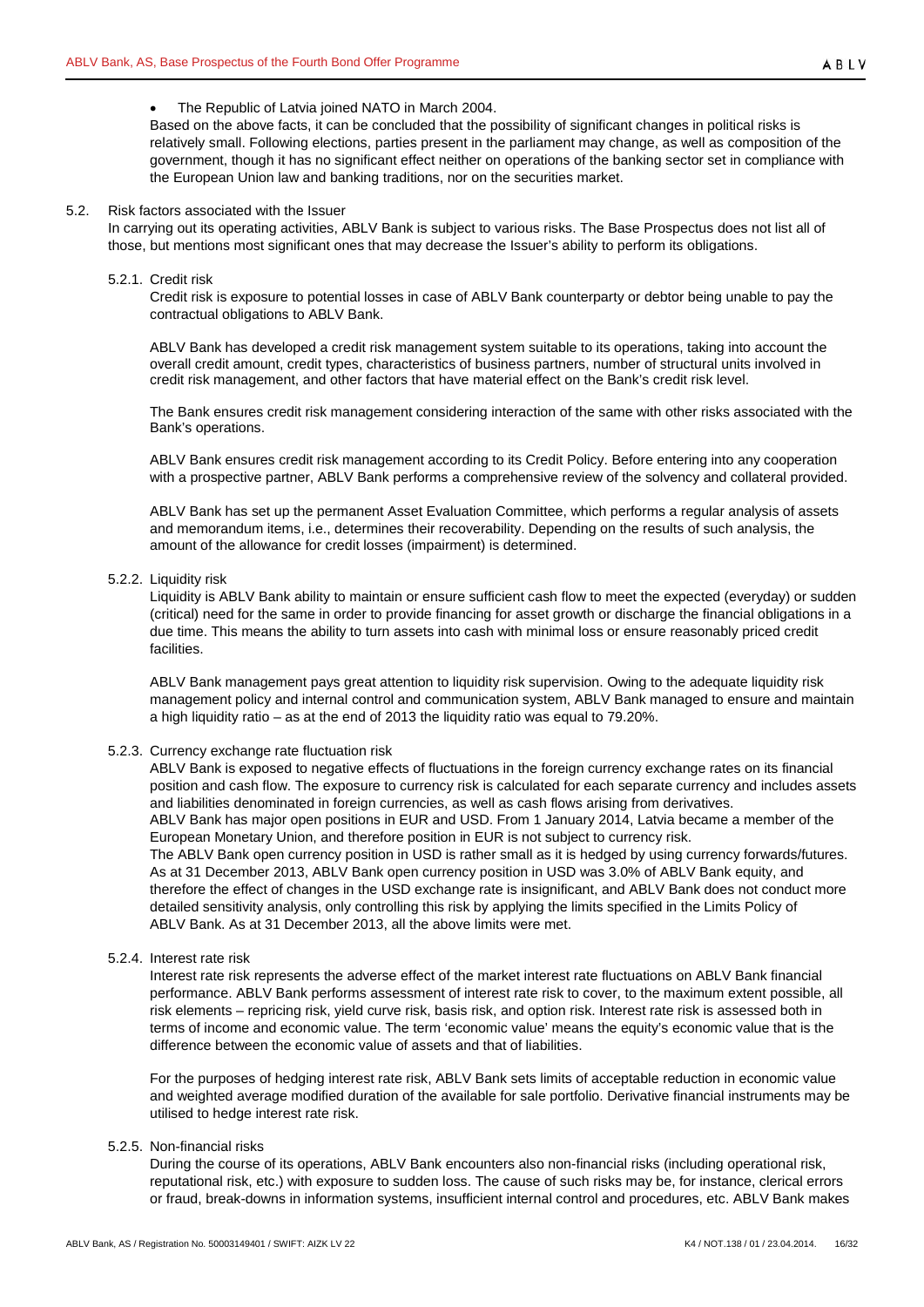#### • The Republic of Latvia joined NATO in March 2004.

Based on the above facts, it can be concluded that the possibility of significant changes in political risks is relatively small. Following elections, parties present in the parliament may change, as well as composition of the government, though it has no significant effect neither on operations of the banking sector set in compliance with the European Union law and banking traditions, nor on the securities market.

#### <span id="page-15-0"></span>5.2. Risk factors associated with the Issuer

In carrying out its operating activities, ABLV Bank is subject to various risks. The Base Prospectus does not list all of those, but mentions most significant ones that may decrease the Issuer's ability to perform its obligations.

#### <span id="page-15-1"></span>5.2.1. Credit risk

Credit risk is exposure to potential losses in case of ABLV Bank counterparty or debtor being unable to pay the contractual obligations to ABLV Bank.

ABLV Bank has developed a credit risk management system suitable to its operations, taking into account the overall credit amount, credit types, characteristics of business partners, number of structural units involved in credit risk management, and other factors that have material effect on the Bank's credit risk level.

The Bank ensures credit risk management considering interaction of the same with other risks associated with the Bank's operations.

ABLV Bank ensures credit risk management according to its Credit Policy. Before entering into any cooperation with a prospective partner, ABLV Bank performs a comprehensive review of the solvency and collateral provided.

ABLV Bank has set up the permanent Asset Evaluation Committee, which performs a regular analysis of assets and memorandum items, i.e., determines their recoverability. Depending on the results of such analysis, the amount of the allowance for credit losses (impairment) is determined.

# <span id="page-15-2"></span>5.2.2. Liquidity risk

Liquidity is ABLV Bank ability to maintain or ensure sufficient cash flow to meet the expected (everyday) or sudden (critical) need for the same in order to provide financing for asset growth or discharge the financial obligations in a due time. This means the ability to turn assets into cash with minimal loss or ensure reasonably priced credit facilities.

ABLV Bank management pays great attention to liquidity risk supervision. Owing to the adequate liquidity risk management policy and internal control and communication system, ABLV Bank managed to ensure and maintain a high liquidity ratio – as at the end of 2013 the liquidity ratio was equal to 79.20%.

## <span id="page-15-3"></span>5.2.3. Currency exchange rate fluctuation risk

ABLV Bank is exposed to negative effects of fluctuations in the foreign currency exchange rates on its financial position and cash flow. The exposure to currency risk is calculated for each separate currency and includes assets and liabilities denominated in foreign currencies, as well as cash flows arising from derivatives. ABLV Bank has major open positions in EUR and USD. From 1 January 2014, Latvia became a member of the European Monetary Union, and therefore position in EUR is not subject to currency risk. The ABLV Bank open currency position in USD is rather small as it is hedged by using currency forwards/futures. As at 31 December 2013, ABLV Bank open currency position in USD was 3.0% of ABLV Bank equity, and therefore the effect of changes in the USD exchange rate is insignificant, and ABLV Bank does not conduct more detailed sensitivity analysis, only controlling this risk by applying the limits specified in the Limits Policy of ABLV Bank. As at 31 December 2013, all the above limits were met.

#### <span id="page-15-4"></span>5.2.4. Interest rate risk

Interest rate risk represents the adverse effect of the market interest rate fluctuations on ABLV Bank financial performance. ABLV Bank performs assessment of interest rate risk to cover, to the maximum extent possible, all risk elements – repricing risk, yield curve risk, basis risk, and option risk. Interest rate risk is assessed both in terms of income and economic value. The term 'economic value' means the equity's economic value that is the difference between the economic value of assets and that of liabilities.

For the purposes of hedging interest rate risk, ABLV Bank sets limits of acceptable reduction in economic value and weighted average modified duration of the available for sale portfolio. Derivative financial instruments may be utilised to hedge interest rate risk.

# <span id="page-15-5"></span>5.2.5. Non-financial risks

During the course of its operations, ABLV Bank encounters also non-financial risks (including operational risk, reputational risk, etc.) with exposure to sudden loss. The cause of such risks may be, for instance, clerical errors or fraud, break-downs in information systems, insufficient internal control and procedures, etc. ABLV Bank makes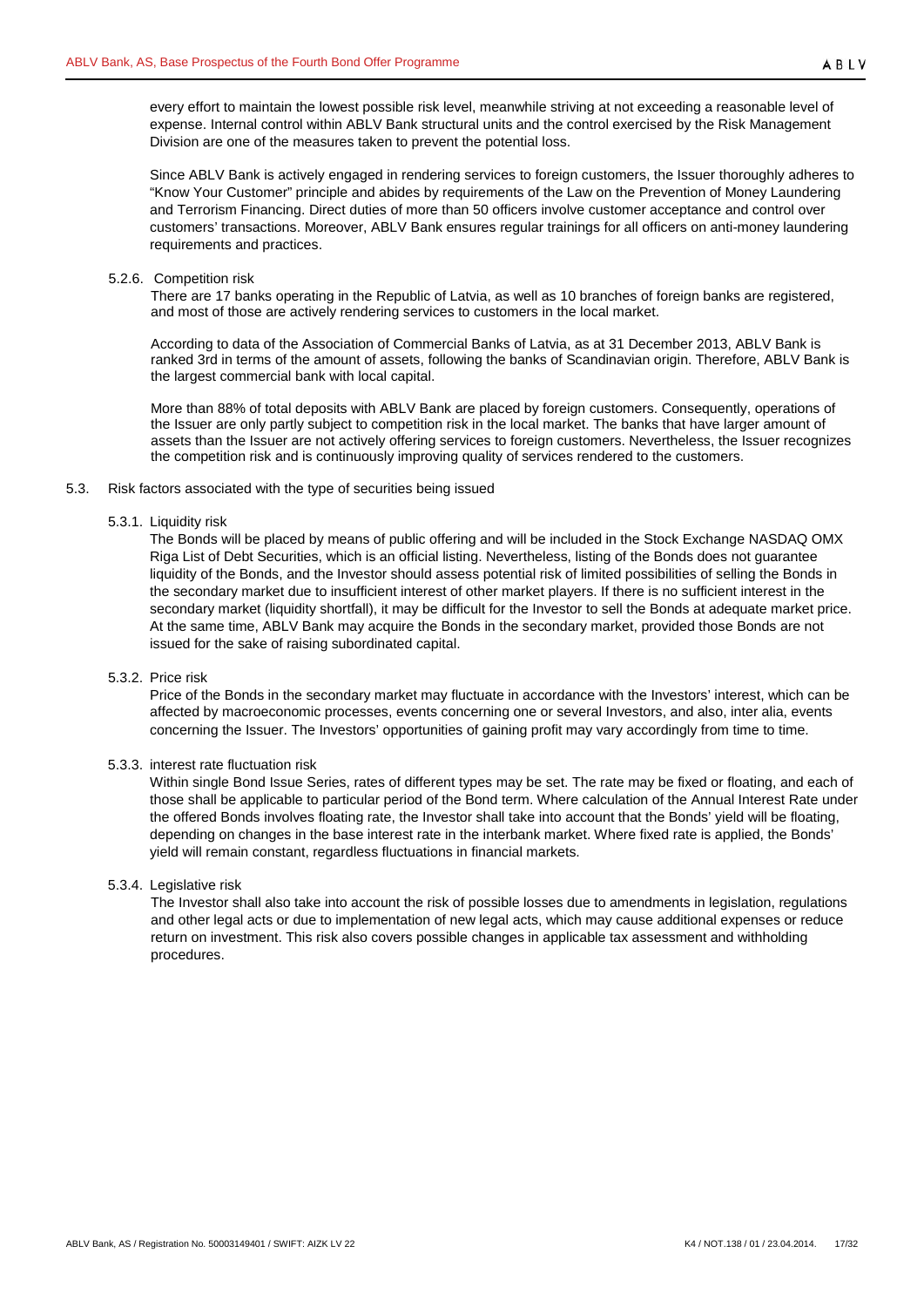every effort to maintain the lowest possible risk level, meanwhile striving at not exceeding a reasonable level of expense. Internal control within ABLV Bank structural units and the control exercised by the Risk Management Division are one of the measures taken to prevent the potential loss.

Since ABLV Bank is actively engaged in rendering services to foreign customers, the Issuer thoroughly adheres to "Know Your Customer" principle and abides by requirements of the Law on the Prevention of Money Laundering and Terrorism Financing. Direct duties of more than 50 officers involve customer acceptance and control over customers' transactions. Moreover, ABLV Bank ensures regular trainings for all officers on anti-money laundering requirements and practices.

#### <span id="page-16-0"></span>5.2.6. Competition risk

There are 17 banks operating in the Republic of Latvia, as well as 10 branches of foreign banks are registered, and most of those are actively rendering services to customers in the local market.

According to data of the Association of Commercial Banks of Latvia, as at 31 December 2013, ABLV Bank is ranked 3rd in terms of the amount of assets, following the banks of Scandinavian origin. Therefore, ABLV Bank is the largest commercial bank with local capital.

More than 88% of total deposits with ABLV Bank are placed by foreign customers. Consequently, operations of the Issuer are only partly subject to competition risk in the local market. The banks that have larger amount of assets than the Issuer are not actively offering services to foreign customers. Nevertheless, the Issuer recognizes the competition risk and is continuously improving quality of services rendered to the customers.

## <span id="page-16-2"></span><span id="page-16-1"></span>5.3. Risk factors associated with the type of securities being issued

## 5.3.1. Liquidity risk

The Bonds will be placed by means of public offering and will be included in the Stock Exchange NASDAQ OMX Riga List of Debt Securities, which is an official listing. Nevertheless, listing of the Bonds does not guarantee liquidity of the Bonds, and the Investor should assess potential risk of limited possibilities of selling the Bonds in the secondary market due to insufficient interest of other market players. If there is no sufficient interest in the secondary market (liquidity shortfall), it may be difficult for the Investor to sell the Bonds at adequate market price. At the same time, ABLV Bank may acquire the Bonds in the secondary market, provided those Bonds are not issued for the sake of raising subordinated capital.

# <span id="page-16-3"></span>5.3.2. Price risk

Price of the Bonds in the secondary market may fluctuate in accordance with the Investors' interest, which can be affected by macroeconomic processes, events concerning one or several Investors, and also, inter alia, events concerning the Issuer. The Investors' opportunities of gaining profit may vary accordingly from time to time.

## <span id="page-16-4"></span>5.3.3. interest rate fluctuation risk

Within single Bond Issue Series, rates of different types may be set. The rate may be fixed or floating, and each of those shall be applicable to particular period of the Bond term. Where calculation of the Annual Interest Rate under the offered Bonds involves floating rate, the Investor shall take into account that the Bonds' yield will be floating, depending on changes in the base interest rate in the interbank market. Where fixed rate is applied, the Bonds' yield will remain constant, regardless fluctuations in financial markets.

# <span id="page-16-5"></span>5.3.4. Legislative risk

The Investor shall also take into account the risk of possible losses due to amendments in legislation, regulations and other legal acts or due to implementation of new legal acts, which may cause additional expenses or reduce return on investment. This risk also covers possible changes in applicable tax assessment and withholding procedures.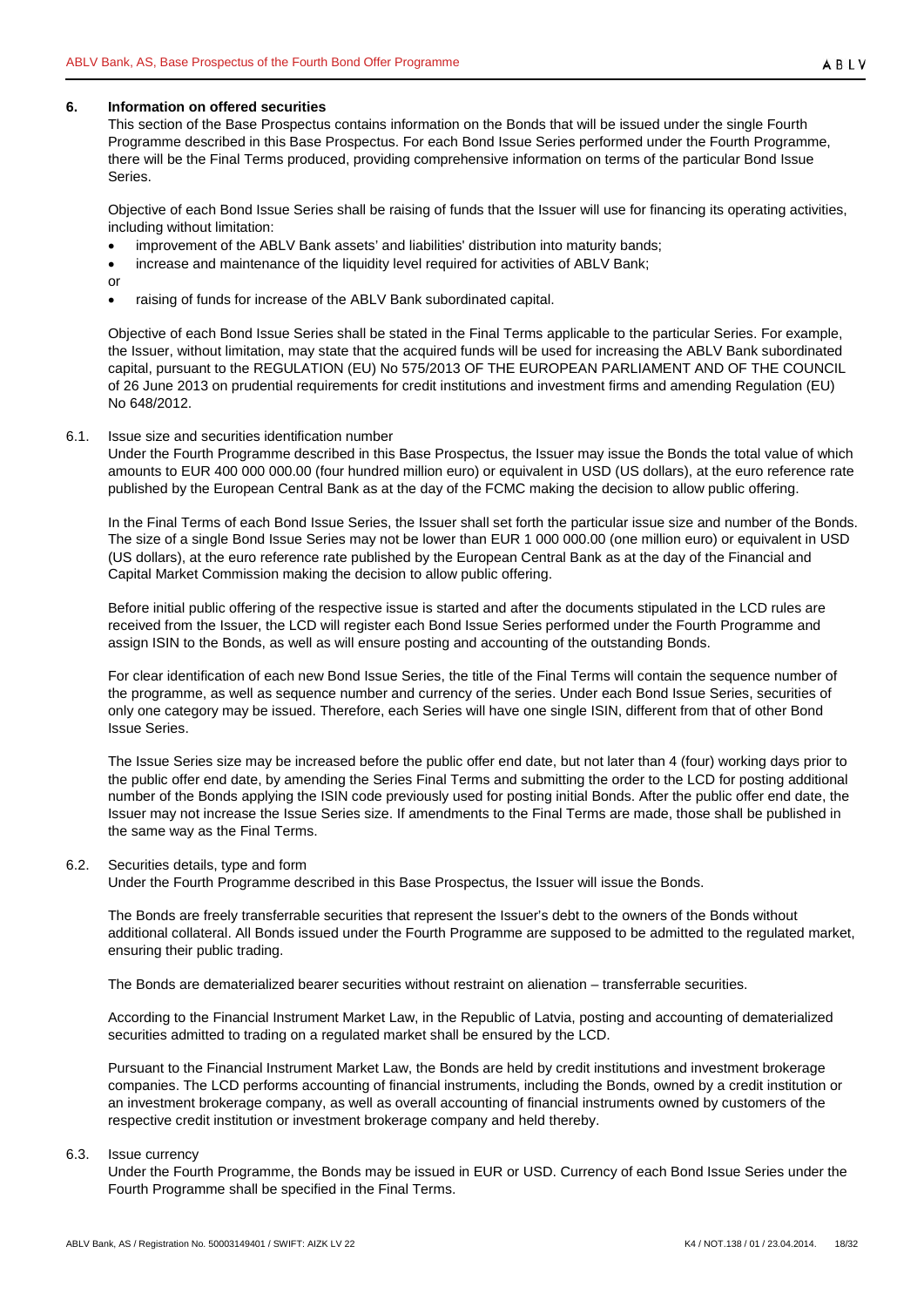#### <span id="page-17-0"></span>**6. Information on offered securities**

This section of the Base Prospectus contains information on the Bonds that will be issued under the single Fourth Programme described in this Base Prospectus. For each Bond Issue Series performed under the Fourth Programme, there will be the Final Terms produced, providing comprehensive information on terms of the particular Bond Issue Series.

Objective of each Bond Issue Series shall be raising of funds that the Issuer will use for financing its operating activities, including without limitation:

- improvement of the ABLV Bank assets' and liabilities' distribution into maturity bands;
- increase and maintenance of the liquidity level required for activities of ABLV Bank;
- or
	- raising of funds for increase of the ABLV Bank subordinated capital.

Objective of each Bond Issue Series shall be stated in the Final Terms applicable to the particular Series. For example, the Issuer, without limitation, may state that the acquired funds will be used for increasing the ABLV Bank subordinated capital, pursuant to the REGULATION (EU) No 575/2013 OF THE EUROPEAN PARLIAMENT AND OF THE COUNCIL of 26 June 2013 on prudential requirements for credit institutions and investment firms and amending Regulation (EU) No 648/2012.

#### <span id="page-17-1"></span>6.1. Issue size and securities identification number

Under the Fourth Programme described in this Base Prospectus, the Issuer may issue the Bonds the total value of which amounts to EUR 400 000 000.00 (four hundred million euro) or equivalent in USD (US dollars), at the euro reference rate published by the European Central Bank as at the day of the FCMC making the decision to allow public offering.

In the Final Terms of each Bond Issue Series, the Issuer shall set forth the particular issue size and number of the Bonds. The size of a single Bond Issue Series may not be lower than EUR 1 000 000.00 (one million euro) or equivalent in USD (US dollars), at the euro reference rate published by the European Central Bank as at the day of the Financial and Capital Market Commission making the decision to allow public offering.

Before initial public offering of the respective issue is started and after the documents stipulated in the LCD rules are received from the Issuer, the LCD will register each Bond Issue Series performed under the Fourth Programme and assign ISIN to the Bonds, as well as will ensure posting and accounting of the outstanding Bonds.

For clear identification of each new Bond Issue Series, the title of the Final Terms will contain the sequence number of the programme, as well as sequence number and currency of the series. Under each Bond Issue Series, securities of only one category may be issued. Therefore, each Series will have one single ISIN, different from that of other Bond Issue Series.

The Issue Series size may be increased before the public offer end date, but not later than 4 (four) working days prior to the public offer end date, by amending the Series Final Terms and submitting the order to the LCD for posting additional number of the Bonds applying the ISIN code previously used for posting initial Bonds. After the public offer end date, the Issuer may not increase the Issue Series size. If amendments to the Final Terms are made, those shall be published in the same way as the Final Terms.

#### <span id="page-17-2"></span>6.2. Securities details, type and form

Under the Fourth Programme described in this Base Prospectus, the Issuer will issue the Bonds.

The Bonds are freely transferrable securities that represent the Issuer's debt to the owners of the Bonds without additional collateral. All Bonds issued under the Fourth Programme are supposed to be admitted to the regulated market, ensuring their public trading.

The Bonds are dematerialized bearer securities without restraint on alienation – transferrable securities.

According to the Financial Instrument Market Law, in the Republic of Latvia, posting and accounting of dematerialized securities admitted to trading on a regulated market shall be ensured by the LCD.

Pursuant to the Financial Instrument Market Law, the Bonds are held by credit institutions and investment brokerage companies. The LCD performs accounting of financial instruments, including the Bonds, owned by a credit institution or an investment brokerage company, as well as overall accounting of financial instruments owned by customers of the respective credit institution or investment brokerage company and held thereby.

#### <span id="page-17-3"></span>6.3. Issue currency

Under the Fourth Programme, the Bonds may be issued in EUR or USD. Currency of each Bond Issue Series under the Fourth Programme shall be specified in the Final Terms.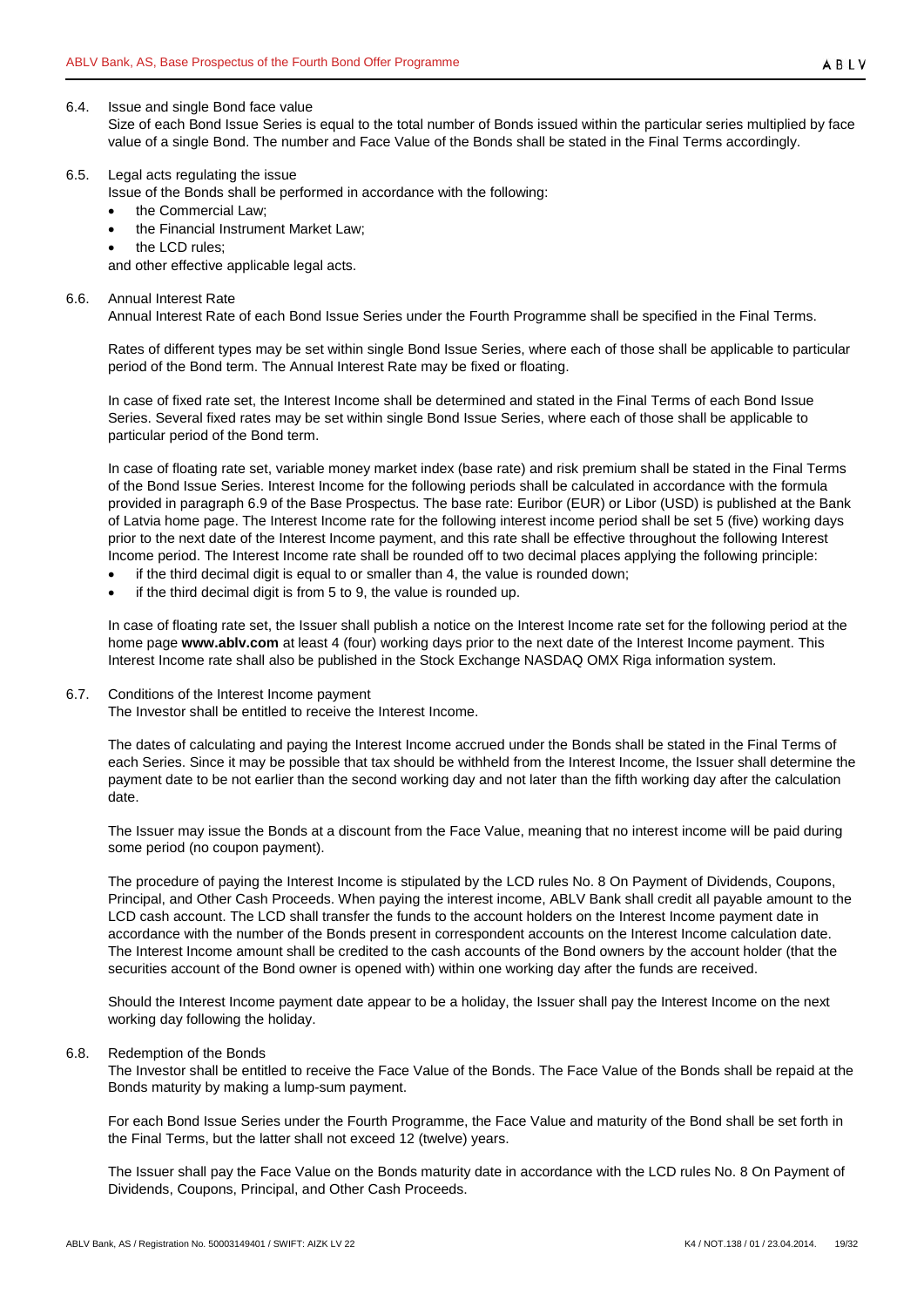#### <span id="page-18-0"></span>6.4. Issue and single Bond face value

Size of each Bond Issue Series is equal to the total number of Bonds issued within the particular series multiplied by face value of a single Bond. The number and Face Value of the Bonds shall be stated in the Final Terms accordingly.

#### <span id="page-18-1"></span>6.5. Legal acts regulating the issue

Issue of the Bonds shall be performed in accordance with the following:

- the Commercial Law;
- the Financial Instrument Market Law;
- the LCD rules;

and other effective applicable legal acts.

<span id="page-18-2"></span>6.6. Annual Interest Rate

Annual Interest Rate of each Bond Issue Series under the Fourth Programme shall be specified in the Final Terms.

Rates of different types may be set within single Bond Issue Series, where each of those shall be applicable to particular period of the Bond term. The Annual Interest Rate may be fixed or floating.

In case of fixed rate set, the Interest Income shall be determined and stated in the Final Terms of each Bond Issue Series. Several fixed rates may be set within single Bond Issue Series, where each of those shall be applicable to particular period of the Bond term.

In case of floating rate set, variable money market index (base rate) and risk premium shall be stated in the Final Terms of the Bond Issue Series. Interest Income for the following periods shall be calculated in accordance with the formula provided in paragraph [6.9](#page-19-0) of the Base Prospectus. The base rate: Euribor (EUR) or Libor (USD) is published at the Bank of Latvia home page. The Interest Income rate for the following interest income period shall be set 5 (five) working days prior to the next date of the Interest Income payment, and this rate shall be effective throughout the following Interest Income period. The Interest Income rate shall be rounded off to two decimal places applying the following principle:

- if the third decimal digit is equal to or smaller than 4, the value is rounded down;
- if the third decimal digit is from 5 to 9, the value is rounded up.

In case of floating rate set, the Issuer shall publish a notice on the Interest Income rate set for the following period at the home page **www.ablv.com** at least 4 (four) working days prior to the next date of the Interest Income payment. This Interest Income rate shall also be published in the Stock Exchange NASDAQ OMX Riga information system.

<span id="page-18-3"></span>6.7. Conditions of the Interest Income payment

The Investor shall be entitled to receive the Interest Income.

The dates of calculating and paying the Interest Income accrued under the Bonds shall be stated in the Final Terms of each Series. Since it may be possible that tax should be withheld from the Interest Income, the Issuer shall determine the payment date to be not earlier than the second working day and not later than the fifth working day after the calculation date.

The Issuer may issue the Bonds at a discount from the Face Value, meaning that no interest income will be paid during some period (no coupon payment).

The procedure of paying the Interest Income is stipulated by the LCD rules No. 8 On Payment of Dividends, Coupons, Principal, and Other Cash Proceeds. When paying the interest income, ABLV Bank shall credit all payable amount to the LCD cash account. The LCD shall transfer the funds to the account holders on the Interest Income payment date in accordance with the number of the Bonds present in correspondent accounts on the Interest Income calculation date. The Interest Income amount shall be credited to the cash accounts of the Bond owners by the account holder (that the securities account of the Bond owner is opened with) within one working day after the funds are received.

Should the Interest Income payment date appear to be a holiday, the Issuer shall pay the Interest Income on the next working day following the holiday.

#### <span id="page-18-4"></span>6.8. Redemption of the Bonds

The Investor shall be entitled to receive the Face Value of the Bonds. The Face Value of the Bonds shall be repaid at the Bonds maturity by making a lump-sum payment.

For each Bond Issue Series under the Fourth Programme, the Face Value and maturity of the Bond shall be set forth in the Final Terms, but the latter shall not exceed 12 (twelve) years.

The Issuer shall pay the Face Value on the Bonds maturity date in accordance with the LCD rules No. 8 On Payment of Dividends, Coupons, Principal, and Other Cash Proceeds.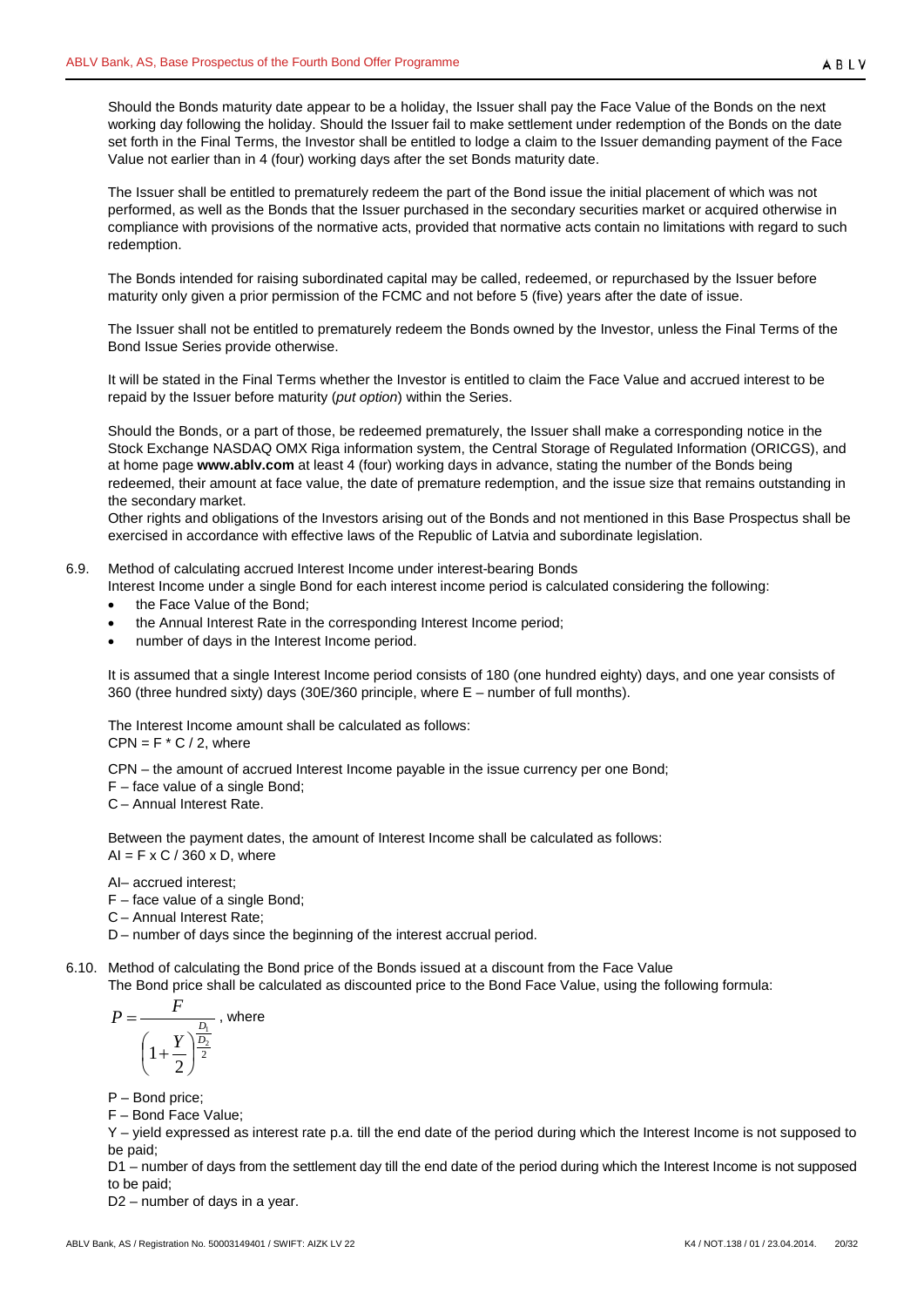Should the Bonds maturity date appear to be a holiday, the Issuer shall pay the Face Value of the Bonds on the next working day following the holiday. Should the Issuer fail to make settlement under redemption of the Bonds on the date set forth in the Final Terms, the Investor shall be entitled to lodge a claim to the Issuer demanding payment of the Face Value not earlier than in 4 (four) working days after the set Bonds maturity date.

The Issuer shall be entitled to prematurely redeem the part of the Bond issue the initial placement of which was not performed, as well as the Bonds that the Issuer purchased in the secondary securities market or acquired otherwise in compliance with provisions of the normative acts, provided that normative acts contain no limitations with regard to such redemption.

The Bonds intended for raising subordinated capital may be called, redeemed, or repurchased by the Issuer before maturity only given a prior permission of the FCMC and not before 5 (five) years after the date of issue.

The Issuer shall not be entitled to prematurely redeem the Bonds owned by the Investor, unless the Final Terms of the Bond Issue Series provide otherwise.

It will be stated in the Final Terms whether the Investor is entitled to claim the Face Value and accrued interest to be repaid by the Issuer before maturity (*put option*) within the Series.

Should the Bonds, or a part of those, be redeemed prematurely, the Issuer shall make a corresponding notice in the Stock Exchange NASDAQ OMX Riga information system, the Central Storage of Regulated Information (ORICGS), and at home page **[www.ablv.com](http://www.ablv.com/)** at least 4 (four) working days in advance, stating the number of the Bonds being redeemed, their amount at face value, the date of premature redemption, and the issue size that remains outstanding in the secondary market.

Other rights and obligations of the Investors arising out of the Bonds and not mentioned in this Base Prospectus shall be exercised in accordance with effective laws of the Republic of Latvia and subordinate legislation.

- <span id="page-19-0"></span>6.9. Method of calculating accrued Interest Income under interest-bearing Bonds
	- Interest Income under a single Bond for each interest income period is calculated considering the following:
		- the Face Value of the Bond;
		- the Annual Interest Rate in the corresponding Interest Income period;
		- number of days in the Interest Income period.

It is assumed that a single Interest Income period consists of 180 (one hundred eighty) days, and one year consists of 360 (three hundred sixty) days (30E/360 principle, where E – number of full months).

The Interest Income amount shall be calculated as follows:  $CPN = F * C / 2$ , where

CPN – the amount of accrued Interest Income payable in the issue currency per one Bond;

F – face value of a single Bond;

C – Annual Interest Rate.

Between the payment dates, the amount of Interest Income shall be calculated as follows:  $AI = F \times C / 360 \times D$ , where

AI– accrued interest;

- F face value of a single Bond;
- C Annual Interest Rate;

D – number of days since the beginning of the interest accrual period.

<span id="page-19-1"></span>6.10. Method of calculating the Bond price of the Bonds issued at a discount from the Face Value The Bond price shall be calculated as discounted price to the Bond Face Value, using the following formula:

$$
P = \frac{F}{\left(1 + \frac{Y}{2}\right)^{\frac{D_1}{2}}}
$$
, where

P – Bond price;

F – Bond Face Value;

Y – yield expressed as interest rate p.a. till the end date of the period during which the Interest Income is not supposed to be paid;

D1 – number of days from the settlement day till the end date of the period during which the Interest Income is not supposed to be paid;

D2 – number of days in a year.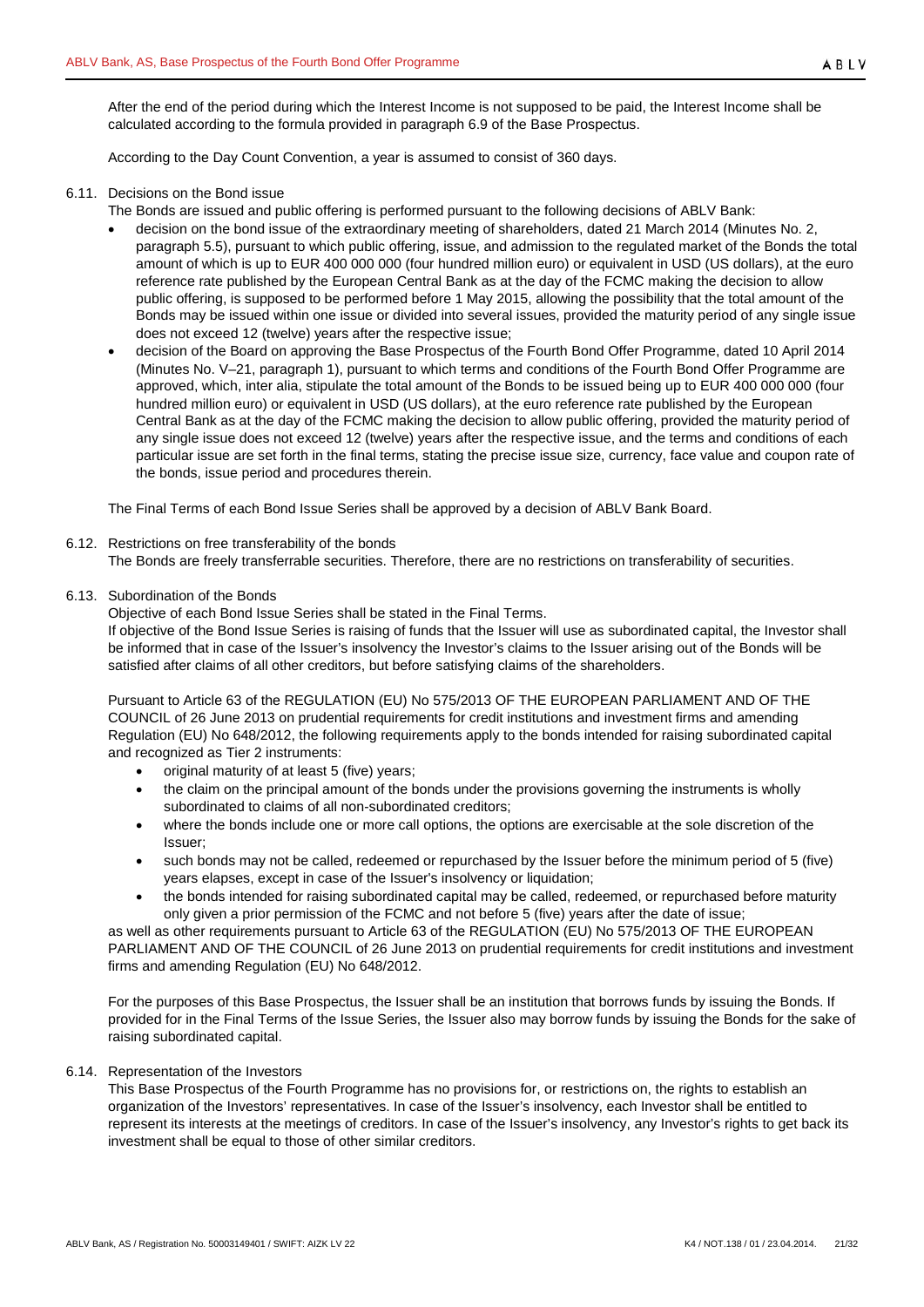After the end of the period during which the Interest Income is not supposed to be paid, the Interest Income shall be calculated according to the formula provided in paragraph [6.9](#page-19-0) of the Base Prospectus.

According to the Day Count Convention, a year is assumed to consist of 360 days.

## <span id="page-20-0"></span>6.11. Decisions on the Bond issue

- The Bonds are issued and public offering is performed pursuant to the following decisions of ABLV Bank:
- decision on the bond issue of the extraordinary meeting of shareholders, dated 21 March 2014 (Minutes No. 2, paragraph 5.5), pursuant to which public offering, issue, and admission to the regulated market of the Bonds the total amount of which is up to EUR 400 000 000 (four hundred million euro) or equivalent in USD (US dollars), at the euro reference rate published by the European Central Bank as at the day of the FCMC making the decision to allow public offering, is supposed to be performed before 1 May 2015, allowing the possibility that the total amount of the Bonds may be issued within one issue or divided into several issues, provided the maturity period of any single issue does not exceed 12 (twelve) years after the respective issue;
- decision of the Board on approving the Base Prospectus of the Fourth Bond Offer Programme, dated 10 April 2014 (Minutes No. V–21, paragraph 1), pursuant to which terms and conditions of the Fourth Bond Offer Programme are approved, which, inter alia, stipulate the total amount of the Bonds to be issued being up to EUR 400 000 000 (four hundred million euro) or equivalent in USD (US dollars), at the euro reference rate published by the European Central Bank as at the day of the FCMC making the decision to allow public offering, provided the maturity period of any single issue does not exceed 12 (twelve) years after the respective issue, and the terms and conditions of each particular issue are set forth in the final terms, stating the precise issue size, currency, face value and coupon rate of the bonds, issue period and procedures therein.

The Final Terms of each Bond Issue Series shall be approved by a decision of ABLV Bank Board.

#### <span id="page-20-1"></span>6.12. Restrictions on free transferability of the bonds

The Bonds are freely transferrable securities. Therefore, there are no restrictions on transferability of securities.

#### <span id="page-20-2"></span>6.13. Subordination of the Bonds

Objective of each Bond Issue Series shall be stated in the Final Terms.

If objective of the Bond Issue Series is raising of funds that the Issuer will use as subordinated capital, the Investor shall be informed that in case of the Issuer's insolvency the Investor's claims to the Issuer arising out of the Bonds will be satisfied after claims of all other creditors, but before satisfying claims of the shareholders.

Pursuant to Article 63 of the REGULATION (EU) No 575/2013 OF THE EUROPEAN PARLIAMENT AND OF THE COUNCIL of 26 June 2013 on prudential requirements for credit institutions and investment firms and amending Regulation (EU) No 648/2012, the following requirements apply to the bonds intended for raising subordinated capital and recognized as Tier 2 instruments:

- original maturity of at least 5 (five) years;
- the claim on the principal amount of the bonds under the provisions governing the instruments is wholly subordinated to claims of all non-subordinated creditors;
- where the bonds include one or more call options, the options are exercisable at the sole discretion of the Issuer;
- such bonds may not be called, redeemed or repurchased by the Issuer before the minimum period of 5 (five) years elapses, except in case of the Issuer's insolvency or liquidation;
- the bonds intended for raising subordinated capital may be called, redeemed, or repurchased before maturity only given a prior permission of the FCMC and not before 5 (five) years after the date of issue;

as well as other requirements pursuant to Article 63 of the REGULATION (EU) No 575/2013 OF THE EUROPEAN PARLIAMENT AND OF THE COUNCIL of 26 June 2013 on prudential requirements for credit institutions and investment firms and amending Regulation (EU) No 648/2012.

For the purposes of this Base Prospectus, the Issuer shall be an institution that borrows funds by issuing the Bonds. If provided for in the Final Terms of the Issue Series, the Issuer also may borrow funds by issuing the Bonds for the sake of raising subordinated capital.

## <span id="page-20-3"></span>6.14. Representation of the Investors

This Base Prospectus of the Fourth Programme has no provisions for, or restrictions on, the rights to establish an organization of the Investors' representatives. In case of the Issuer's insolvency, each Investor shall be entitled to represent its interests at the meetings of creditors. In case of the Issuer's insolvency, any Investor's rights to get back its investment shall be equal to those of other similar creditors.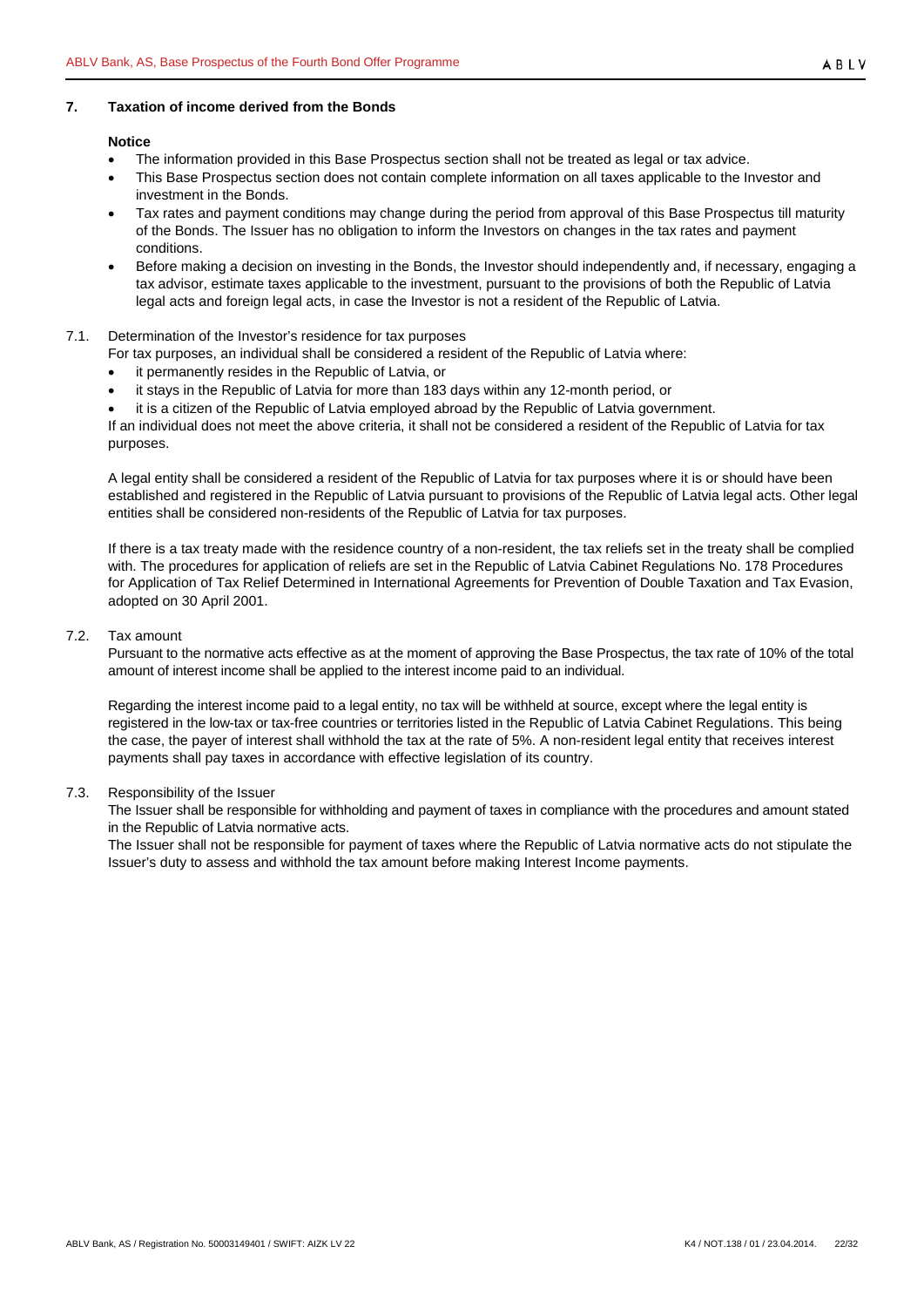## <span id="page-21-0"></span>**7. Taxation of income derived from the Bonds**

#### **Notice**

- The information provided in this Base Prospectus section shall not be treated as legal or tax advice.
- This Base Prospectus section does not contain complete information on all taxes applicable to the Investor and investment in the Bonds.
- Tax rates and payment conditions may change during the period from approval of this Base Prospectus till maturity of the Bonds. The Issuer has no obligation to inform the Investors on changes in the tax rates and payment conditions.
- Before making a decision on investing in the Bonds, the Investor should independently and, if necessary, engaging a tax advisor, estimate taxes applicable to the investment, pursuant to the provisions of both the Republic of Latvia legal acts and foreign legal acts, in case the Investor is not a resident of the Republic of Latvia.

## <span id="page-21-1"></span>7.1. Determination of the Investor's residence for tax purposes

- For tax purposes, an individual shall be considered a resident of the Republic of Latvia where:
- it permanently resides in the Republic of Latvia, or
- it stays in the Republic of Latvia for more than 183 days within any 12-month period, or
- it is a citizen of the Republic of Latvia employed abroad by the Republic of Latvia government.

If an individual does not meet the above criteria, it shall not be considered a resident of the Republic of Latvia for tax purposes.

A legal entity shall be considered a resident of the Republic of Latvia for tax purposes where it is or should have been established and registered in the Republic of Latvia pursuant to provisions of the Republic of Latvia legal acts. Other legal entities shall be considered non-residents of the Republic of Latvia for tax purposes.

If there is a tax treaty made with the residence country of a non-resident, the tax reliefs set in the treaty shall be complied with. The procedures for application of reliefs are set in the Republic of Latvia Cabinet Regulations No. 178 Procedures for Application of Tax Relief Determined in International Agreements for Prevention of Double Taxation and Tax Evasion, adopted on 30 April 2001.

#### <span id="page-21-2"></span>7.2. Tax amount

Pursuant to the normative acts effective as at the moment of approving the Base Prospectus, the tax rate of 10% of the total amount of interest income shall be applied to the interest income paid to an individual.

Regarding the interest income paid to a legal entity, no tax will be withheld at source, except where the legal entity is registered in the low-tax or tax-free countries or territories listed in the Republic of Latvia Cabinet Regulations. This being the case, the payer of interest shall withhold the tax at the rate of 5%. A non-resident legal entity that receives interest payments shall pay taxes in accordance with effective legislation of its country.

## <span id="page-21-3"></span>7.3. Responsibility of the Issuer

The Issuer shall be responsible for withholding and payment of taxes in compliance with the procedures and amount stated in the Republic of Latvia normative acts.

The Issuer shall not be responsible for payment of taxes where the Republic of Latvia normative acts do not stipulate the Issuer's duty to assess and withhold the tax amount before making Interest Income payments.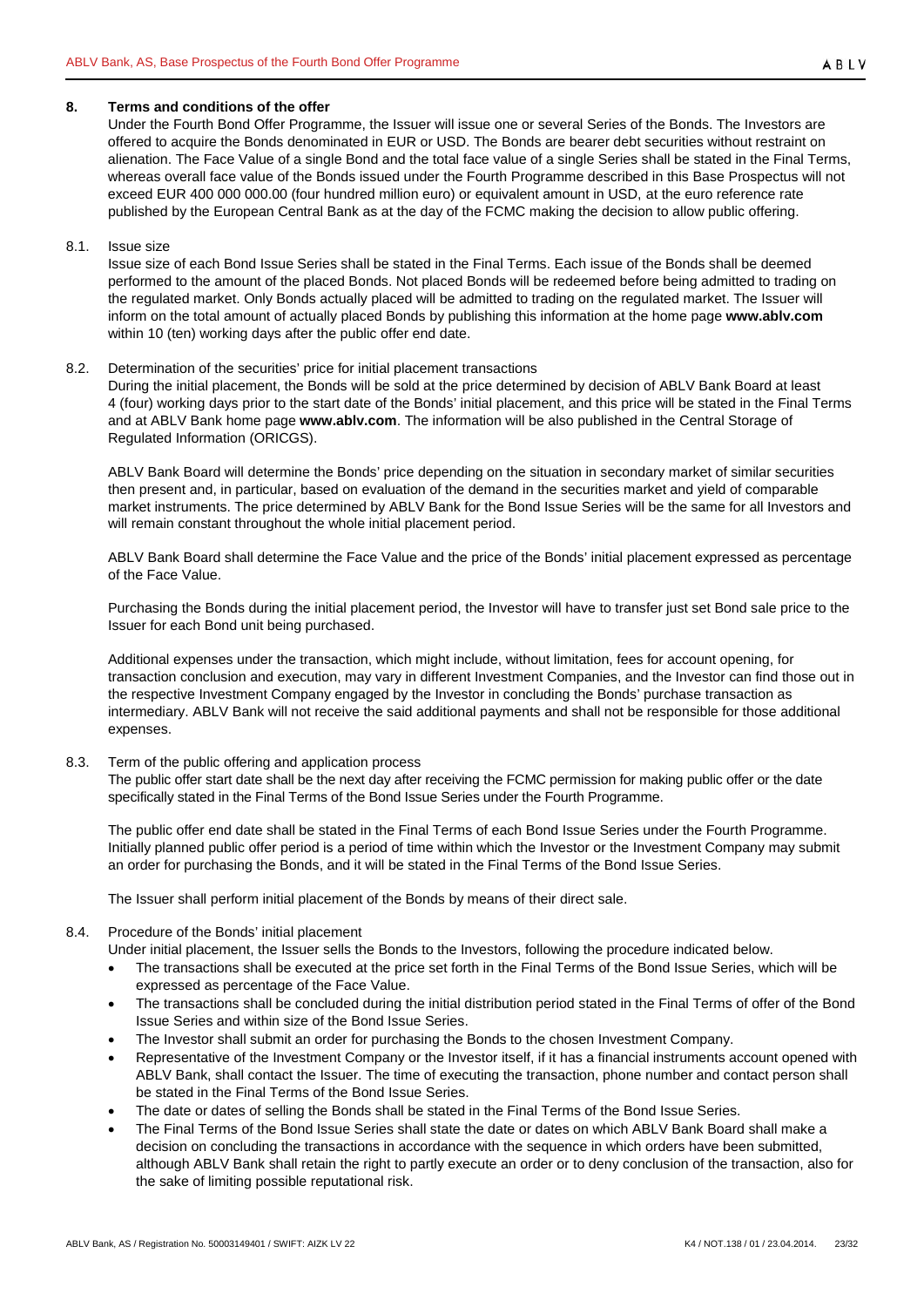## <span id="page-22-0"></span>**8. Terms and conditions of the offer**

Under the Fourth Bond Offer Programme, the Issuer will issue one or several Series of the Bonds. The Investors are offered to acquire the Bonds denominated in EUR or USD. The Bonds are bearer debt securities without restraint on alienation. The Face Value of a single Bond and the total face value of a single Series shall be stated in the Final Terms, whereas overall face value of the Bonds issued under the Fourth Programme described in this Base Prospectus will not exceed EUR 400 000 000.00 (four hundred million euro) or equivalent amount in USD, at the euro reference rate published by the European Central Bank as at the day of the FCMC making the decision to allow public offering.

#### <span id="page-22-1"></span>8.1. Issue size

Issue size of each Bond Issue Series shall be stated in the Final Terms. Each issue of the Bonds shall be deemed performed to the amount of the placed Bonds. Not placed Bonds will be redeemed before being admitted to trading on the regulated market. Only Bonds actually placed will be admitted to trading on the regulated market. The Issuer will inform on the total amount of actually placed Bonds by publishing this information at the home page **www.ablv.com** within 10 (ten) working days after the public offer end date.

#### <span id="page-22-2"></span>8.2. Determination of the securities' price for initial placement transactions

During the initial placement, the Bonds will be sold at the price determined by decision of ABLV Bank Board at least 4 (four) working days prior to the start date of the Bonds' initial placement, and this price will be stated in the Final Terms and at ABLV Bank home page **[www.ablv.com](http://www.ablv.com/)**. The information will be also published in the Central Storage of Regulated Information (ORICGS).

ABLV Bank Board will determine the Bonds' price depending on the situation in secondary market of similar securities then present and, in particular, based on evaluation of the demand in the securities market and yield of comparable market instruments. The price determined by ABLV Bank for the Bond Issue Series will be the same for all Investors and will remain constant throughout the whole initial placement period.

ABLV Bank Board shall determine the Face Value and the price of the Bonds' initial placement expressed as percentage of the Face Value.

Purchasing the Bonds during the initial placement period, the Investor will have to transfer just set Bond sale price to the Issuer for each Bond unit being purchased.

Additional expenses under the transaction, which might include, without limitation, fees for account opening, for transaction conclusion and execution, may vary in different Investment Companies, and the Investor can find those out in the respective Investment Company engaged by the Investor in concluding the Bonds' purchase transaction as intermediary. ABLV Bank will not receive the said additional payments and shall not be responsible for those additional expenses.

## <span id="page-22-3"></span>8.3. Term of the public offering and application process

The public offer start date shall be the next day after receiving the FCMC permission for making public offer or the date specifically stated in the Final Terms of the Bond Issue Series under the Fourth Programme.

The public offer end date shall be stated in the Final Terms of each Bond Issue Series under the Fourth Programme. Initially planned public offer period is a period of time within which the Investor or the Investment Company may submit an order for purchasing the Bonds, and it will be stated in the Final Terms of the Bond Issue Series.

The Issuer shall perform initial placement of the Bonds by means of their direct sale.

## <span id="page-22-4"></span>8.4. Procedure of the Bonds' initial placement

Under initial placement, the Issuer sells the Bonds to the Investors, following the procedure indicated below.

- The transactions shall be executed at the price set forth in the Final Terms of the Bond Issue Series, which will be expressed as percentage of the Face Value.
- The transactions shall be concluded during the initial distribution period stated in the Final Terms of offer of the Bond Issue Series and within size of the Bond Issue Series.
- The Investor shall submit an order for purchasing the Bonds to the chosen Investment Company.
- Representative of the Investment Company or the Investor itself, if it has a financial instruments account opened with ABLV Bank, shall contact the Issuer. The time of executing the transaction, phone number and contact person shall be stated in the Final Terms of the Bond Issue Series.
- The date or dates of selling the Bonds shall be stated in the Final Terms of the Bond Issue Series.
- The Final Terms of the Bond Issue Series shall state the date or dates on which ABLV Bank Board shall make a decision on concluding the transactions in accordance with the sequence in which orders have been submitted, although ABLV Bank shall retain the right to partly execute an order or to deny conclusion of the transaction, also for the sake of limiting possible reputational risk.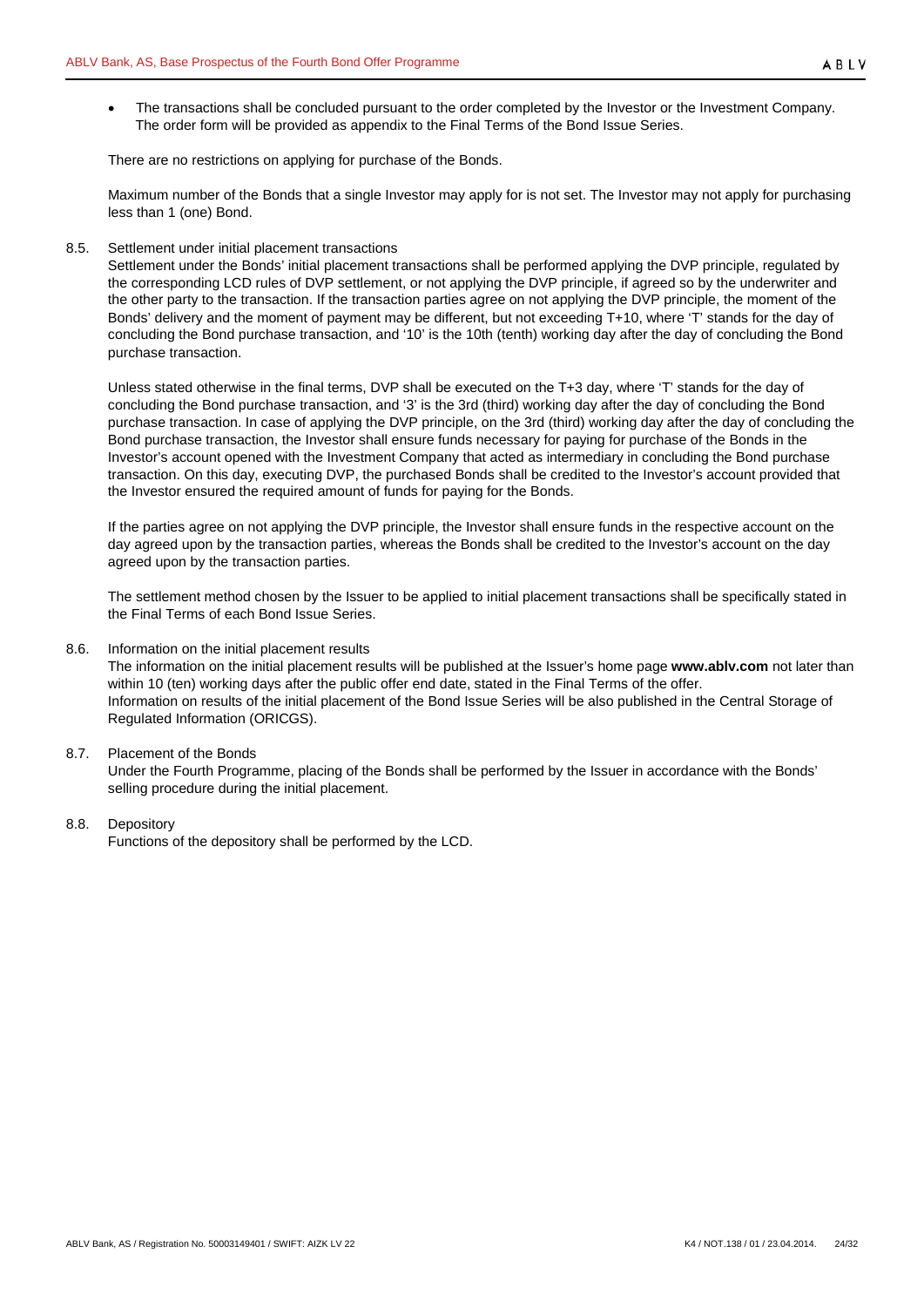The transactions shall be concluded pursuant to the order completed by the Investor or the Investment Company. The order form will be provided as appendix to the Final Terms of the Bond Issue Series.

There are no restrictions on applying for purchase of the Bonds.

Maximum number of the Bonds that a single Investor may apply for is not set. The Investor may not apply for purchasing less than 1 (one) Bond.

#### <span id="page-23-0"></span>8.5. Settlement under initial placement transactions

Settlement under the Bonds' initial placement transactions shall be performed applying the DVP principle, regulated by the corresponding LCD rules of DVP settlement, or not applying the DVP principle, if agreed so by the underwriter and the other party to the transaction. If the transaction parties agree on not applying the DVP principle, the moment of the Bonds' delivery and the moment of payment may be different, but not exceeding T+10, where 'T' stands for the day of concluding the Bond purchase transaction, and '10' is the 10th (tenth) working day after the day of concluding the Bond purchase transaction.

Unless stated otherwise in the final terms, DVP shall be executed on the T+3 day, where 'T' stands for the day of concluding the Bond purchase transaction, and '3' is the 3rd (third) working day after the day of concluding the Bond purchase transaction. In case of applying the DVP principle, on the 3rd (third) working day after the day of concluding the Bond purchase transaction, the Investor shall ensure funds necessary for paying for purchase of the Bonds in the Investor's account opened with the Investment Company that acted as intermediary in concluding the Bond purchase transaction. On this day, executing DVP, the purchased Bonds shall be credited to the Investor's account provided that the Investor ensured the required amount of funds for paying for the Bonds.

If the parties agree on not applying the DVP principle, the Investor shall ensure funds in the respective account on the day agreed upon by the transaction parties, whereas the Bonds shall be credited to the Investor's account on the day agreed upon by the transaction parties.

The settlement method chosen by the Issuer to be applied to initial placement transactions shall be specifically stated in the Final Terms of each Bond Issue Series.

#### <span id="page-23-1"></span>8.6. Information on the initial placement results

The information on the initial placement results will be published at the Issuer's home page **www.ablv.com** not later than within 10 (ten) working days after the public offer end date, stated in the Final Terms of the offer. Information on results of the initial placement of the Bond Issue Series will be also published in the Central Storage of Regulated Information (ORICGS).

## <span id="page-23-2"></span>8.7. Placement of the Bonds

Under the Fourth Programme, placing of the Bonds shall be performed by the Issuer in accordance with the Bonds' selling procedure during the initial placement.

## <span id="page-23-3"></span>8.8. Depository

Functions of the depository shall be performed by the LCD.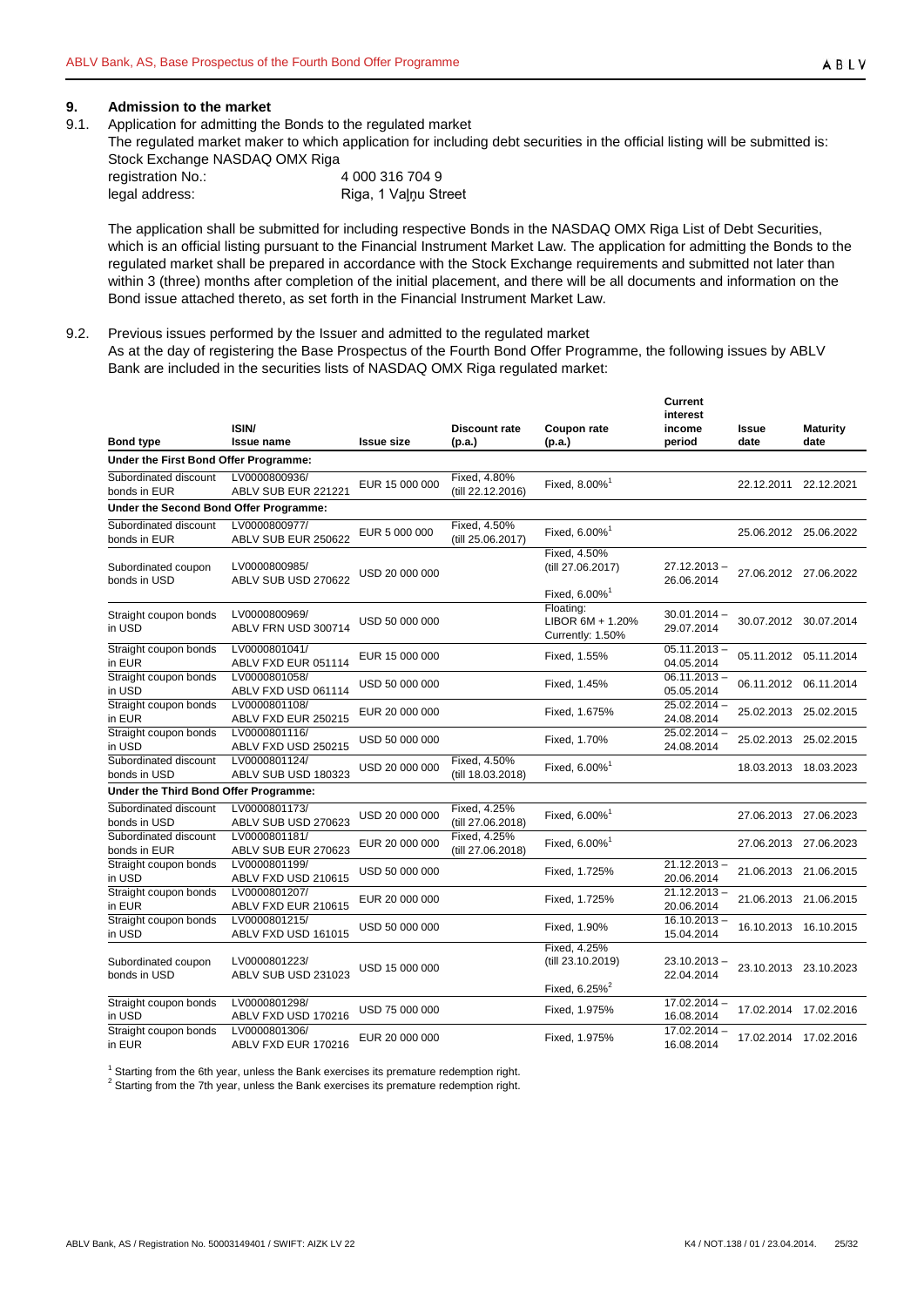# <span id="page-24-0"></span>**9. Admission to the market**<br>**9.1.** Application for admitting the

- <span id="page-24-1"></span>Application for admitting the Bonds to the regulated market
- The regulated market maker to which application for including debt securities in the official listing will be submitted is: Stock Exchange NASDAQ OMX Riga

| registration No.: | 4 000 316 704 9      |
|-------------------|----------------------|
| legal address:    | Riga, 1 Valnu Street |

The application shall be submitted for including respective Bonds in the NASDAQ OMX Riga List of Debt Securities, which is an official listing pursuant to the Financial Instrument Market Law. The application for admitting the Bonds to the regulated market shall be prepared in accordance with the Stock Exchange requirements and submitted not later than within 3 (three) months after completion of the initial placement, and there will be all documents and information on the Bond issue attached thereto, as set forth in the Financial Instrument Market Law.

#### <span id="page-24-2"></span>9.2. Previous issues performed by the Issuer and admitted to the regulated market

As at the day of registering the Base Prospectus of the Fourth Bond Offer Programme, the following issues by ABLV Bank are included in the securities lists of NASDAQ OMX Riga regulated market:

| <b>Bond type</b>                       | ISIN/<br><b>Issue name</b>           | <b>Issue size</b> | <b>Discount rate</b><br>(p.a.)    | Coupon rate<br>(p.a.)                                          | <b>Current</b><br>interest<br>income<br>period | <b>Issue</b><br>date | Maturity<br>date      |
|----------------------------------------|--------------------------------------|-------------------|-----------------------------------|----------------------------------------------------------------|------------------------------------------------|----------------------|-----------------------|
| Under the First Bond Offer Programme:  |                                      |                   |                                   |                                                                |                                                |                      |                       |
| Subordinated discount<br>bonds in EUR  | LV0000800936/<br>ABLV SUB EUR 221221 | EUR 15 000 000    | Fixed, 4.80%<br>(till 22.12.2016) | Fixed, 8.00% <sup>1</sup>                                      |                                                |                      | 22.12.2011 22.12.2021 |
| Under the Second Bond Offer Programme: |                                      |                   |                                   |                                                                |                                                |                      |                       |
| Subordinated discount<br>bonds in EUR  | LV0000800977/<br>ABLV SUB EUR 250622 | EUR 5 000 000     | Fixed, 4.50%<br>(till 25.06.2017) | Fixed, 6.00% <sup>1</sup>                                      |                                                |                      | 25.06.2012 25.06.2022 |
| Subordinated coupon<br>bonds in USD    | LV0000800985/<br>ABLV SUB USD 270622 | USD 20 000 000    |                                   | Fixed. 4.50%<br>(till 27.06.2017)<br>Fixed, 6.00% <sup>1</sup> | 27.12.2013 -<br>26.06.2014                     |                      | 27.06.2012 27.06.2022 |
| Straight coupon bonds<br>in USD        | LV0000800969/<br>ABLV FRN USD 300714 | USD 50 000 000    |                                   | Floating:<br>LIBOR 6M + 1.20%<br>Currently: 1.50%              | $30.01.2014 -$<br>29.07.2014                   |                      | 30.07.2012 30.07.2014 |
| Straight coupon bonds<br>in EUR        | LV0000801041/<br>ABLV FXD EUR 051114 | EUR 15 000 000    |                                   | Fixed, 1.55%                                                   | $05.11.2013 -$<br>04.05.2014                   |                      | 05.11.2012 05.11.2014 |
| Straight coupon bonds<br>in USD        | LV0000801058/<br>ABLV FXD USD 061114 | USD 50 000 000    |                                   | Fixed, 1.45%                                                   | $06.11.2013 -$<br>05.05.2014                   |                      | 06.11.2012 06.11.2014 |
| Straight coupon bonds<br>in EUR        | LV0000801108/<br>ABLV FXD EUR 250215 | EUR 20 000 000    |                                   | Fixed, 1.675%                                                  | $25.02.2014 -$<br>24.08.2014                   |                      | 25.02.2013 25.02.2015 |
| Straight coupon bonds<br>in USD        | LV0000801116/<br>ABLV FXD USD 250215 | USD 50 000 000    |                                   | Fixed, 1.70%                                                   | 25.02.2014 -<br>24.08.2014                     |                      | 25.02.2013 25.02.2015 |
| Subordinated discount<br>bonds in USD  | LV0000801124/<br>ABLV SUB USD 180323 | USD 20 000 000    | Fixed, 4.50%<br>(till 18.03.2018) | Fixed, 6.00% <sup>1</sup>                                      |                                                |                      | 18.03.2013 18.03.2023 |
| Under the Third Bond Offer Programme:  |                                      |                   |                                   |                                                                |                                                |                      |                       |
| Subordinated discount<br>bonds in USD  | LV0000801173/<br>ABLV SUB USD 270623 | USD 20 000 000    | Fixed, 4.25%<br>(till 27.06.2018) | Fixed, $6.00\%$ <sup>1</sup>                                   |                                                |                      | 27.06.2013 27.06.2023 |
| Subordinated discount<br>bonds in EUR  | LV0000801181/<br>ABLV SUB EUR 270623 | EUR 20 000 000    | Fixed, 4.25%<br>(till 27.06.2018) | Fixed, 6.00% <sup>1</sup>                                      |                                                |                      | 27.06.2013 27.06.2023 |
| Straight coupon bonds<br>in USD        | LV0000801199/<br>ABLV FXD USD 210615 | USD 50 000 000    |                                   | Fixed, 1.725%                                                  | $21.12.2013 -$<br>20.06.2014                   |                      | 21.06.2013 21.06.2015 |
| Straight coupon bonds<br>in EUR        | LV0000801207/<br>ABLV FXD EUR 210615 | EUR 20 000 000    |                                   | Fixed, 1.725%                                                  | $21.12.2013 -$<br>20.06.2014                   |                      | 21.06.2013 21.06.2015 |
| Straight coupon bonds<br>in USD        | LV0000801215/<br>ABLV FXD USD 161015 | USD 50 000 000    |                                   | Fixed, 1.90%                                                   | $16.10.2013 -$<br>15.04.2014                   |                      | 16.10.2013 16.10.2015 |
| Subordinated coupon<br>bonds in USD    | LV0000801223/<br>ABLV SUB USD 231023 | USD 15 000 000    |                                   | Fixed, 4.25%<br>(till 23.10.2019)<br>Fixed, 6.25% <sup>2</sup> | 23.10.2013 -<br>22.04.2014                     |                      | 23.10.2013 23.10.2023 |
| Straight coupon bonds<br>in USD        | LV0000801298/<br>ABLV FXD USD 170216 | USD 75 000 000    |                                   | Fixed, 1.975%                                                  | $17.02.2014 -$<br>16.08.2014                   |                      | 17.02.2014 17.02.2016 |
| Straight coupon bonds<br>in EUR        | LV0000801306/<br>ABLV FXD EUR 170216 | EUR 20 000 000    |                                   | Fixed, 1.975%                                                  | $17.02.2014 -$<br>16.08.2014                   |                      | 17.02.2014 17.02.2016 |

 $1$  Starting from the 6th year, unless the Bank exercises its premature redemption right.

2 Starting from the 7th year, unless the Bank exercises its premature redemption right.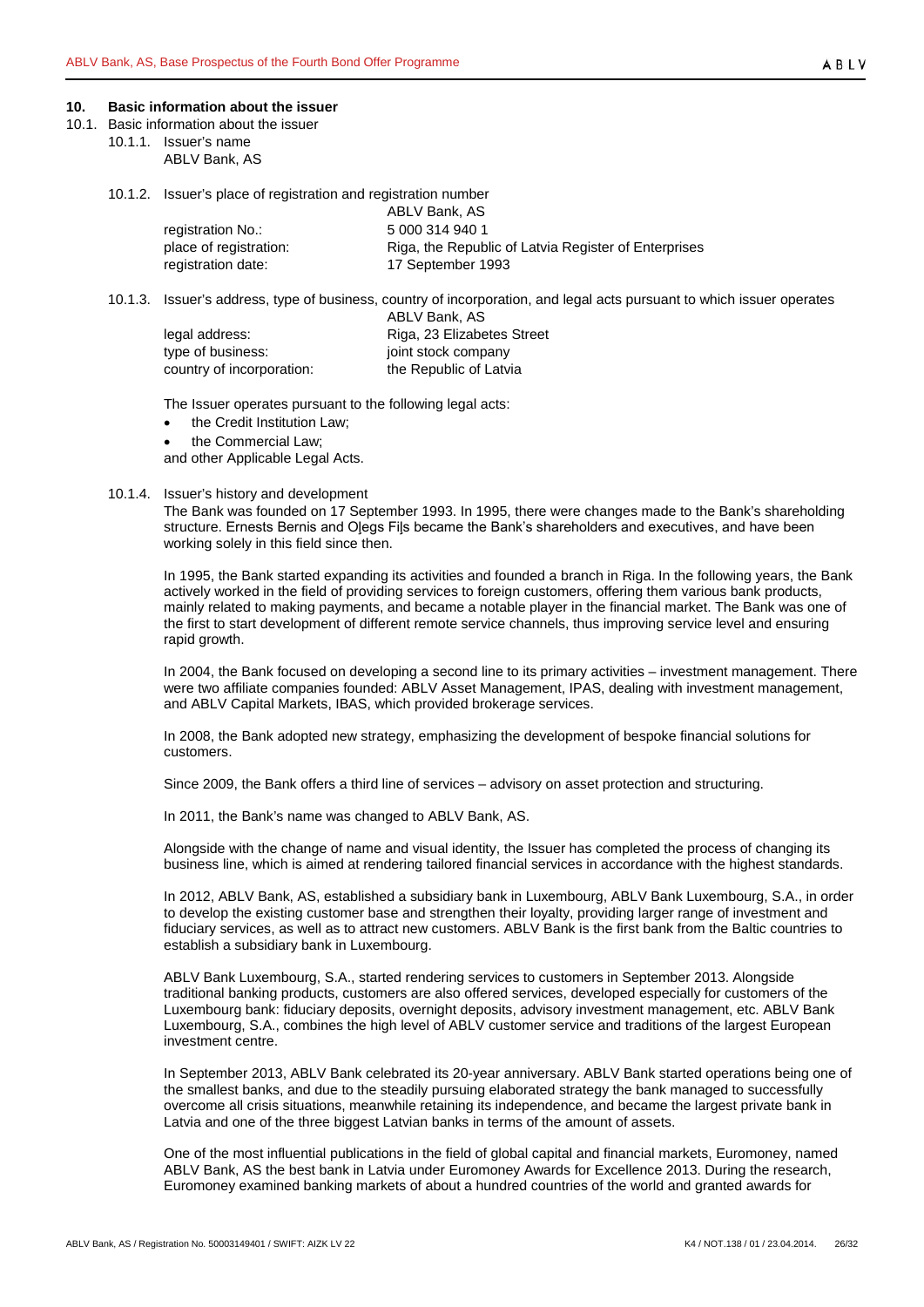#### <span id="page-25-0"></span>**10. Basic information about the issuer**

- <span id="page-25-3"></span><span id="page-25-2"></span><span id="page-25-1"></span>10.1. Basic information about the issuer
	- 10.1.1. Issuer's name
		- ABLV Bank, AS
		- 10.1.2. Issuer's place of registration and registration number

|                        | ABLV Bank, AS                                        |
|------------------------|------------------------------------------------------|
| registration No.:      | 5 000 314 940 1                                      |
| place of registration: | Riga, the Republic of Latvia Register of Enterprises |
| registration date:     | 17 September 1993                                    |

<span id="page-25-4"></span>10.1.3. Issuer's address, type of business, country of incorporation, and legal acts pursuant to which issuer operates

|                           | ABLV Bank, AS              |
|---------------------------|----------------------------|
| legal address:            | Riga, 23 Elizabetes Street |
| type of business:         | joint stock company        |
| country of incorporation: | the Republic of Latvia     |

The Issuer operates pursuant to the following legal acts:

- the Credit Institution Law:
- the Commercial Law;

and other Applicable Legal Acts.

#### <span id="page-25-5"></span>10.1.4. Issuer's history and development

The Bank was founded on 17 September 1993. In 1995, there were changes made to the Bank's shareholding structure. Ernests Bernis and Oļegs Fiļs became the Bank's shareholders and executives, and have been working solely in this field since then.

In 1995, the Bank started expanding its activities and founded a branch in Riga. In the following years, the Bank actively worked in the field of providing services to foreign customers, offering them various bank products, mainly related to making payments, and became a notable player in the financial market. The Bank was one of the first to start development of different remote service channels, thus improving service level and ensuring rapid growth.

In 2004, the Bank focused on developing a second line to its primary activities – investment management. There were two affiliate companies founded: ABLV Asset Management, IPAS, dealing with investment management, and ABLV Capital Markets, IBAS, which provided brokerage services.

In 2008, the Bank adopted new strategy, emphasizing the development of bespoke financial solutions for customers.

Since 2009, the Bank offers a third line of services – advisory on asset protection and structuring.

In 2011, the Bank's name was changed to ABLV Bank, AS.

Alongside with the change of name and visual identity, the Issuer has completed the process of changing its business line, which is aimed at rendering tailored financial services in accordance with the highest standards.

In 2012, ABLV Bank, AS, established a subsidiary bank in Luxembourg, ABLV Bank Luxembourg, S.A., in order to develop the existing customer base and strengthen their loyalty, providing larger range of investment and fiduciary services, as well as to attract new customers. ABLV Bank is the first bank from the Baltic countries to establish a subsidiary bank in Luxembourg.

ABLV Bank Luxembourg, S.A., started rendering services to customers in September 2013. Alongside traditional banking products, customers are also offered services, developed especially for customers of the Luxembourg bank: fiduciary deposits, overnight deposits, advisory investment management, etc. ABLV Bank Luxembourg, S.A., combines the high level of ABLV customer service and traditions of the largest European investment centre.

In September 2013, ABLV Bank celebrated its 20-year anniversary. ABLV Bank started operations being one of the smallest banks, and due to the steadily pursuing elaborated strategy the bank managed to successfully overcome all crisis situations, meanwhile retaining its independence, and became the largest private bank in Latvia and one of the three biggest Latvian banks in terms of the amount of assets.

One of the most influential publications in the field of global capital and financial markets, Euromoney, named ABLV Bank, AS the best bank in Latvia under Euromoney Awards for Excellence 2013. During the research, Euromoney examined banking markets of about a hundred countries of the world and granted awards for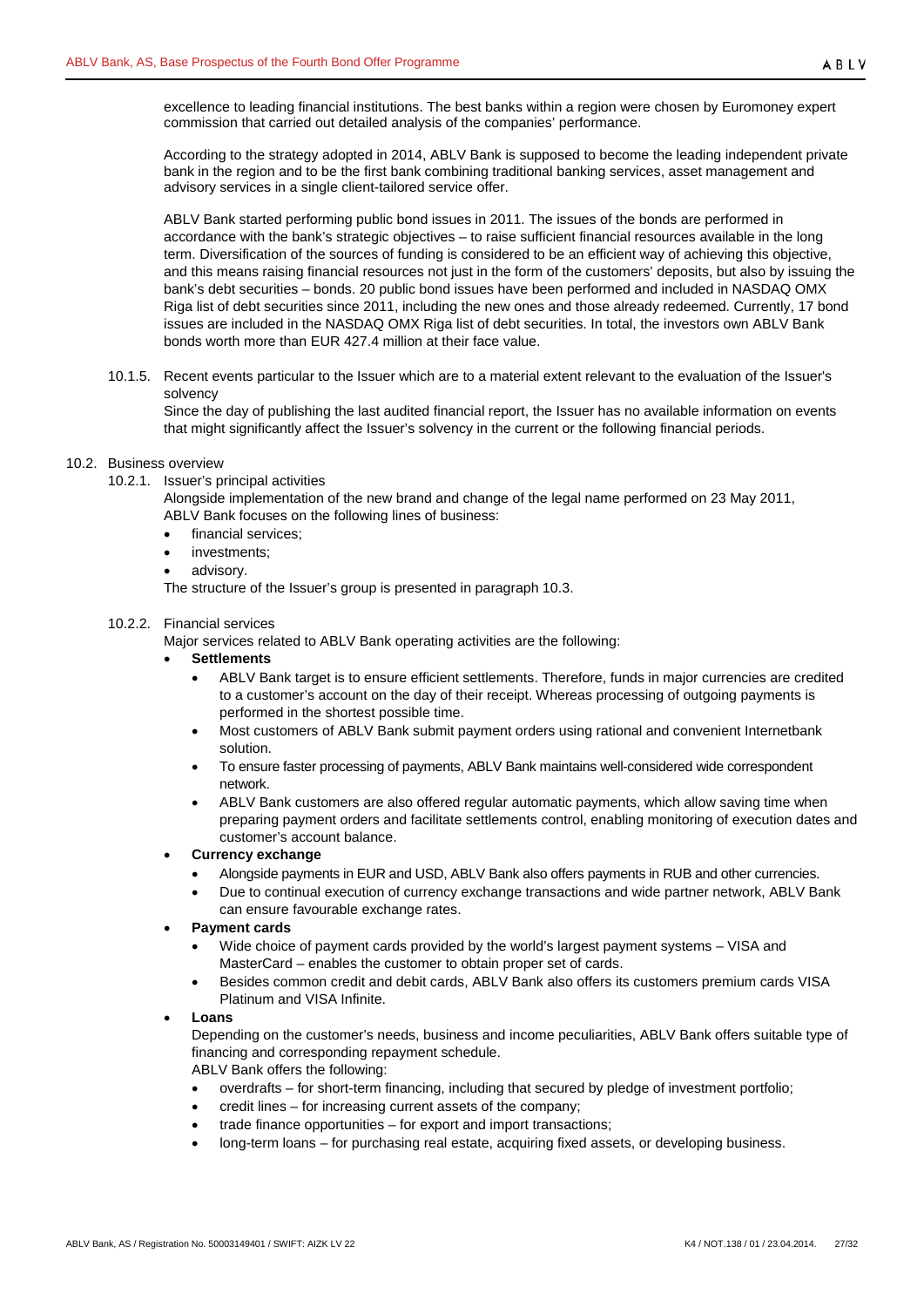excellence to leading financial institutions. The best banks within a region were chosen by Euromoney expert commission that carried out detailed analysis of the companies' performance.

According to the strategy adopted in 2014, ABLV Bank is supposed to become the leading independent private bank in the region and to be the first bank combining traditional banking services, asset management and advisory services in a single client-tailored service offer.

ABLV Bank started performing public bond issues in 2011. The issues of the bonds are performed in accordance with the bank's strategic objectives – to raise sufficient financial resources available in the long term. Diversification of the sources of funding is considered to be an efficient way of achieving this objective, and this means raising financial resources not just in the form of the customers' deposits, but also by issuing the bank's debt securities – bonds. 20 public bond issues have been performed and included in NASDAQ OMX Riga list of debt securities since 2011, including the new ones and those already redeemed. Currently, 17 bond issues are included in the NASDAQ OMX Riga list of debt securities. In total, the investors own ABLV Bank bonds worth more than EUR 427.4 million at their face value.

<span id="page-26-0"></span>10.1.5. Recent events particular to the Issuer which are to a material extent relevant to the evaluation of the Issuer's solvency

Since the day of publishing the last audited financial report, the Issuer has no available information on events that might significantly affect the Issuer's solvency in the current or the following financial periods.

# <span id="page-26-2"></span><span id="page-26-1"></span>10.2. Business overview

10.2.1. Issuer's principal activities

Alongside implementation of the new brand and change of the legal name performed on 23 May 2011, ABLV Bank focuses on the following lines of business:

- financial services;
- investments;
- advisory.

The structure of the Issuer's group is presented in paragraph [10.3.](#page-28-2)

## <span id="page-26-3"></span>10.2.2. Financial services

Major services related to ABLV Bank operating activities are the following:

# • **Settlements**

- ABLV Bank target is to ensure efficient settlements. Therefore, funds in major currencies are credited to a customer's account on the day of their receipt. Whereas processing of outgoing payments is performed in the shortest possible time.
- Most customers of ABLV Bank submit payment orders using rational and convenient Internetbank solution.
- To ensure faster processing of payments, ABLV Bank maintains well-considered wide correspondent network.
- ABLV Bank customers are also offered regular automatic payments, which allow saving time when preparing payment orders and facilitate settlements control, enabling monitoring of execution dates and customer's account balance.

# • **Currency exchange**

- Alongside payments in EUR and USD, ABLV Bank also offers payments in RUB and other currencies.
- Due to continual execution of currency exchange transactions and wide partner network, ABLV Bank can ensure favourable exchange rates.

# • **Payment cards**

- Wide choice of payment cards provided by the world's largest payment systems VISA and MasterCard – enables the customer to obtain proper set of cards.
- Besides common credit and debit cards, ABLV Bank also offers its customers premium cards VISA Platinum and VISA Infinite.

## • **Loans**

Depending on the customer's needs, business and income peculiarities, ABLV Bank offers suitable type of financing and corresponding repayment schedule.

ABLV Bank offers the following:

- overdrafts for short-term financing, including that secured by pledge of investment portfolio;
- credit lines for increasing current assets of the company;
- trade finance opportunities for export and import transactions;
- long-term loans for purchasing real estate, acquiring fixed assets, or developing business.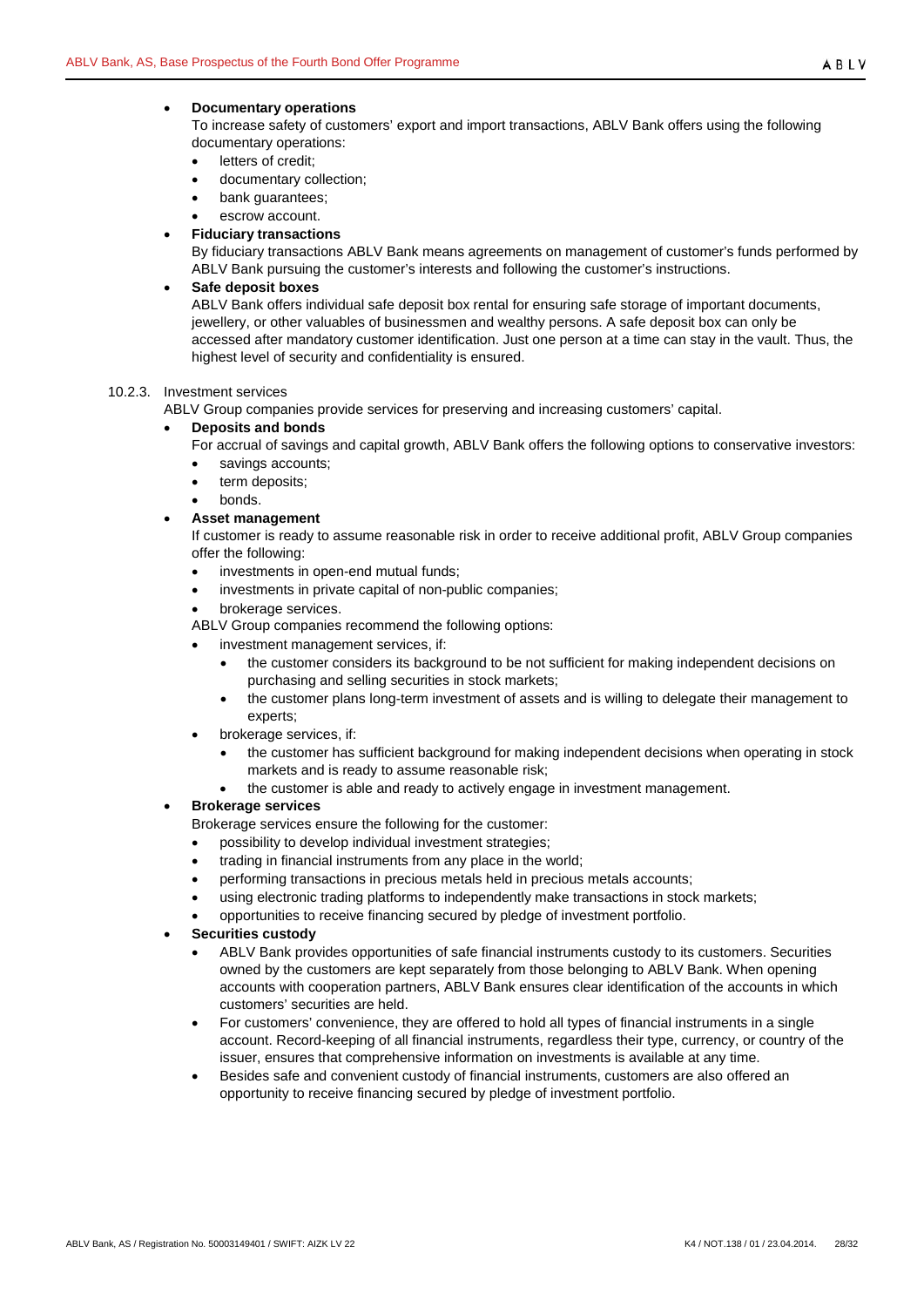## • **Documentary operations**

To increase safety of customers' export and import transactions, ABLV Bank offers using the following documentary operations:

- letters of credit;
- documentary collection;
- bank quarantees;
- escrow account.

#### • **Fiduciary transactions**

By fiduciary transactions ABLV Bank means agreements on management of customer's funds performed by ABLV Bank pursuing the customer's interests and following the customer's instructions.

#### • **Safe deposit boxes**

ABLV Bank offers individual safe deposit box rental for ensuring safe storage of important documents, jewellery, or other valuables of businessmen and wealthy persons. A safe deposit box can only be accessed after mandatory customer identification. Just one person at a time can stay in the vault. Thus, the highest level of security and confidentiality is ensured.

#### <span id="page-27-0"></span>10.2.3. Investment services

ABLV Group companies provide services for preserving and increasing customers' capital.

#### • **Deposits and bonds**

For accrual of savings and capital growth, ABLV Bank offers the following options to conservative investors:

- savings accounts;
- term deposits;
- bonds.

## • **Asset management**

If customer is ready to assume reasonable risk in order to receive additional profit, ABLV Group companies offer the following:

- investments in open-end mutual funds;
- investments in private capital of non-public companies;
- brokerage services.
- ABLV Group companies recommend the following options:
- investment management services, if:
	- the customer considers its background to be not sufficient for making independent decisions on purchasing and selling securities in stock markets;
	- the customer plans long-term investment of assets and is willing to delegate their management to experts;
- brokerage services, if:
	- the customer has sufficient background for making independent decisions when operating in stock markets and is ready to assume reasonable risk;
	- the customer is able and ready to actively engage in investment management.

## • **Brokerage services**

Brokerage services ensure the following for the customer:

- possibility to develop individual investment strategies;
- trading in financial instruments from any place in the world;
- performing transactions in precious metals held in precious metals accounts;
- using electronic trading platforms to independently make transactions in stock markets;
- opportunities to receive financing secured by pledge of investment portfolio.
- **Securities custody**
	- ABLV Bank provides opportunities of safe financial instruments custody to its customers. Securities owned by the customers are kept separately from those belonging to ABLV Bank. When opening accounts with cooperation partners, ABLV Bank ensures clear identification of the accounts in which customers' securities are held.
	- For customers' convenience, they are offered to hold all types of financial instruments in a single account. Record-keeping of all financial instruments, regardless their type, currency, or country of the issuer, ensures that comprehensive information on investments is available at any time.
	- Besides safe and convenient custody of financial instruments, customers are also offered an opportunity to receive financing secured by pledge of investment portfolio.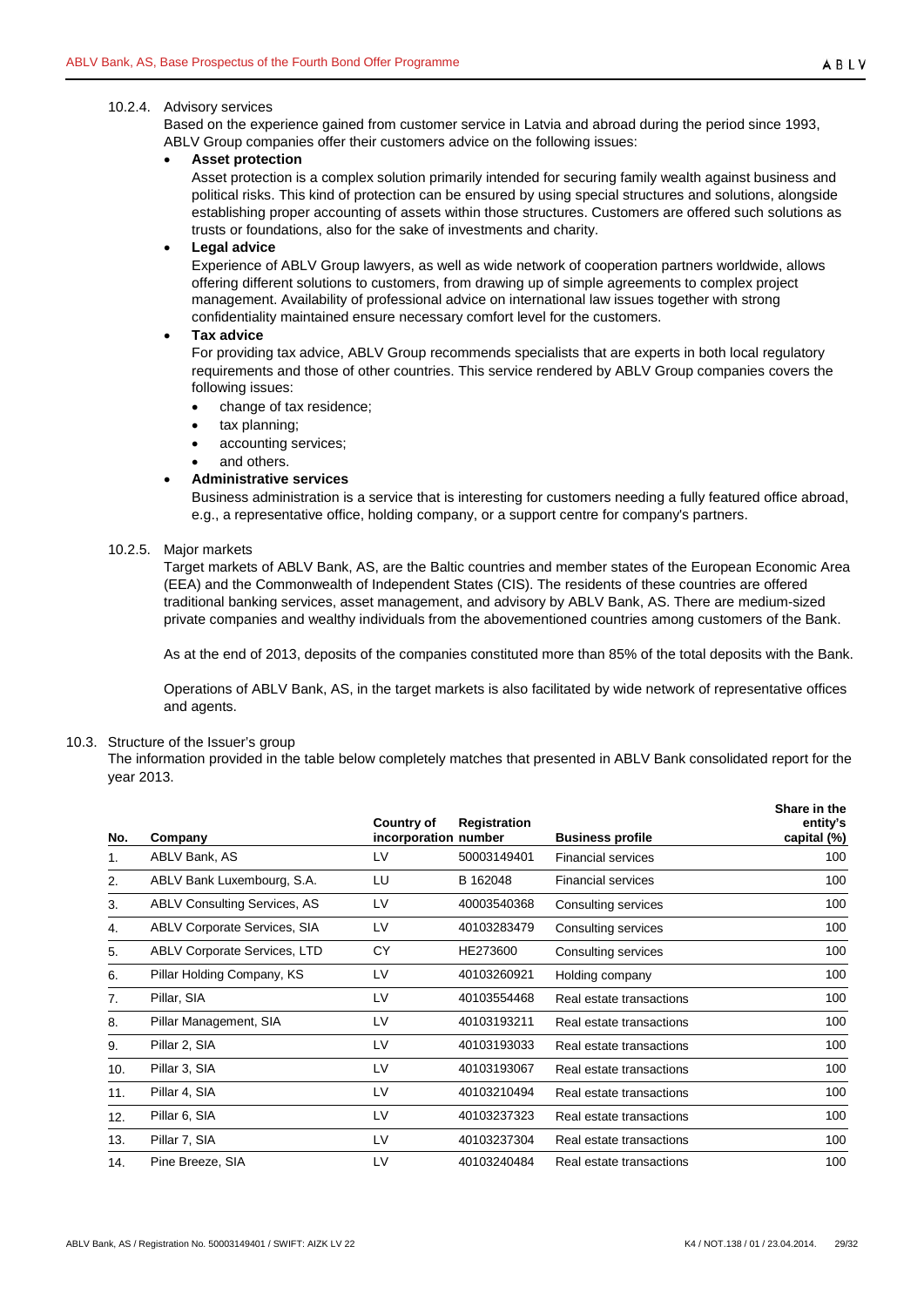## <span id="page-28-0"></span>10.2.4. Advisory services

Based on the experience gained from customer service in Latvia and abroad during the period since 1993, ABLV Group companies offer their customers advice on the following issues:

#### • **Asset protection**

Asset protection is a complex solution primarily intended for securing family wealth against business and political risks. This kind of protection can be ensured by using special structures and solutions, alongside establishing proper accounting of assets within those structures. Customers are offered such solutions as trusts or foundations, also for the sake of investments and charity.

#### • **Legal advice**

Experience of ABLV Group lawyers, as well as wide network of cooperation partners worldwide, allows offering different solutions to customers, from drawing up of simple agreements to complex project management. Availability of professional advice on international law issues together with strong confidentiality maintained ensure necessary comfort level for the customers.

#### • **Tax advice**

For providing tax advice, ABLV Group recommends specialists that are experts in both local regulatory requirements and those of other countries. This service rendered by ABLV Group companies covers the following issues:

- change of tax residence;
- tax planning;
- accounting services;
- and others.

#### • **Administrative services**

Business administration is a service that is interesting for customers needing a fully featured office abroad, e.g., a representative office, holding company, or a support centre for company's partners.

# <span id="page-28-1"></span>10.2.5. Major markets

Target markets of ABLV Bank, AS, are the Baltic countries and member states of the European Economic Area (EEA) and the Commonwealth of Independent States (CIS). The residents of these countries are offered traditional banking services, asset management, and advisory by ABLV Bank, AS. There are medium-sized private companies and wealthy individuals from the abovementioned countries among customers of the Bank.

As at the end of 2013, deposits of the companies constituted more than 85% of the total deposits with the Bank.

Operations of ABLV Bank, AS, in the target markets is also facilitated by wide network of representative offices and agents.

#### <span id="page-28-2"></span>10.3. Structure of the Issuer's group

The information provided in the table below completely matches that presented in ABLV Bank consolidated report for the year 2013.

| No. | Company                             | Country of<br>incorporation number | <b>Registration</b> | <b>Business profile</b>   | Share in the<br>entity's<br>capital (%) |
|-----|-------------------------------------|------------------------------------|---------------------|---------------------------|-----------------------------------------|
| 1.  | ABLV Bank, AS                       | LV                                 | 50003149401         | <b>Financial services</b> | 100                                     |
| 2.  | ABLV Bank Luxembourg, S.A.          | LU                                 | B 162048            | <b>Financial services</b> | 100                                     |
| 3.  | <b>ABLV Consulting Services, AS</b> | LV                                 | 40003540368         | Consulting services       | 100                                     |
| 4.  | <b>ABLV Corporate Services, SIA</b> | LV                                 | 40103283479         | Consulting services       | 100                                     |
| 5.  | <b>ABLV Corporate Services, LTD</b> | CY                                 | HE273600            | Consulting services       | 100                                     |
| 6.  | Pillar Holding Company, KS          | LV                                 | 40103260921         | Holding company           | 100                                     |
| 7.  | Pillar, SIA                         | LV                                 | 40103554468         | Real estate transactions  | 100                                     |
| 8.  | Pillar Management, SIA              | LV                                 | 40103193211         | Real estate transactions  | 100                                     |
| 9.  | Pillar 2, SIA                       | LV                                 | 40103193033         | Real estate transactions  | 100                                     |
| 10. | Pillar 3, SIA                       | LV                                 | 40103193067         | Real estate transactions  | 100                                     |
| 11. | Pillar 4, SIA                       | LV                                 | 40103210494         | Real estate transactions  | 100                                     |
| 12. | Pillar 6, SIA                       | LV                                 | 40103237323         | Real estate transactions  | 100                                     |
| 13. | Pillar 7, SIA                       | LV                                 | 40103237304         | Real estate transactions  | 100                                     |
| 14. | Pine Breeze, SIA                    | LV                                 | 40103240484         | Real estate transactions  | 100                                     |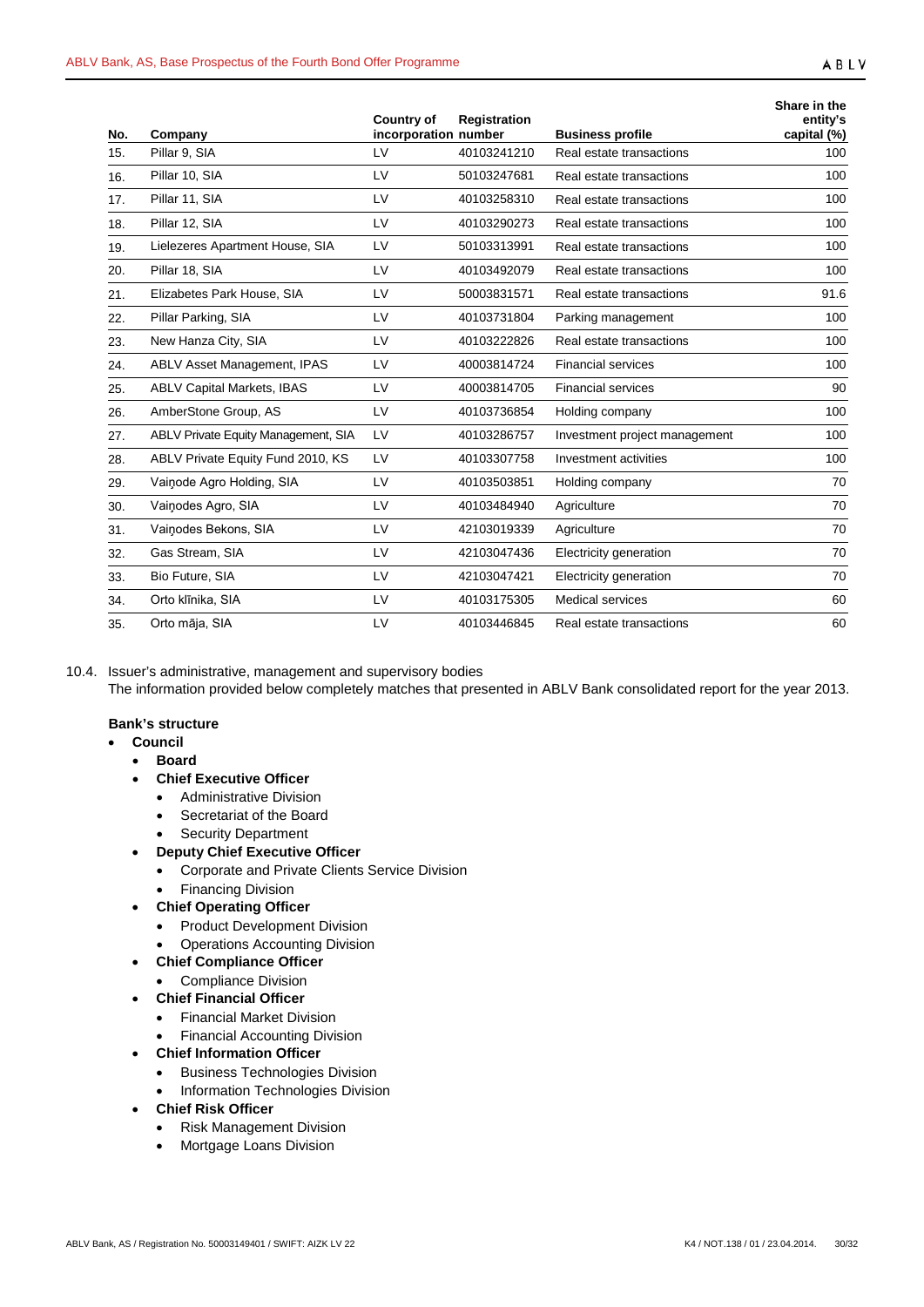| No. | Company                             | <b>Country of</b><br>incorporation number | Registration | <b>Business profile</b>       | Share in the<br>entity's<br>capital (%) |
|-----|-------------------------------------|-------------------------------------------|--------------|-------------------------------|-----------------------------------------|
| 15. | Pillar 9, SIA                       | <b>LV</b>                                 | 40103241210  | Real estate transactions      | 100                                     |
| 16. | Pillar 10, SIA                      | LV                                        | 50103247681  | Real estate transactions      | 100                                     |
| 17. | Pillar 11, SIA                      | LV                                        | 40103258310  | Real estate transactions      | 100                                     |
| 18. | Pillar 12, SIA                      | LV                                        | 40103290273  | Real estate transactions      | 100                                     |
| 19. | Lielezeres Apartment House, SIA     | LV                                        | 50103313991  | Real estate transactions      | 100                                     |
| 20. | Pillar 18, SIA                      | LV                                        | 40103492079  | Real estate transactions      | 100                                     |
| 21. | Elizabetes Park House, SIA          | LV                                        | 50003831571  | Real estate transactions      | 91.6                                    |
| 22. | Pillar Parking, SIA                 | LV                                        | 40103731804  | Parking management            | 100                                     |
| 23. | New Hanza City, SIA                 | LV                                        | 40103222826  | Real estate transactions      | 100                                     |
| 24. | ABLV Asset Management, IPAS         | LV                                        | 40003814724  | <b>Financial services</b>     | 100                                     |
| 25. | <b>ABLV Capital Markets, IBAS</b>   | LV                                        | 40003814705  | <b>Financial services</b>     | 90                                      |
| 26. | AmberStone Group, AS                | LV                                        | 40103736854  | Holding company               | 100                                     |
| 27. | ABLV Private Equity Management, SIA | LV                                        | 40103286757  | Investment project management | 100                                     |
| 28. | ABLV Private Equity Fund 2010, KS   | LV                                        | 40103307758  | Investment activities         | 100                                     |
| 29. | Vainode Agro Holding, SIA           | LV                                        | 40103503851  | Holding company               | 70                                      |
| 30. | Vainodes Agro, SIA                  | <b>LV</b>                                 | 40103484940  | Agriculture                   | 70                                      |
| 31. | Vainodes Bekons, SIA                | LV                                        | 42103019339  | Agriculture                   | 70                                      |
| 32. | Gas Stream, SIA                     | LV                                        | 42103047436  | Electricity generation        | 70                                      |
| 33. | Bio Future, SIA                     | LV                                        | 42103047421  | Electricity generation        | 70                                      |
| 34. | Orto klīnika, SIA                   | LV                                        | 40103175305  | Medical services              | 60                                      |
| 35. | Orto māja, SIA                      | LV                                        | 40103446845  | Real estate transactions      | 60                                      |

<span id="page-29-0"></span>10.4. Issuer's administrative, management and supervisory bodies The information provided below completely matches that presented in ABLV Bank consolidated report for the year 2013.

## **Bank's structure**

- **Council**
	- **Board**
	- **Chief Executive Officer**
		- Administrative Division
		- Secretariat of the Board
		- **Security Department**
	- **Deputy Chief Executive Officer**
		- Corporate and Private Clients Service Division
		- Financing Division
	- **Chief Operating Officer**
		- Product Development Division
		- Operations Accounting Division
	- **Chief Compliance Officer**
		- Compliance Division
		- **Chief Financial Officer**
		- Financial Market Division
		- Financial Accounting Division
	- **Chief Information Officer**
		- Business Technologies Division
		- Information Technologies Division
	- **Chief Risk Officer**
		- Risk Management Division
		- Mortgage Loans Division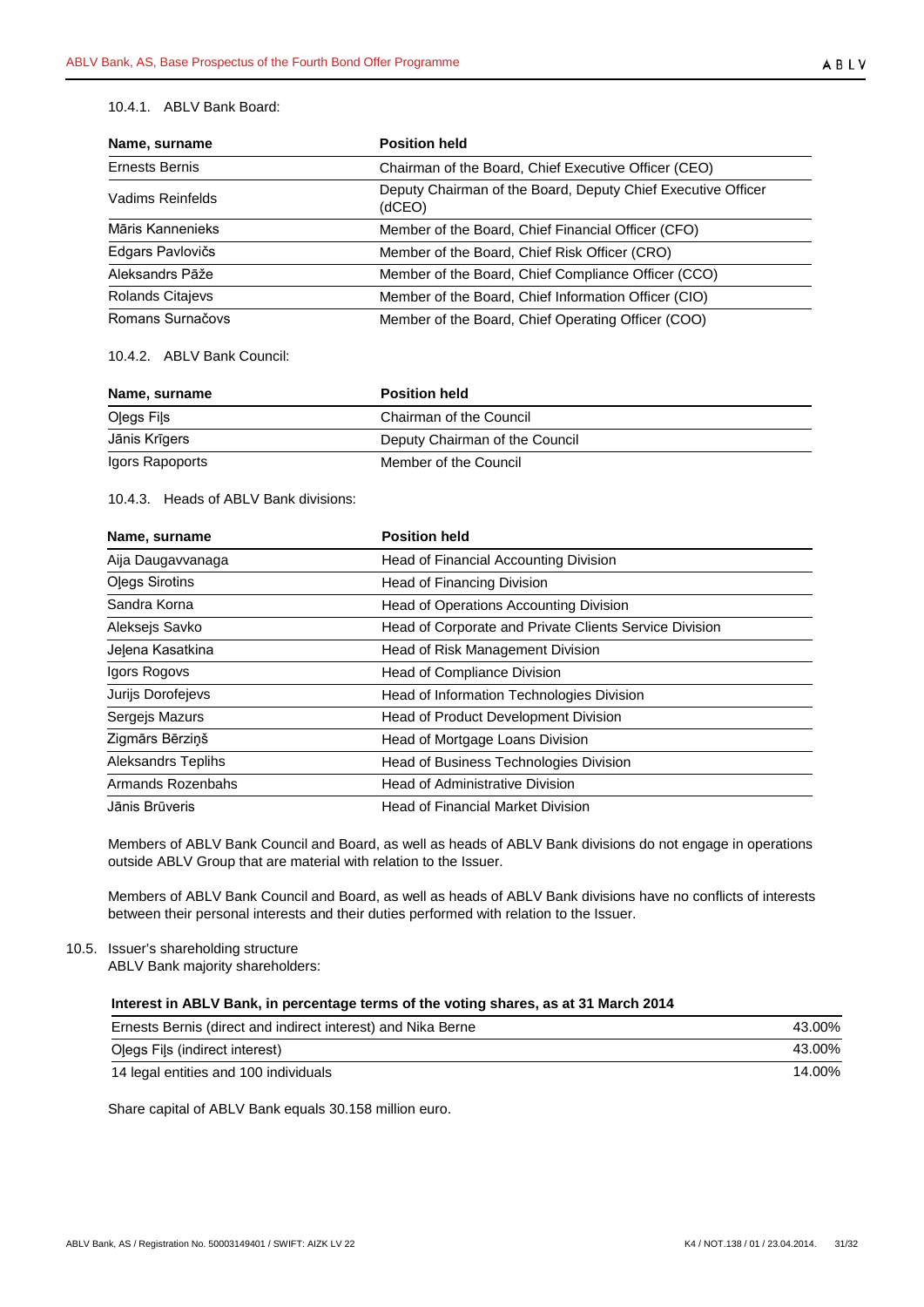## 10.4.1. ABLV Bank Board:

| Name, surname           | <b>Position held</b>                                                   |  |  |  |
|-------------------------|------------------------------------------------------------------------|--|--|--|
| Ernests Bernis          | Chairman of the Board, Chief Executive Officer (CEO)                   |  |  |  |
| Vadims Reinfelds        | Deputy Chairman of the Board, Deputy Chief Executive Officer<br>(dCEO) |  |  |  |
| Māris Kannenieks        | Member of the Board, Chief Financial Officer (CFO)                     |  |  |  |
| Edgars Pavlovičs        | Member of the Board, Chief Risk Officer (CRO)                          |  |  |  |
| Aleksandrs Pāže         | Member of the Board, Chief Compliance Officer (CCO)                    |  |  |  |
| <b>Rolands Citajevs</b> | Member of the Board, Chief Information Officer (CIO)                   |  |  |  |
| Romans Surnačovs        | Member of the Board, Chief Operating Officer (COO)                     |  |  |  |

# 10.4.2. ABLV Bank Council:

| Name, surname   | <b>Position held</b>           |  |
|-----------------|--------------------------------|--|
| Olegs Fils      | Chairman of the Council        |  |
| Jānis Krīgers   | Deputy Chairman of the Council |  |
| Igors Rapoports | Member of the Council          |  |

## 10.4.3. Heads of ABLV Bank divisions:

| Name, surname             | <b>Position held</b>                                   |
|---------------------------|--------------------------------------------------------|
| Aija Daugavvanaga         | Head of Financial Accounting Division                  |
| <b>Olegs Sirotins</b>     | Head of Financing Division                             |
| Sandra Korna              | Head of Operations Accounting Division                 |
| Aleksejs Savko            | Head of Corporate and Private Clients Service Division |
| Jelena Kasatkina          | Head of Risk Management Division                       |
| Igors Rogovs              | Head of Compliance Division                            |
| Jurijs Dorofejevs         | Head of Information Technologies Division              |
| Sergejs Mazurs            | Head of Product Development Division                   |
| Zigmārs Bērziņš           | Head of Mortgage Loans Division                        |
| <b>Aleksandrs Teplihs</b> | Head of Business Technologies Division                 |
| Armands Rozenbahs         | <b>Head of Administrative Division</b>                 |
| Jānis Brūveris            | <b>Head of Financial Market Division</b>               |

Members of ABLV Bank Council and Board, as well as heads of ABLV Bank divisions do not engage in operations outside ABLV Group that are material with relation to the Issuer.

Members of ABLV Bank Council and Board, as well as heads of ABLV Bank divisions have no conflicts of interests between their personal interests and their duties performed with relation to the Issuer.

## <span id="page-30-0"></span>10.5. Issuer's shareholding structure

ABLV Bank majority shareholders:

# **Interest in ABLV Bank, in percentage terms of the voting shares, as at 31 March 2014**

| Ernests Bernis (direct and indirect interest) and Nika Berne | 43.00% |
|--------------------------------------------------------------|--------|
| Olegs Fils (indirect interest)                               | 43.00% |
| 14 legal entities and 100 individuals                        | 14.00% |

Share capital of ABLV Bank equals 30.158 million euro.